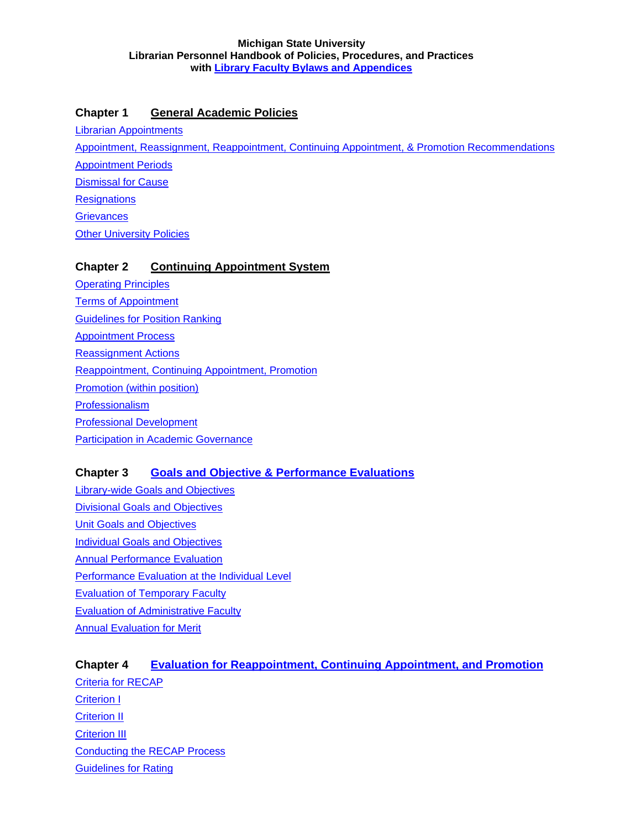## <span id="page-0-0"></span>**Chapter 1 [General Academic Policies](#page-3-0)**

[Librarian Appointments](#page-4-0)

[Appointment, Reassignment, Reappointment, Continuing Appointment, & Promotion Recommendations](#page-4-0)

[Appointment Periods](#page-5-0)

[Dismissal for Cause](#page-6-0)

**[Resignations](#page-6-0)** 

**[Grievances](#page-7-0)** 

**Other University Policies** 

## **Chapter 2 [Continuing Appointment System](#page-11-0)**

[Operating Principles](#page-12-0) [Terms of Appointment](#page-13-0) [Guidelines for Position Ranking](#page-15-0) [Appointment Process](#page-16-0) [Reassignment Actions](#page-17-0) [Reappointment, Continuing Appointment, Promotion](#page-20-0) [Promotion \(within position\)](#page-20-0) [Professionalism](#page-22-0) [Professional Development](#page-23-0) [Participation in Academic Governance](#page-24-0)

# **Chapter 3 [Goals and Objective & Performance Evaluations](#page-26-0)**

[Library-wide Goals and Objectives](#page-27-0) [Divisional Goals and Objectives](#page-27-0) **[Unit Goals and Objectives](#page-28-0)** [Individual Goals and Objectives](#page-29-0) [Annual Performance Evaluation](#page-32-0) [Performance Evaluation at the Individual Level](#page-32-0) [Evaluation of Temporary Faculty](#page-38-0) [Evaluation of Administrative Faculty](#page-39-0) [Annual Evaluation for Merit](#page-39-0)

**Chapter 4 [Evaluation for Reappointment, Continuing Appointment, and Promotion](#page-41-0)** [Criteria for RECAP](#page-42-0) [Criterion I](#page-43-0) [Criterion II](#page-46-0) [Criterion III](#page-47-0) [Conducting the RECAP Process](#page-48-0) [Guidelines for Rating](#page-53-0)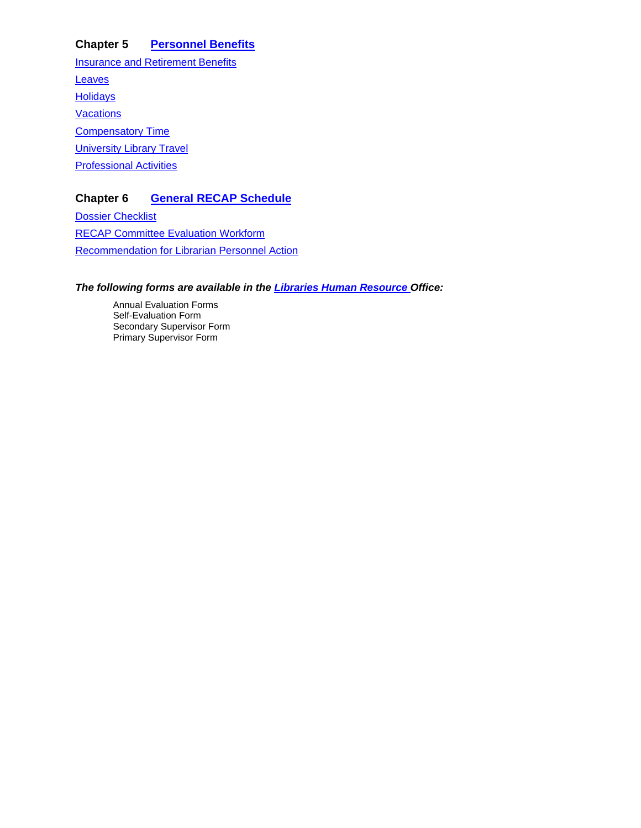## **Chapter 5 [Personnel Benefits](#page-61-0)**

**[Insurance and Retirement Benefits](#page-61-0)** [Leaves](#page-61-0) **[Holidays](#page-62-0) [Vacations](#page-62-0) [Compensatory Time](#page-63-0)** [University Library Travel](#page-63-0) **[Professional Activities](#page-23-0)** 

## **Chapter 6 [General RECAP Schedule](#page-67-0)**

[Dossier Checklist](#page-68-0) [RECAP Committee Evaluation Workform](#page-72-0) [Recommendation for Librarian Personnel Action](#page-78-0)

*The following forms are available in the [Libraries Human Resource](http://intranet.lib.msu.edu/hr/LibrarianInformation/LibrarianInformationIndex.htm#evals) Office:*

Annual Evaluation Forms Self-Evaluation Form Secondary Supervisor Form Primary Supervisor Form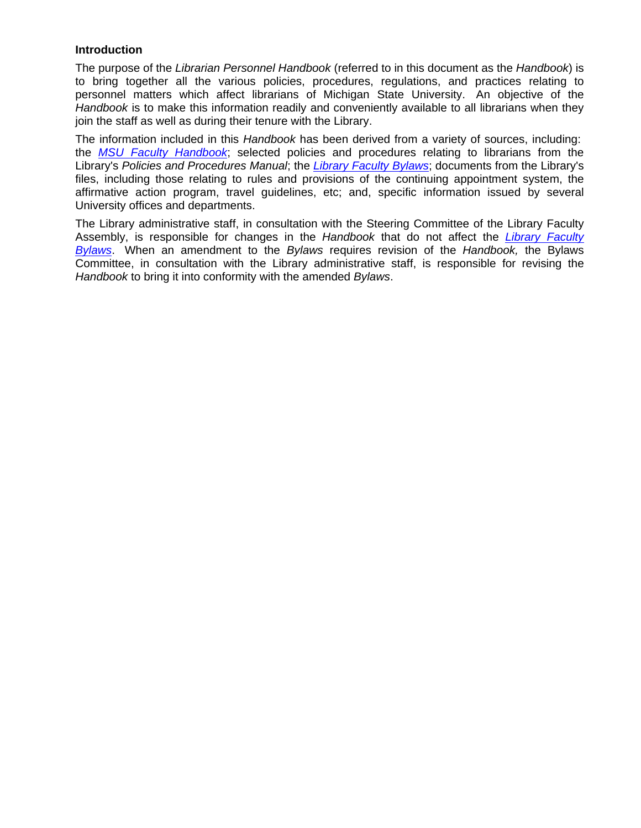### **Introduction**

The purpose of the *Librarian Personnel Handbook* (referred to in this document as the *Handbook*) is to bring together all the various policies, procedures, regulations, and practices relating to personnel matters which affect librarians of Michigan State University. An objective of the *Handbook* is to make this information readily and conveniently available to all librarians when they join the staff as well as during their tenure with the Library.

The information included in this *Handbook* has been derived from a variety of sources, including: the *[MSU Faculty Handbook](http://www.msu.edu/unit/facrecds/FacHand/academic.html)*; selected policies and procedures relating to librarians from the Library's *Policies and Procedures Manual*; the *Library Faculty Bylaws*; documents from the Library's files, including those relating to rules and provisions of the continuing appointment system, the affirmative action program, travel guidelines, etc; and, specific information issued by several University offices and departments.

The Library administrative staff, in consultation with the Steering Committee of the Library Faculty Assembly, is responsible for changes in the *Handbook* that do not affect the *[Library Faculty](#page-84-0)  [Bylaws](#page-84-0)*. When an amendment to the *Bylaws* requires revision of the *Handbook,* the Bylaws Committee, in consultation with the Library administrative staff, is responsible for revising the *Handbook* to bring it into conformity with the amended *Bylaws*.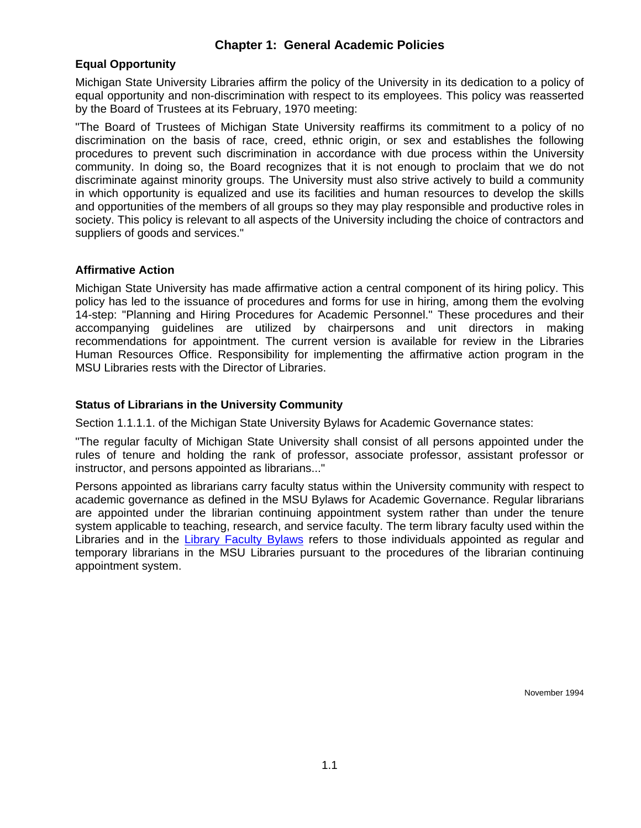## **Chapter 1: General Academic Policies**

### <span id="page-3-0"></span>**Equal Opportunity**

Michigan State University Libraries affirm the policy of the University in its dedication to a policy of equal opportunity and non-discrimination with respect to its employees. This policy was reasserted by the Board of Trustees at its February, 1970 meeting:

"The Board of Trustees of Michigan State University reaffirms its commitment to a policy of no discrimination on the basis of race, creed, ethnic origin, or sex and establishes the following procedures to prevent such discrimination in accordance with due process within the University community. In doing so, the Board recognizes that it is not enough to proclaim that we do not discriminate against minority groups. The University must also strive actively to build a community in which opportunity is equalized and use its facilities and human resources to develop the skills and opportunities of the members of all groups so they may play responsible and productive roles in society. This policy is relevant to all aspects of the University including the choice of contractors and suppliers of goods and services."

### **Affirmative Action**

Michigan State University has made affirmative action a central component of its hiring policy. This policy has led to the issuance of procedures and forms for use in hiring, among them the evolving 14-step: "Planning and Hiring Procedures for Academic Personnel." These procedures and their accompanying guidelines are utilized by chairpersons and unit directors in making recommendations for appointment. The current version is available for review in the Libraries Human Resources Office. Responsibility for implementing the affirmative action program in the MSU Libraries rests with the Director of Libraries.

### **Status of Librarians in the University Community**

Section 1.1.1.1. of the Michigan State University Bylaws for Academic Governance states:

"The regular faculty of Michigan State University shall consist of all persons appointed under the rules of tenure and holding the rank of professor, associate professor, assistant professor or instructor, and persons appointed as librarians..."

Persons appointed as librarians carry faculty status within the University community with respect to academic governance as defined in the MSU Bylaws for Academic Governance. Regular librarians are appointed under the librarian continuing appointment system rather than under the tenure system applicable to teaching, research, and service faculty. The term library faculty used within the Libraries and in the [Library Faculty Bylaws](#page-84-0) refers to those individuals appointed as regular and temporary librarians in the MSU Libraries pursuant to the procedures of the librarian continuing appointment system.

November 1994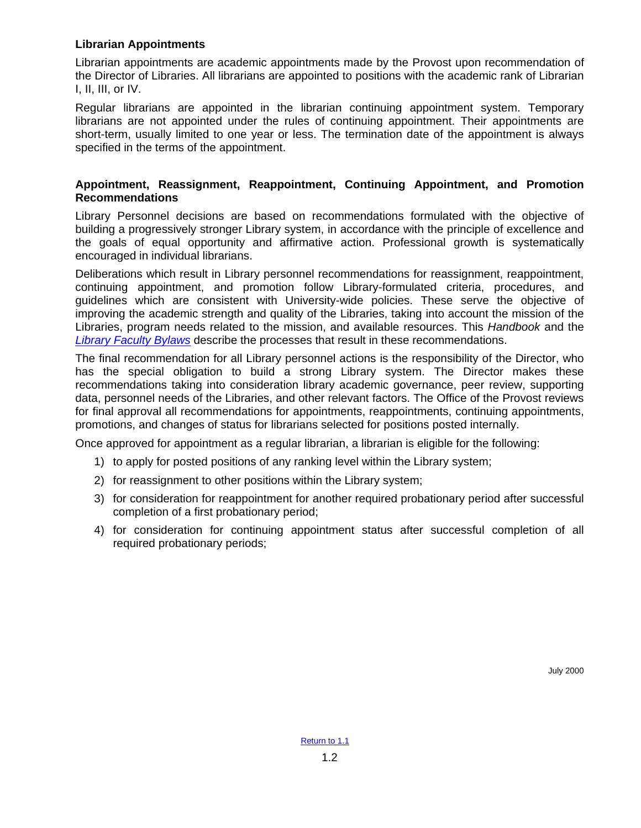### <span id="page-4-0"></span>**Librarian Appointments**

Librarian appointments are academic appointments made by the Provost upon recommendation of the Director of Libraries. All librarians are appointed to positions with the academic rank of Librarian I, II, III, or IV.

Regular librarians are appointed in the librarian continuing appointment system. Temporary librarians are not appointed under the rules of continuing appointment. Their appointments are short-term, usually limited to one year or less. The termination date of the appointment is always specified in the terms of the appointment.

### **Appointment, Reassignment, Reappointment, Continuing Appointment, and Promotion Recommendations**

Library Personnel decisions are based on recommendations formulated with the objective of building a progressively stronger Library system, in accordance with the principle of excellence and the goals of equal opportunity and affirmative action. Professional growth is systematically encouraged in individual librarians.

Deliberations which result in Library personnel recommendations for reassignment, reappointment, continuing appointment, and promotion follow Library-formulated criteria, procedures, and guidelines which are consistent with University-wide policies. These serve the objective of improving the academic strength and quality of the Libraries, taking into account the mission of the Libraries, program needs related to the mission, and available resources. This *Handbook* and the *[Library Faculty Bylaws](#page-84-0)* describe the processes that result in these recommendations.

The final recommendation for all Library personnel actions is the responsibility of the Director, who has the special obligation to build a strong Library system. The Director makes these recommendations taking into consideration library academic governance, peer review, supporting data, personnel needs of the Libraries, and other relevant factors. The Office of the Provost reviews for final approval all recommendations for appointments, reappointments, continuing appointments, promotions, and changes of status for librarians selected for positions posted internally.

Once approved for appointment as a regular librarian, a librarian is eligible for the following:

- 1) to apply for posted positions of any ranking level within the Library system;
- 2) for reassignment to other positions within the Library system;
- 3) for consideration for reappointment for another required probationary period after successful completion of a first probationary period;
- 4) for consideration for continuing appointment status after successful completion of all required probationary periods;

July 2000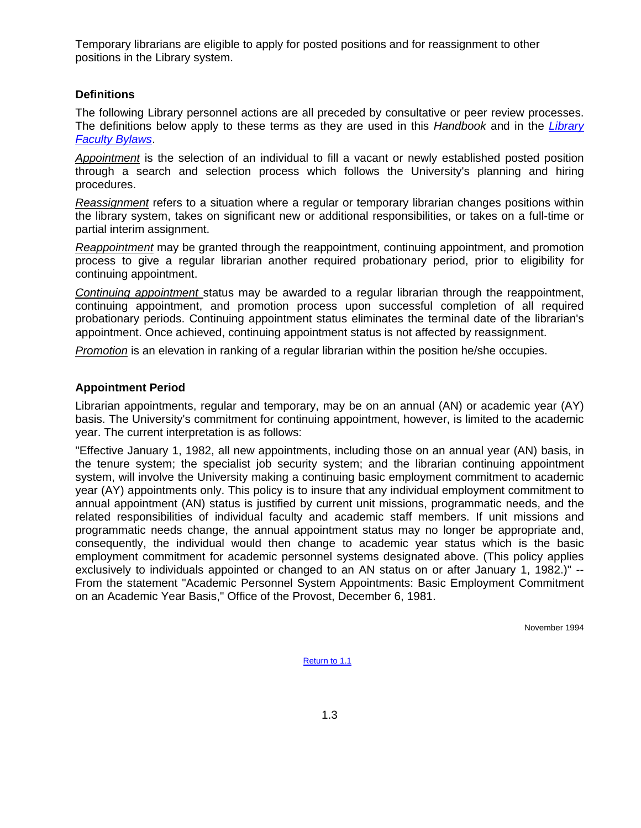<span id="page-5-0"></span>Temporary librarians are eligible to apply for posted positions and for reassignment to other positions in the Library system.

#### **Definitions**

The following Library personnel actions are all preceded by consultative or peer review processes. The definitions below apply to these terms as they are used in this *Handbook* and in the *[Library](#page-84-0)  [Faculty Bylaws](#page-84-0)*.

*Appointment* is the selection of an individual to fill a vacant or newly established posted position through a search and selection process which follows the University's planning and hiring procedures.

*Reassignment* refers to a situation where a regular or temporary librarian changes positions within the library system, takes on significant new or additional responsibilities, or takes on a full-time or partial interim assignment.

*Reappointment* may be granted through the reappointment, continuing appointment, and promotion process to give a regular librarian another required probationary period, prior to eligibility for continuing appointment.

*Continuing appointment* status may be awarded to a regular librarian through the reappointment, continuing appointment, and promotion process upon successful completion of all required probationary periods. Continuing appointment status eliminates the terminal date of the librarian's appointment. Once achieved, continuing appointment status is not affected by reassignment.

*Promotion* is an elevation in ranking of a regular librarian within the position he/she occupies.

### **Appointment Period**

Librarian appointments, regular and temporary, may be on an annual (AN) or academic year (AY) basis. The University's commitment for continuing appointment, however, is limited to the academic year. The current interpretation is as follows:

"Effective January 1, 1982, all new appointments, including those on an annual year (AN) basis, in the tenure system; the specialist job security system; and the librarian continuing appointment system, will involve the University making a continuing basic employment commitment to academic year (AY) appointments only. This policy is to insure that any individual employment commitment to annual appointment (AN) status is justified by current unit missions, programmatic needs, and the related responsibilities of individual faculty and academic staff members. If unit missions and programmatic needs change, the annual appointment status may no longer be appropriate and, consequently, the individual would then change to academic year status which is the basic employment commitment for academic personnel systems designated above. (This policy applies exclusively to individuals appointed or changed to an AN status on or after January 1, 1982.)" -- From the statement "Academic Personnel System Appointments: Basic Employment Commitment on an Academic Year Basis," Office of the Provost, December 6, 1981.

November 1994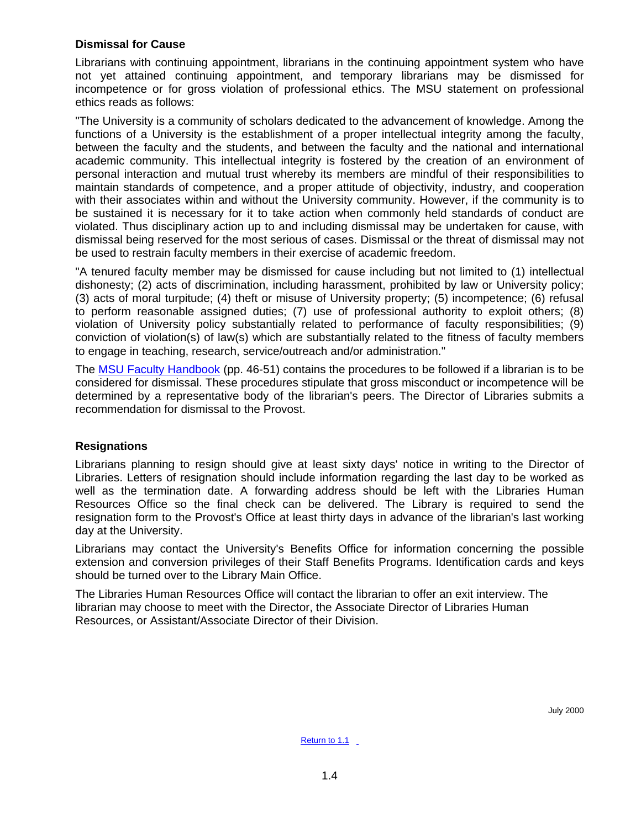### <span id="page-6-0"></span>**Dismissal for Cause**

Librarians with continuing appointment, librarians in the continuing appointment system who have not yet attained continuing appointment, and temporary librarians may be dismissed for incompetence or for gross violation of professional ethics. The MSU statement on professional ethics reads as follows:

"The University is a community of scholars dedicated to the advancement of knowledge. Among the functions of a University is the establishment of a proper intellectual integrity among the faculty, between the faculty and the students, and between the faculty and the national and international academic community. This intellectual integrity is fostered by the creation of an environment of personal interaction and mutual trust whereby its members are mindful of their responsibilities to maintain standards of competence, and a proper attitude of objectivity, industry, and cooperation with their associates within and without the University community. However, if the community is to be sustained it is necessary for it to take action when commonly held standards of conduct are violated. Thus disciplinary action up to and including dismissal may be undertaken for cause, with dismissal being reserved for the most serious of cases. Dismissal or the threat of dismissal may not be used to restrain faculty members in their exercise of academic freedom.

"A tenured faculty member may be dismissed for cause including but not limited to (1) intellectual dishonesty; (2) acts of discrimination, including harassment, prohibited by law or University policy; (3) acts of moral turpitude; (4) theft or misuse of University property; (5) incompetence; (6) refusal to perform reasonable assigned duties; (7) use of professional authority to exploit others; (8) violation of University policy substantially related to performance of faculty responsibilities; (9) conviction of violation(s) of law(s) which are substantially related to the fitness of faculty members to engage in teaching, research, service/outreach and/or administration."

The [MSU Faculty Handbook](http://www.msu.edu/unit/facrecds/FacHand/academic.html) (pp. 46-51) contains the procedures to be followed if a librarian is to be considered for dismissal. These procedures stipulate that gross misconduct or incompetence will be determined by a representative body of the librarian's peers. The Director of Libraries submits a recommendation for dismissal to the Provost.

### **Resignations**

Librarians planning to resign should give at least sixty days' notice in writing to the Director of Libraries. Letters of resignation should include information regarding the last day to be worked as well as the termination date. A forwarding address should be left with the Libraries Human Resources Office so the final check can be delivered. The Library is required to send the resignation form to the Provost's Office at least thirty days in advance of the librarian's last working day at the University.

Librarians may contact the University's Benefits Office for information concerning the possible extension and conversion privileges of their Staff Benefits Programs. Identification cards and keys should be turned over to the Library Main Office.

The Libraries Human Resources Office will contact the librarian to offer an exit interview. The librarian may choose to meet with the Director, the Associate Director of Libraries Human Resources, or Assistant/Associate Director of their Division.

July 2000

[Return to 1.1](#page-3-0) \_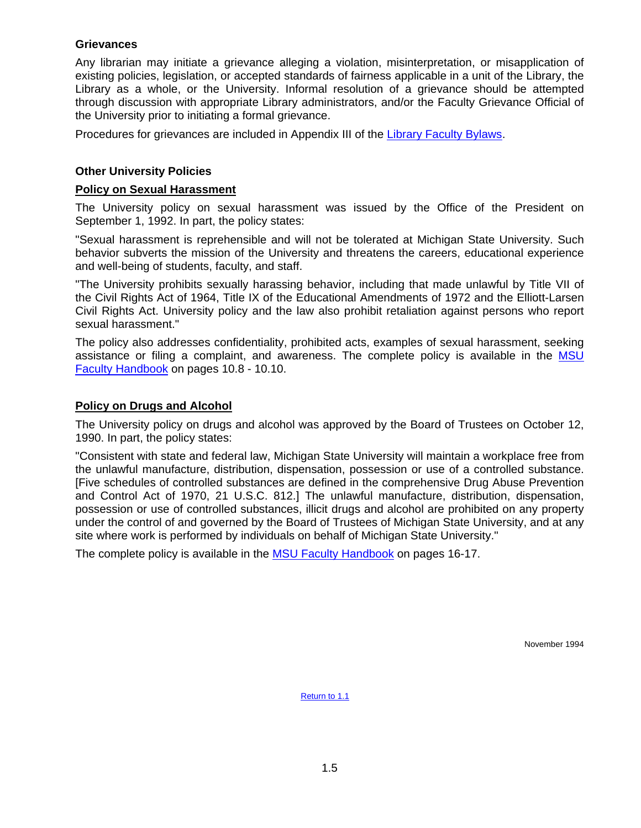### <span id="page-7-0"></span>**Grievances**

Any librarian may initiate a grievance alleging a violation, misinterpretation, or misapplication of existing policies, legislation, or accepted standards of fairness applicable in a unit of the Library, the Library as a whole, or the University. Informal resolution of a grievance should be attempted through discussion with appropriate Library administrators, and/or the Faculty Grievance Official of the University prior to initiating a formal grievance.

Procedures for grievances are included in Appendix III of the [Library Faculty Bylaws.](#page-84-0)

### **Other University Policies**

#### **Policy on Sexual Harassment**

The University policy on sexual harassment was issued by the Office of the President on September 1, 1992. In part, the policy states:

"Sexual harassment is reprehensible and will not be tolerated at Michigan State University. Such behavior subverts the mission of the University and threatens the careers, educational experience and well-being of students, faculty, and staff.

"The University prohibits sexually harassing behavior, including that made unlawful by Title VII of the Civil Rights Act of 1964, Title IX of the Educational Amendments of 1972 and the Elliott-Larsen Civil Rights Act. University policy and the law also prohibit retaliation against persons who report sexual harassment."

The policy also addresses confidentiality, prohibited acts, examples of sexual harassment, seeking assistance or filing a complaint, and awareness. The complete policy is available in the [MSU](http://www.msu.edu/unit/facrecds/FacHand/academic.html)  [Faculty Handbook](http://www.msu.edu/unit/facrecds/FacHand/academic.html) on pages 10.8 - 10.10.

### **Policy on Drugs and Alcohol**

The University policy on drugs and alcohol was approved by the Board of Trustees on October 12, 1990. In part, the policy states:

"Consistent with state and federal law, Michigan State University will maintain a workplace free from the unlawful manufacture, distribution, dispensation, possession or use of a controlled substance. [Five schedules of controlled substances are defined in the comprehensive Drug Abuse Prevention and Control Act of 1970, 21 U.S.C. 812.] The unlawful manufacture, distribution, dispensation, possession or use of controlled substances, illicit drugs and alcohol are prohibited on any property under the control of and governed by the Board of Trustees of Michigan State University, and at any site where work is performed by individuals on behalf of Michigan State University."

The complete policy is available in the [MSU Faculty Handbook](http://www.msu.edu/unit/facrecds/FacHand/academic.html) on pages 16-17.

November 1994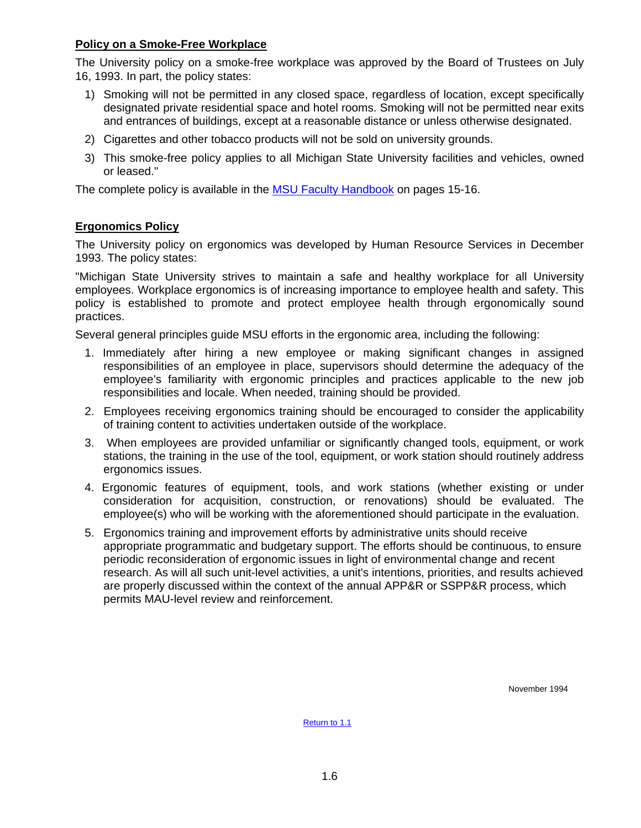### **Policy on a Smoke-Free Workplace**

The University policy on a smoke-free workplace was approved by the Board of Trustees on July 16, 1993. In part, the policy states:

- 1) Smoking will not be permitted in any closed space, regardless of location, except specifically designated private residential space and hotel rooms. Smoking will not be permitted near exits and entrances of buildings, except at a reasonable distance or unless otherwise designated.
- 2) Cigarettes and other tobacco products will not be sold on university grounds.
- 3) This smoke-free policy applies to all Michigan State University facilities and vehicles, owned or leased."

The complete policy is available in the [MSU Faculty Handbook](http://www.msu.edu/unit/facrecds/FacHand/academic.html) on pages 15-16.

### **Ergonomics Policy**

The University policy on ergonomics was developed by Human Resource Services in December 1993. The policy states:

"Michigan State University strives to maintain a safe and healthy workplace for all University employees. Workplace ergonomics is of increasing importance to employee health and safety. This policy is established to promote and protect employee health through ergonomically sound practices.

Several general principles guide MSU efforts in the ergonomic area, including the following:

- 1. Immediately after hiring a new employee or making significant changes in assigned responsibilities of an employee in place, supervisors should determine the adequacy of the employee's familiarity with ergonomic principles and practices applicable to the new job responsibilities and locale. When needed, training should be provided.
- 2. Employees receiving ergonomics training should be encouraged to consider the applicability of training content to activities undertaken outside of the workplace.
- 3. When employees are provided unfamiliar or significantly changed tools, equipment, or work stations, the training in the use of the tool, equipment, or work station should routinely address ergonomics issues.
- 4. Ergonomic features of equipment, tools, and work stations (whether existing or under consideration for acquisition, construction, or renovations) should be evaluated. The employee(s) who will be working with the aforementioned should participate in the evaluation.
- 5. Ergonomics training and improvement efforts by administrative units should receive appropriate programmatic and budgetary support. The efforts should be continuous, to ensure periodic reconsideration of ergonomic issues in light of environmental change and recent research. As will all such unit-level activities, a unit's intentions, priorities, and results achieved are properly discussed within the context of the annual APP&R or SSPP&R process, which permits MAU-level review and reinforcement.

November 1994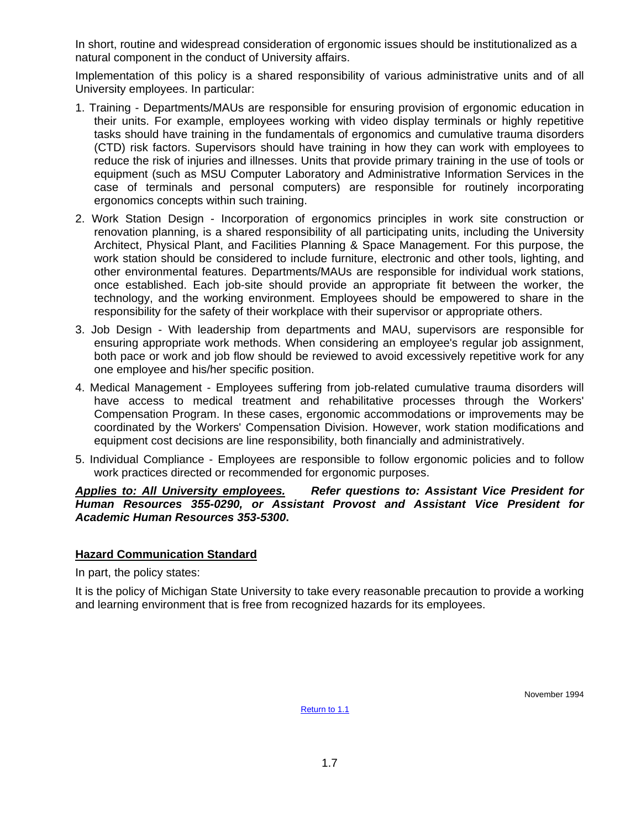In short, routine and widespread consideration of ergonomic issues should be institutionalized as a natural component in the conduct of University affairs.

Implementation of this policy is a shared responsibility of various administrative units and of all University employees. In particular:

- 1. Training Departments/MAUs are responsible for ensuring provision of ergonomic education in their units. For example, employees working with video display terminals or highly repetitive tasks should have training in the fundamentals of ergonomics and cumulative trauma disorders (CTD) risk factors. Supervisors should have training in how they can work with employees to reduce the risk of injuries and illnesses. Units that provide primary training in the use of tools or equipment (such as MSU Computer Laboratory and Administrative Information Services in the case of terminals and personal computers) are responsible for routinely incorporating ergonomics concepts within such training.
- 2. Work Station Design Incorporation of ergonomics principles in work site construction or renovation planning, is a shared responsibility of all participating units, including the University Architect, Physical Plant, and Facilities Planning & Space Management. For this purpose, the work station should be considered to include furniture, electronic and other tools, lighting, and other environmental features. Departments/MAUs are responsible for individual work stations, once established. Each job-site should provide an appropriate fit between the worker, the technology, and the working environment. Employees should be empowered to share in the responsibility for the safety of their workplace with their supervisor or appropriate others.
- 3. Job Design With leadership from departments and MAU, supervisors are responsible for ensuring appropriate work methods. When considering an employee's regular job assignment, both pace or work and job flow should be reviewed to avoid excessively repetitive work for any one employee and his/her specific position.
- 4. Medical Management Employees suffering from job-related cumulative trauma disorders will have access to medical treatment and rehabilitative processes through the Workers' Compensation Program. In these cases, ergonomic accommodations or improvements may be coordinated by the Workers' Compensation Division. However, work station modifications and equipment cost decisions are line responsibility, both financially and administratively.
- 5. Individual Compliance Employees are responsible to follow ergonomic policies and to follow work practices directed or recommended for ergonomic purposes.

### *Applies to: All University employees. Refer questions to: Assistant Vice President for Human Resources 355-0290, or Assistant Provost and Assistant Vice President for Academic Human Resources 353-5300***.**

### **Hazard Communication Standard**

In part, the policy states:

It is the policy of Michigan State University to take every reasonable precaution to provide a working and learning environment that is free from recognized hazards for its employees.

November 1994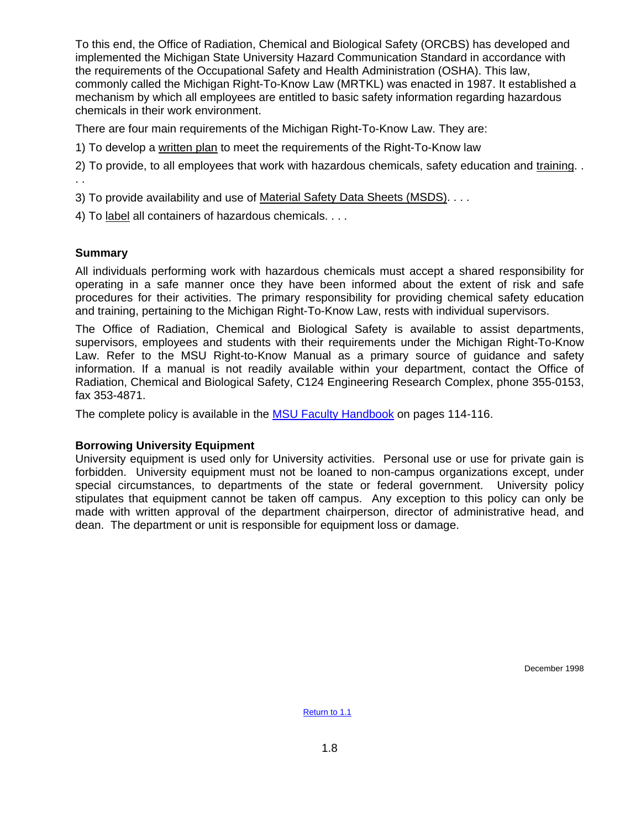To this end, the Office of Radiation, Chemical and Biological Safety (ORCBS) has developed and implemented the Michigan State University Hazard Communication Standard in accordance with the requirements of the Occupational Safety and Health Administration (OSHA). This law, commonly called the Michigan Right-To-Know Law (MRTKL) was enacted in 1987. It established a mechanism by which all employees are entitled to basic safety information regarding hazardous chemicals in their work environment.

There are four main requirements of the Michigan Right-To-Know Law. They are:

1) To develop a written plan to meet the requirements of the Right-To-Know law

2) To provide, to all employees that work with hazardous chemicals, safety education and training. . . .

3) To provide availability and use of Material Safety Data Sheets (MSDS). . . .

4) To label all containers of hazardous chemicals. . . .

### **Summary**

All individuals performing work with hazardous chemicals must accept a shared responsibility for operating in a safe manner once they have been informed about the extent of risk and safe procedures for their activities. The primary responsibility for providing chemical safety education and training, pertaining to the Michigan Right-To-Know Law, rests with individual supervisors.

The Office of Radiation, Chemical and Biological Safety is available to assist departments, supervisors, employees and students with their requirements under the Michigan Right-To-Know Law. Refer to the MSU Right-to-Know Manual as a primary source of guidance and safety information. If a manual is not readily available within your department, contact the Office of Radiation, Chemical and Biological Safety, C124 Engineering Research Complex, phone 355-0153, fax 353-4871.

The complete policy is available in the **MSU Faculty Handbook** on pages 114-116.

### **Borrowing University Equipment**

University equipment is used only for University activities. Personal use or use for private gain is forbidden. University equipment must not be loaned to non-campus organizations except, under special circumstances, to departments of the state or federal government. University policy stipulates that equipment cannot be taken off campus. Any exception to this policy can only be made with written approval of the department chairperson, director of administrative head, and dean. The department or unit is responsible for equipment loss or damage.

December 1998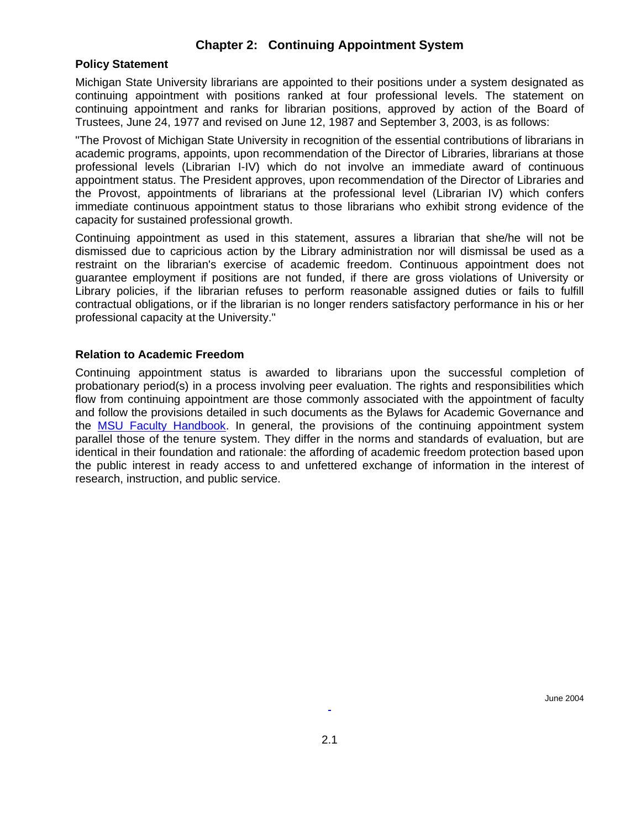## **Chapter 2: Continuing Appointment System**

#### <span id="page-11-0"></span>**Policy Statement**

Michigan State University librarians are appointed to their positions under a system designated as continuing appointment with positions ranked at four professional levels. The statement on continuing appointment and ranks for librarian positions, approved by action of the Board of Trustees, June 24, 1977 and revised on June 12, 1987 and September 3, 2003, is as follows:

"The Provost of Michigan State University in recognition of the essential contributions of librarians in academic programs, appoints, upon recommendation of the Director of Libraries, librarians at those professional levels (Librarian I-IV) which do not involve an immediate award of continuous appointment status. The President approves, upon recommendation of the Director of Libraries and the Provost, appointments of librarians at the professional level (Librarian IV) which confers immediate continuous appointment status to those librarians who exhibit strong evidence of the capacity for sustained professional growth.

Continuing appointment as used in this statement, assures a librarian that she/he will not be dismissed due to capricious action by the Library administration nor will dismissal be used as a restraint on the librarian's exercise of academic freedom. Continuous appointment does not guarantee employment if positions are not funded, if there are gross violations of University or Library policies, if the librarian refuses to perform reasonable assigned duties or fails to fulfill contractual obligations, or if the librarian is no longer renders satisfactory performance in his or her professional capacity at the University."

#### **Relation to Academic Freedom**

Continuing appointment status is awarded to librarians upon the successful completion of probationary period(s) in a process involving peer evaluation. The rights and responsibilities which flow from continuing appointment are those commonly associated with the appointment of faculty and follow the provisions detailed in such documents as the Bylaws for Academic Governance and the **MSU Faculty Handbook**. In general, the provisions of the continuing appointment system parallel those of the tenure system. They differ in the norms and standards of evaluation, but are identical in their foundation and rationale: the affording of academic freedom protection based upon the public interest in ready access to and unfettered exchange of information in the interest of research, instruction, and public service.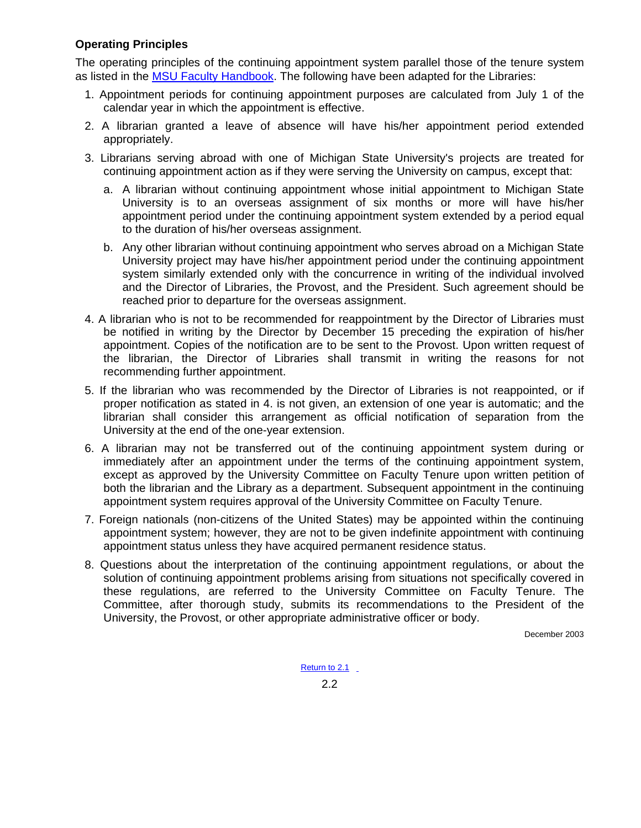## <span id="page-12-0"></span>**Operating Principles**

The operating principles of the continuing appointment system parallel those of the tenure system as listed in the [MSU Faculty Handbook.](http://www.msu.edu/unit/facrecds/FacHand/academic.html) The following have been adapted for the Libraries:

- 1. Appointment periods for continuing appointment purposes are calculated from July 1 of the calendar year in which the appointment is effective.
- 2. A librarian granted a leave of absence will have his/her appointment period extended appropriately.
- 3. Librarians serving abroad with one of Michigan State University's projects are treated for continuing appointment action as if they were serving the University on campus, except that:
	- a. A librarian without continuing appointment whose initial appointment to Michigan State University is to an overseas assignment of six months or more will have his/her appointment period under the continuing appointment system extended by a period equal to the duration of his/her overseas assignment.
	- b. Any other librarian without continuing appointment who serves abroad on a Michigan State University project may have his/her appointment period under the continuing appointment system similarly extended only with the concurrence in writing of the individual involved and the Director of Libraries, the Provost, and the President. Such agreement should be reached prior to departure for the overseas assignment.
- 4. A librarian who is not to be recommended for reappointment by the Director of Libraries must be notified in writing by the Director by December 15 preceding the expiration of his/her appointment. Copies of the notification are to be sent to the Provost. Upon written request of the librarian, the Director of Libraries shall transmit in writing the reasons for not recommending further appointment.
- 5. If the librarian who was recommended by the Director of Libraries is not reappointed, or if proper notification as stated in 4. is not given, an extension of one year is automatic; and the librarian shall consider this arrangement as official notification of separation from the University at the end of the one-year extension.
- 6. A librarian may not be transferred out of the continuing appointment system during or immediately after an appointment under the terms of the continuing appointment system, except as approved by the University Committee on Faculty Tenure upon written petition of both the librarian and the Library as a department. Subsequent appointment in the continuing appointment system requires approval of the University Committee on Faculty Tenure.
- 7. Foreign nationals (non-citizens of the United States) may be appointed within the continuing appointment system; however, they are not to be given indefinite appointment with continuing appointment status unless they have acquired permanent residence status.
- 8. Questions about the interpretation of the continuing appointment regulations, or about the solution of continuing appointment problems arising from situations not specifically covered in these regulations, are referred to the University Committee on Faculty Tenure. The Committee, after thorough study, submits its recommendations to the President of the University, the Provost, or other appropriate administrative officer or body.

December 2003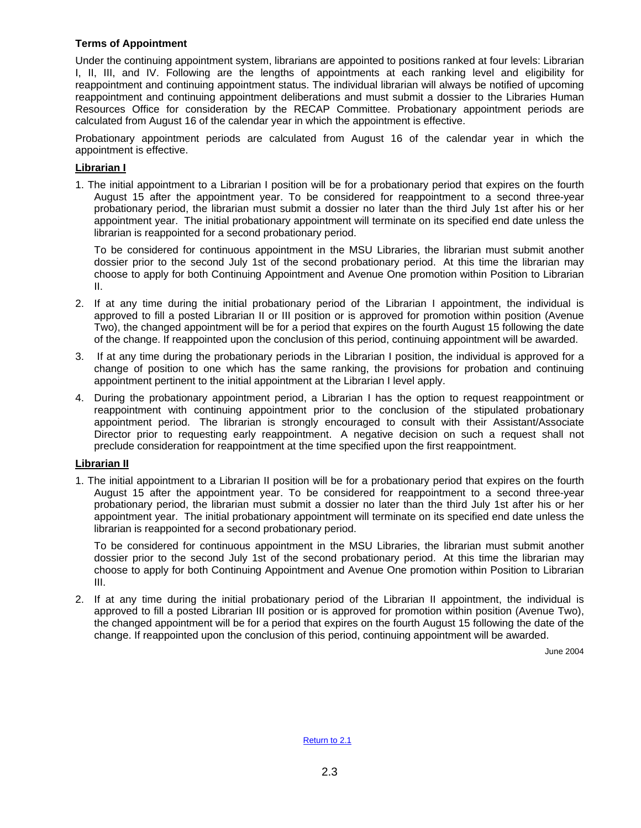#### <span id="page-13-0"></span>**Terms of Appointment**

Under the continuing appointment system, librarians are appointed to positions ranked at four levels: Librarian I, II, III, and IV. Following are the lengths of appointments at each ranking level and eligibility for reappointment and continuing appointment status. The individual librarian will always be notified of upcoming reappointment and continuing appointment deliberations and must submit a dossier to the Libraries Human Resources Office for consideration by the RECAP Committee. Probationary appointment periods are calculated from August 16 of the calendar year in which the appointment is effective.

Probationary appointment periods are calculated from August 16 of the calendar year in which the appointment is effective.

#### **Librarian I**

1. The initial appointment to a Librarian I position will be for a probationary period that expires on the fourth August 15 after the appointment year. To be considered for reappointment to a second three-year probationary period, the librarian must submit a dossier no later than the third July 1st after his or her appointment year. The initial probationary appointment will terminate on its specified end date unless the librarian is reappointed for a second probationary period.

To be considered for continuous appointment in the MSU Libraries, the librarian must submit another dossier prior to the second July 1st of the second probationary period. At this time the librarian may choose to apply for both Continuing Appointment and Avenue One promotion within Position to Librarian II.

- 2. If at any time during the initial probationary period of the Librarian I appointment, the individual is approved to fill a posted Librarian II or III position or is approved for promotion within position (Avenue Two), the changed appointment will be for a period that expires on the fourth August 15 following the date of the change. If reappointed upon the conclusion of this period, continuing appointment will be awarded.
- 3. If at any time during the probationary periods in the Librarian I position, the individual is approved for a change of position to one which has the same ranking, the provisions for probation and continuing appointment pertinent to the initial appointment at the Librarian I level apply.
- 4. During the probationary appointment period, a Librarian I has the option to request reappointment or reappointment with continuing appointment prior to the conclusion of the stipulated probationary appointment period. The librarian is strongly encouraged to consult with their Assistant/Associate Director prior to requesting early reappointment. A negative decision on such a request shall not preclude consideration for reappointment at the time specified upon the first reappointment.

#### **Librarian II**

1. The initial appointment to a Librarian II position will be for a probationary period that expires on the fourth August 15 after the appointment year. To be considered for reappointment to a second three-year probationary period, the librarian must submit a dossier no later than the third July 1st after his or her appointment year. The initial probationary appointment will terminate on its specified end date unless the librarian is reappointed for a second probationary period.

To be considered for continuous appointment in the MSU Libraries, the librarian must submit another dossier prior to the second July 1st of the second probationary period. At this time the librarian may choose to apply for both Continuing Appointment and Avenue One promotion within Position to Librarian III.

2. If at any time during the initial probationary period of the Librarian II appointment, the individual is approved to fill a posted Librarian III position or is approved for promotion within position (Avenue Two), the changed appointment will be for a period that expires on the fourth August 15 following the date of the change. If reappointed upon the conclusion of this period, continuing appointment will be awarded.

June 2004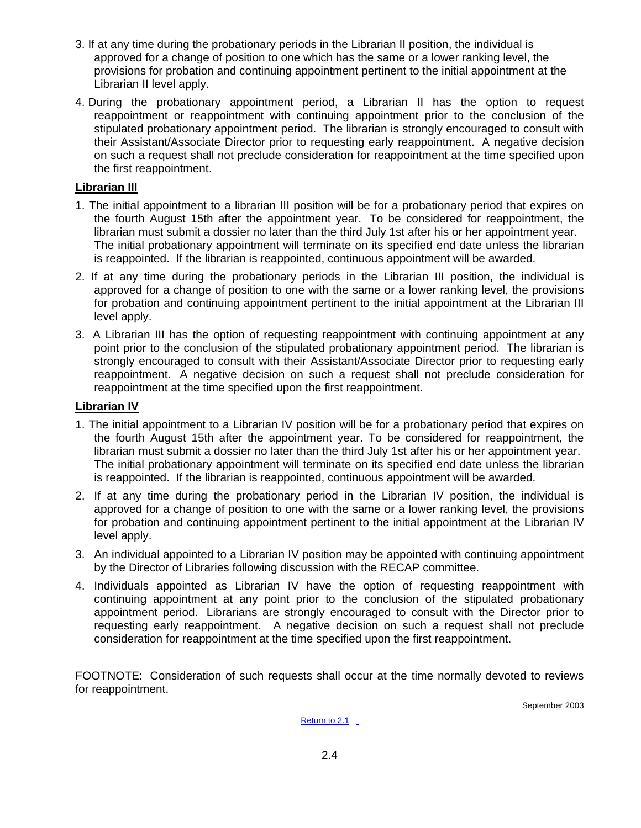- 3. If at any time during the probationary periods in the Librarian II position, the individual is approved for a change of position to one which has the same or a lower ranking level, the provisions for probation and continuing appointment pertinent to the initial appointment at the Librarian II level apply.
- 4. During the probationary appointment period, a Librarian II has the option to request reappointment or reappointment with continuing appointment prior to the conclusion of the stipulated probationary appointment period. The librarian is strongly encouraged to consult with their Assistant/Associate Director prior to requesting early reappointment. A negative decision on such a request shall not preclude consideration for reappointment at the time specified upon the first reappointment.

## **Librarian III**

- 1. The initial appointment to a librarian III position will be for a probationary period that expires on the fourth August 15th after the appointment year. To be considered for reappointment, the librarian must submit a dossier no later than the third July 1st after his or her appointment year. The initial probationary appointment will terminate on its specified end date unless the librarian is reappointed. If the librarian is reappointed, continuous appointment will be awarded.
- 2. If at any time during the probationary periods in the Librarian III position, the individual is approved for a change of position to one with the same or a lower ranking level, the provisions for probation and continuing appointment pertinent to the initial appointment at the Librarian III level apply.
- 3. A Librarian III has the option of requesting reappointment with continuing appointment at any point prior to the conclusion of the stipulated probationary appointment period. The librarian is strongly encouraged to consult with their Assistant/Associate Director prior to requesting early reappointment. A negative decision on such a request shall not preclude consideration for reappointment at the time specified upon the first reappointment.

### **Librarian IV**

- 1. The initial appointment to a Librarian IV position will be for a probationary period that expires on the fourth August 15th after the appointment year. To be considered for reappointment, the librarian must submit a dossier no later than the third July 1st after his or her appointment year. The initial probationary appointment will terminate on its specified end date unless the librarian is reappointed. If the librarian is reappointed, continuous appointment will be awarded.
- 2. If at any time during the probationary period in the Librarian IV position, the individual is approved for a change of position to one with the same or a lower ranking level, the provisions for probation and continuing appointment pertinent to the initial appointment at the Librarian IV level apply.
- 3. An individual appointed to a Librarian IV position may be appointed with continuing appointment by the Director of Libraries following discussion with the RECAP committee.
- 4. Individuals appointed as Librarian IV have the option of requesting reappointment with continuing appointment at any point prior to the conclusion of the stipulated probationary appointment period. Librarians are strongly encouraged to consult with the Director prior to requesting early reappointment. A negative decision on such a request shall not preclude consideration for reappointment at the time specified upon the first reappointment.

FOOTNOTE: Consideration of such requests shall occur at the time normally devoted to reviews for reappointment.

September 2003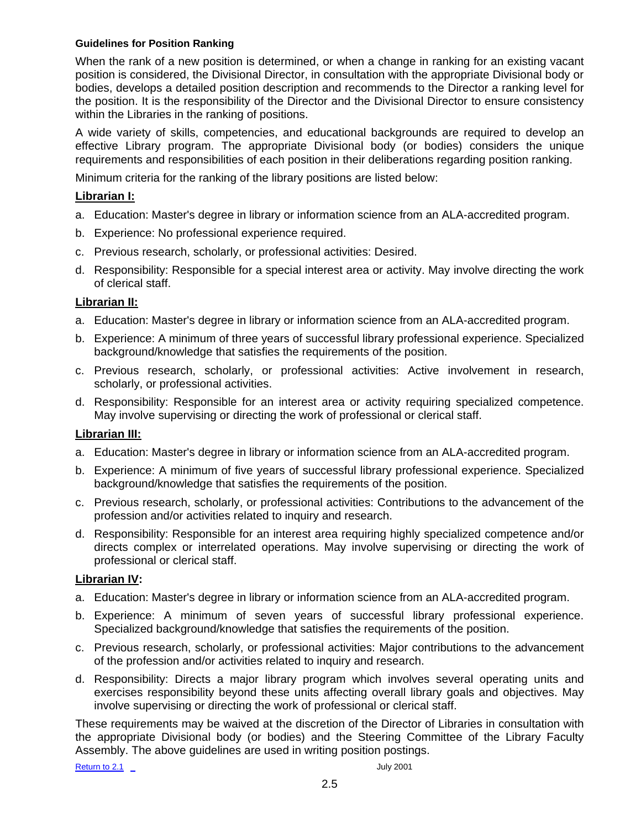#### <span id="page-15-0"></span>**Guidelines for Position Ranking**

When the rank of a new position is determined, or when a change in ranking for an existing vacant position is considered, the Divisional Director, in consultation with the appropriate Divisional body or bodies, develops a detailed position description and recommends to the Director a ranking level for the position. It is the responsibility of the Director and the Divisional Director to ensure consistency within the Libraries in the ranking of positions.

A wide variety of skills, competencies, and educational backgrounds are required to develop an effective Library program. The appropriate Divisional body (or bodies) considers the unique requirements and responsibilities of each position in their deliberations regarding position ranking.

Minimum criteria for the ranking of the library positions are listed below:

### **Librarian I:**

- a. Education: Master's degree in library or information science from an ALA-accredited program.
- b. Experience: No professional experience required.
- c. Previous research, scholarly, or professional activities: Desired.
- d. Responsibility: Responsible for a special interest area or activity. May involve directing the work of clerical staff.

### **Librarian II:**

- a. Education: Master's degree in library or information science from an ALA-accredited program.
- b. Experience: A minimum of three years of successful library professional experience. Specialized background/knowledge that satisfies the requirements of the position.
- c. Previous research, scholarly, or professional activities: Active involvement in research, scholarly, or professional activities.
- d. Responsibility: Responsible for an interest area or activity requiring specialized competence. May involve supervising or directing the work of professional or clerical staff.

### **Librarian III:**

- a. Education: Master's degree in library or information science from an ALA-accredited program.
- b. Experience: A minimum of five years of successful library professional experience. Specialized background/knowledge that satisfies the requirements of the position.
- c. Previous research, scholarly, or professional activities: Contributions to the advancement of the profession and/or activities related to inquiry and research.
- d. Responsibility: Responsible for an interest area requiring highly specialized competence and/or directs complex or interrelated operations. May involve supervising or directing the work of professional or clerical staff.

#### **Librarian IV:**

- a. Education: Master's degree in library or information science from an ALA-accredited program.
- b. Experience: A minimum of seven years of successful library professional experience. Specialized background/knowledge that satisfies the requirements of the position.
- c. Previous research, scholarly, or professional activities: Major contributions to the advancement of the profession and/or activities related to inquiry and research.
- d. Responsibility: Directs a major library program which involves several operating units and exercises responsibility beyond these units affecting overall library goals and objectives. May involve supervising or directing the work of professional or clerical staff.

These requirements may be waived at the discretion of the Director of Libraries in consultation with the appropriate Divisional body (or bodies) and the Steering Committee of the Library Faculty Assembly. The above guidelines are used in writing position postings.

[Return to 2.1](#page-11-0) July 2001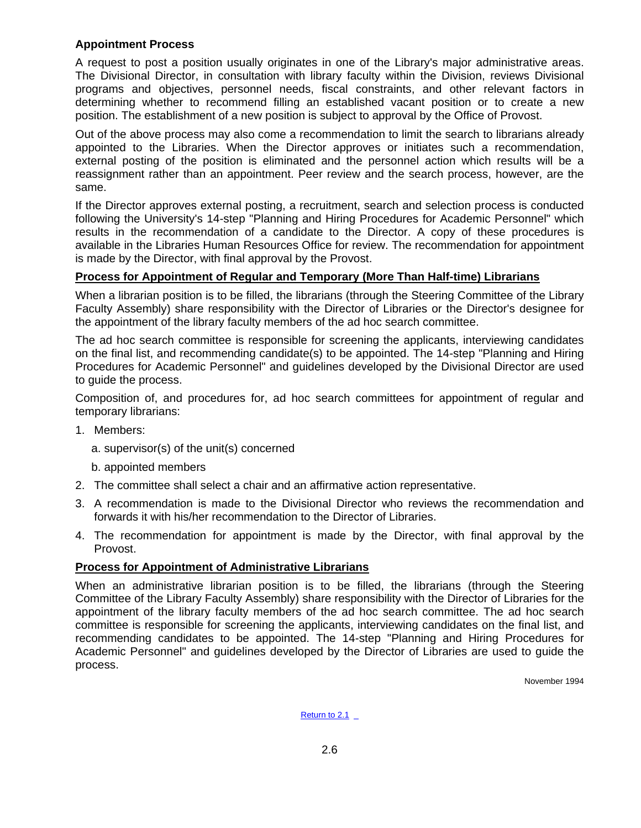### <span id="page-16-0"></span>**Appointment Process**

A request to post a position usually originates in one of the Library's major administrative areas. The Divisional Director, in consultation with library faculty within the Division, reviews Divisional programs and objectives, personnel needs, fiscal constraints, and other relevant factors in determining whether to recommend filling an established vacant position or to create a new position. The establishment of a new position is subject to approval by the Office of Provost.

Out of the above process may also come a recommendation to limit the search to librarians already appointed to the Libraries. When the Director approves or initiates such a recommendation, external posting of the position is eliminated and the personnel action which results will be a reassignment rather than an appointment. Peer review and the search process, however, are the same.

If the Director approves external posting, a recruitment, search and selection process is conducted following the University's 14-step "Planning and Hiring Procedures for Academic Personnel" which results in the recommendation of a candidate to the Director. A copy of these procedures is available in the Libraries Human Resources Office for review. The recommendation for appointment is made by the Director, with final approval by the Provost.

### **Process for Appointment of Regular and Temporary (More Than Half-time) Librarians**

When a librarian position is to be filled, the librarians (through the Steering Committee of the Library Faculty Assembly) share responsibility with the Director of Libraries or the Director's designee for the appointment of the library faculty members of the ad hoc search committee.

The ad hoc search committee is responsible for screening the applicants, interviewing candidates on the final list, and recommending candidate(s) to be appointed. The 14-step "Planning and Hiring Procedures for Academic Personnel" and guidelines developed by the Divisional Director are used to guide the process.

Composition of, and procedures for, ad hoc search committees for appointment of regular and temporary librarians:

- 1. Members:
	- a. supervisor(s) of the unit(s) concerned
	- b. appointed members
- 2. The committee shall select a chair and an affirmative action representative.
- 3. A recommendation is made to the Divisional Director who reviews the recommendation and forwards it with his/her recommendation to the Director of Libraries.
- 4. The recommendation for appointment is made by the Director, with final approval by the Provost.

### **Process for Appointment of Administrative Librarians**

When an administrative librarian position is to be filled, the librarians (through the Steering Committee of the Library Faculty Assembly) share responsibility with the Director of Libraries for the appointment of the library faculty members of the ad hoc search committee. The ad hoc search committee is responsible for screening the applicants, interviewing candidates on the final list, and recommending candidates to be appointed. The 14-step "Planning and Hiring Procedures for Academic Personnel" and guidelines developed by the Director of Libraries are used to guide the process.

November 1994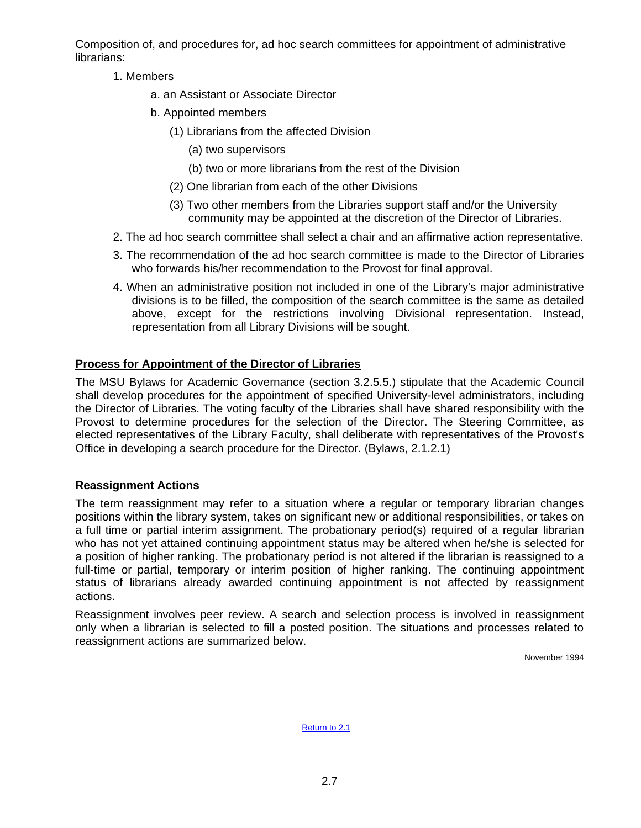<span id="page-17-0"></span>Composition of, and procedures for, ad hoc search committees for appointment of administrative librarians:

- 1. Members
	- a. an Assistant or Associate Director
	- b. Appointed members
		- (1) Librarians from the affected Division
			- (a) two supervisors
			- (b) two or more librarians from the rest of the Division
		- (2) One librarian from each of the other Divisions
		- (3) Two other members from the Libraries support staff and/or the University community may be appointed at the discretion of the Director of Libraries.
- 2. The ad hoc search committee shall select a chair and an affirmative action representative.
- 3. The recommendation of the ad hoc search committee is made to the Director of Libraries who forwards his/her recommendation to the Provost for final approval.
- 4. When an administrative position not included in one of the Library's major administrative divisions is to be filled, the composition of the search committee is the same as detailed above, except for the restrictions involving Divisional representation. Instead, representation from all Library Divisions will be sought.

# **Process for Appointment of the Director of Libraries**

The MSU Bylaws for Academic Governance (section 3.2.5.5.) stipulate that the Academic Council shall develop procedures for the appointment of specified University-level administrators, including the Director of Libraries. The voting faculty of the Libraries shall have shared responsibility with the Provost to determine procedures for the selection of the Director. The Steering Committee, as elected representatives of the Library Faculty, shall deliberate with representatives of the Provost's Office in developing a search procedure for the Director. (Bylaws, 2.1.2.1)

# **Reassignment Actions**

The term reassignment may refer to a situation where a regular or temporary librarian changes positions within the library system, takes on significant new or additional responsibilities, or takes on a full time or partial interim assignment. The probationary period(s) required of a regular librarian who has not yet attained continuing appointment status may be altered when he/she is selected for a position of higher ranking. The probationary period is not altered if the librarian is reassigned to a full-time or partial, temporary or interim position of higher ranking. The continuing appointment status of librarians already awarded continuing appointment is not affected by reassignment actions.

Reassignment involves peer review. A search and selection process is involved in reassignment only when a librarian is selected to fill a posted position. The situations and processes related to reassignment actions are summarized below.

November 1994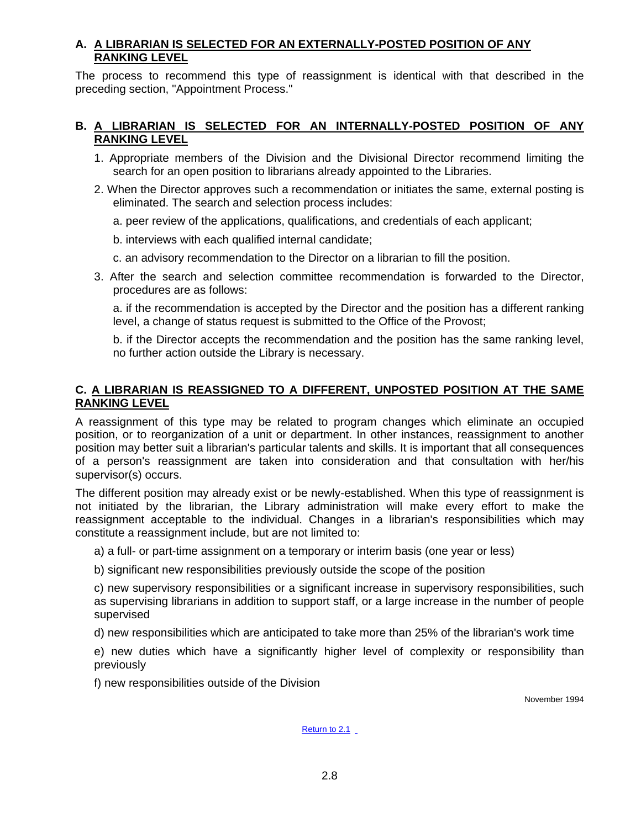## **A. A LIBRARIAN IS SELECTED FOR AN EXTERNALLY-POSTED POSITION OF ANY RANKING LEVEL**

The process to recommend this type of reassignment is identical with that described in the preceding section, "Appointment Process."

## **B. A LIBRARIAN IS SELECTED FOR AN INTERNALLY-POSTED POSITION OF ANY RANKING LEVEL**

- 1. Appropriate members of the Division and the Divisional Director recommend limiting the search for an open position to librarians already appointed to the Libraries.
- 2. When the Director approves such a recommendation or initiates the same, external posting is eliminated. The search and selection process includes:
	- a. peer review of the applications, qualifications, and credentials of each applicant;
	- b. interviews with each qualified internal candidate;
	- c. an advisory recommendation to the Director on a librarian to fill the position.
- 3. After the search and selection committee recommendation is forwarded to the Director, procedures are as follows:

a. if the recommendation is accepted by the Director and the position has a different ranking level, a change of status request is submitted to the Office of the Provost;

b. if the Director accepts the recommendation and the position has the same ranking level, no further action outside the Library is necessary.

## **C. A LIBRARIAN IS REASSIGNED TO A DIFFERENT, UNPOSTED POSITION AT THE SAME RANKING LEVEL**

A reassignment of this type may be related to program changes which eliminate an occupied position, or to reorganization of a unit or department. In other instances, reassignment to another position may better suit a librarian's particular talents and skills. It is important that all consequences of a person's reassignment are taken into consideration and that consultation with her/his supervisor(s) occurs.

The different position may already exist or be newly-established. When this type of reassignment is not initiated by the librarian, the Library administration will make every effort to make the reassignment acceptable to the individual. Changes in a librarian's responsibilities which may constitute a reassignment include, but are not limited to:

a) a full- or part-time assignment on a temporary or interim basis (one year or less)

b) significant new responsibilities previously outside the scope of the position

c) new supervisory responsibilities or a significant increase in supervisory responsibilities, such as supervising librarians in addition to support staff, or a large increase in the number of people supervised

d) new responsibilities which are anticipated to take more than 25% of the librarian's work time

e) new duties which have a significantly higher level of complexity or responsibility than previously

f) new responsibilities outside of the Division

November 1994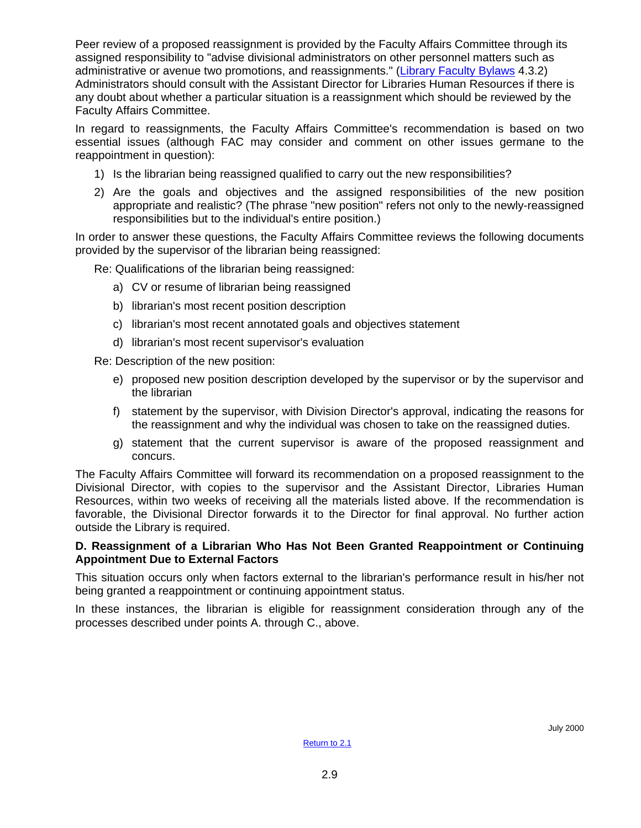Peer review of a proposed reassignment is provided by the Faculty Affairs Committee through its assigned responsibility to "advise divisional administrators on other personnel matters such as administrative or avenue two promotions, and reassignments." [\(Library Faculty Bylaws](#page-84-0) 4.3.2) Administrators should consult with the Assistant Director for Libraries Human Resources if there is any doubt about whether a particular situation is a reassignment which should be reviewed by the Faculty Affairs Committee.

In regard to reassignments, the Faculty Affairs Committee's recommendation is based on two essential issues (although FAC may consider and comment on other issues germane to the reappointment in question):

- 1) Is the librarian being reassigned qualified to carry out the new responsibilities?
- 2) Are the goals and objectives and the assigned responsibilities of the new position appropriate and realistic? (The phrase "new position" refers not only to the newly-reassigned responsibilities but to the individual's entire position.)

In order to answer these questions, the Faculty Affairs Committee reviews the following documents provided by the supervisor of the librarian being reassigned:

Re: Qualifications of the librarian being reassigned:

- a) CV or resume of librarian being reassigned
- b) librarian's most recent position description
- c) librarian's most recent annotated goals and objectives statement
- d) librarian's most recent supervisor's evaluation

Re: Description of the new position:

- e) proposed new position description developed by the supervisor or by the supervisor and the librarian
- f) statement by the supervisor, with Division Director's approval, indicating the reasons for the reassignment and why the individual was chosen to take on the reassigned duties.
- g) statement that the current supervisor is aware of the proposed reassignment and concurs.

The Faculty Affairs Committee will forward its recommendation on a proposed reassignment to the Divisional Director, with copies to the supervisor and the Assistant Director, Libraries Human Resources, within two weeks of receiving all the materials listed above. If the recommendation is favorable, the Divisional Director forwards it to the Director for final approval. No further action outside the Library is required.

### **D. Reassignment of a Librarian Who Has Not Been Granted Reappointment or Continuing Appointment Due to External Factors**

This situation occurs only when factors external to the librarian's performance result in his/her not being granted a reappointment or continuing appointment status.

In these instances, the librarian is eligible for reassignment consideration through any of the processes described under points A. through C., above.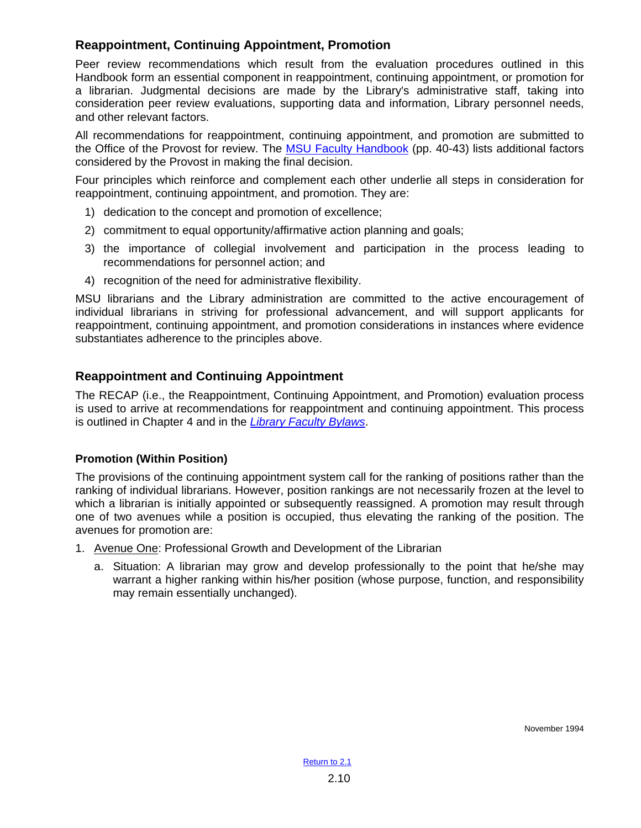# <span id="page-20-0"></span>**Reappointment, Continuing Appointment, Promotion**

Peer review recommendations which result from the evaluation procedures outlined in this Handbook form an essential component in reappointment, continuing appointment, or promotion for a librarian. Judgmental decisions are made by the Library's administrative staff, taking into consideration peer review evaluations, supporting data and information, Library personnel needs, and other relevant factors.

All recommendations for reappointment, continuing appointment, and promotion are submitted to the Office of the Provost for review. The [MSU Faculty Handbook](http://www.msu.edu/unit/facrecds/FacHand/academic.html) (pp. 40-43) lists additional factors considered by the Provost in making the final decision.

Four principles which reinforce and complement each other underlie all steps in consideration for reappointment, continuing appointment, and promotion. They are:

- 1) dedication to the concept and promotion of excellence;
- 2) commitment to equal opportunity/affirmative action planning and goals;
- 3) the importance of collegial involvement and participation in the process leading to recommendations for personnel action; and
- 4) recognition of the need for administrative flexibility.

MSU librarians and the Library administration are committed to the active encouragement of individual librarians in striving for professional advancement, and will support applicants for reappointment, continuing appointment, and promotion considerations in instances where evidence substantiates adherence to the principles above.

## **Reappointment and Continuing Appointment**

The RECAP (i.e., the Reappointment, Continuing Appointment, and Promotion) evaluation process is used to arrive at recommendations for reappointment and continuing appointment. This process is outlined in Chapter 4 and in the *[Library Faculty Bylaws](#page-84-0)*.

### **Promotion (Within Position)**

The provisions of the continuing appointment system call for the ranking of positions rather than the ranking of individual librarians. However, position rankings are not necessarily frozen at the level to which a librarian is initially appointed or subsequently reassigned. A promotion may result through one of two avenues while a position is occupied, thus elevating the ranking of the position. The avenues for promotion are:

- 1. Avenue One: Professional Growth and Development of the Librarian
	- a. Situation: A librarian may grow and develop professionally to the point that he/she may warrant a higher ranking within his/her position (whose purpose, function, and responsibility may remain essentially unchanged).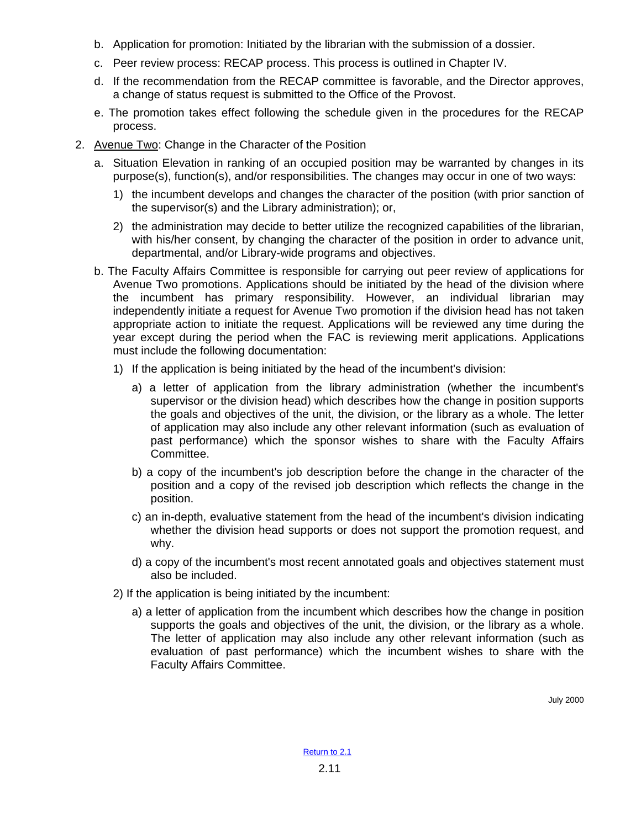- b. Application for promotion: Initiated by the librarian with the submission of a dossier.
- c. Peer review process: RECAP process. This process is outlined in Chapter IV.
- d. If the recommendation from the RECAP committee is favorable, and the Director approves, a change of status request is submitted to the Office of the Provost.
- e. The promotion takes effect following the schedule given in the procedures for the RECAP process.
- 2. Avenue Two: Change in the Character of the Position
	- a. Situation Elevation in ranking of an occupied position may be warranted by changes in its purpose(s), function(s), and/or responsibilities. The changes may occur in one of two ways:
		- 1) the incumbent develops and changes the character of the position (with prior sanction of the supervisor(s) and the Library administration); or,
		- 2) the administration may decide to better utilize the recognized capabilities of the librarian, with his/her consent, by changing the character of the position in order to advance unit, departmental, and/or Library-wide programs and objectives.
	- b. The Faculty Affairs Committee is responsible for carrying out peer review of applications for Avenue Two promotions. Applications should be initiated by the head of the division where the incumbent has primary responsibility. However, an individual librarian may independently initiate a request for Avenue Two promotion if the division head has not taken appropriate action to initiate the request. Applications will be reviewed any time during the year except during the period when the FAC is reviewing merit applications. Applications must include the following documentation:
		- 1) If the application is being initiated by the head of the incumbent's division:
			- a) a letter of application from the library administration (whether the incumbent's supervisor or the division head) which describes how the change in position supports the goals and objectives of the unit, the division, or the library as a whole. The letter of application may also include any other relevant information (such as evaluation of past performance) which the sponsor wishes to share with the Faculty Affairs Committee.
			- b) a copy of the incumbent's job description before the change in the character of the position and a copy of the revised job description which reflects the change in the position.
			- c) an in-depth, evaluative statement from the head of the incumbent's division indicating whether the division head supports or does not support the promotion request, and why.
			- d) a copy of the incumbent's most recent annotated goals and objectives statement must also be included.
		- 2) If the application is being initiated by the incumbent:
			- a) a letter of application from the incumbent which describes how the change in position supports the goals and objectives of the unit, the division, or the library as a whole. The letter of application may also include any other relevant information (such as evaluation of past performance) which the incumbent wishes to share with the Faculty Affairs Committee.

July 2000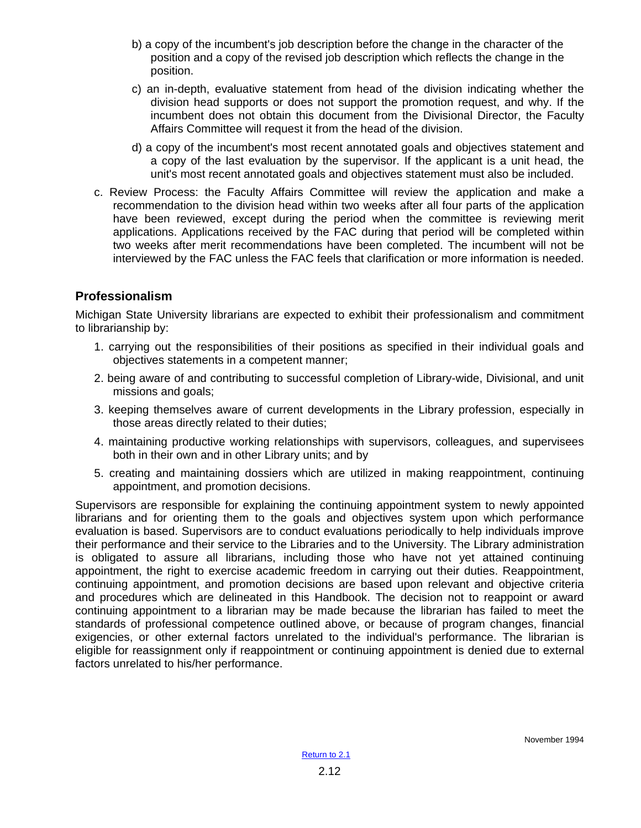- <span id="page-22-0"></span>b) a copy of the incumbent's job description before the change in the character of the position and a copy of the revised job description which reflects the change in the position.
- c) an in-depth, evaluative statement from head of the division indicating whether the division head supports or does not support the promotion request, and why. If the incumbent does not obtain this document from the Divisional Director, the Faculty Affairs Committee will request it from the head of the division.
- d) a copy of the incumbent's most recent annotated goals and objectives statement and a copy of the last evaluation by the supervisor. If the applicant is a unit head, the unit's most recent annotated goals and objectives statement must also be included.
- c. Review Process: the Faculty Affairs Committee will review the application and make a recommendation to the division head within two weeks after all four parts of the application have been reviewed, except during the period when the committee is reviewing merit applications. Applications received by the FAC during that period will be completed within two weeks after merit recommendations have been completed. The incumbent will not be interviewed by the FAC unless the FAC feels that clarification or more information is needed.

# **Professionalism**

Michigan State University librarians are expected to exhibit their professionalism and commitment to librarianship by:

- 1. carrying out the responsibilities of their positions as specified in their individual goals and objectives statements in a competent manner;
- 2. being aware of and contributing to successful completion of Library-wide, Divisional, and unit missions and goals;
- 3. keeping themselves aware of current developments in the Library profession, especially in those areas directly related to their duties;
- 4. maintaining productive working relationships with supervisors, colleagues, and supervisees both in their own and in other Library units; and by
- 5. creating and maintaining dossiers which are utilized in making reappointment, continuing appointment, and promotion decisions.

Supervisors are responsible for explaining the continuing appointment system to newly appointed librarians and for orienting them to the goals and objectives system upon which performance evaluation is based. Supervisors are to conduct evaluations periodically to help individuals improve their performance and their service to the Libraries and to the University. The Library administration is obligated to assure all librarians, including those who have not yet attained continuing appointment, the right to exercise academic freedom in carrying out their duties. Reappointment, continuing appointment, and promotion decisions are based upon relevant and objective criteria and procedures which are delineated in this Handbook. The decision not to reappoint or award continuing appointment to a librarian may be made because the librarian has failed to meet the standards of professional competence outlined above, or because of program changes, financial exigencies, or other external factors unrelated to the individual's performance. The librarian is eligible for reassignment only if reappointment or continuing appointment is denied due to external factors unrelated to his/her performance.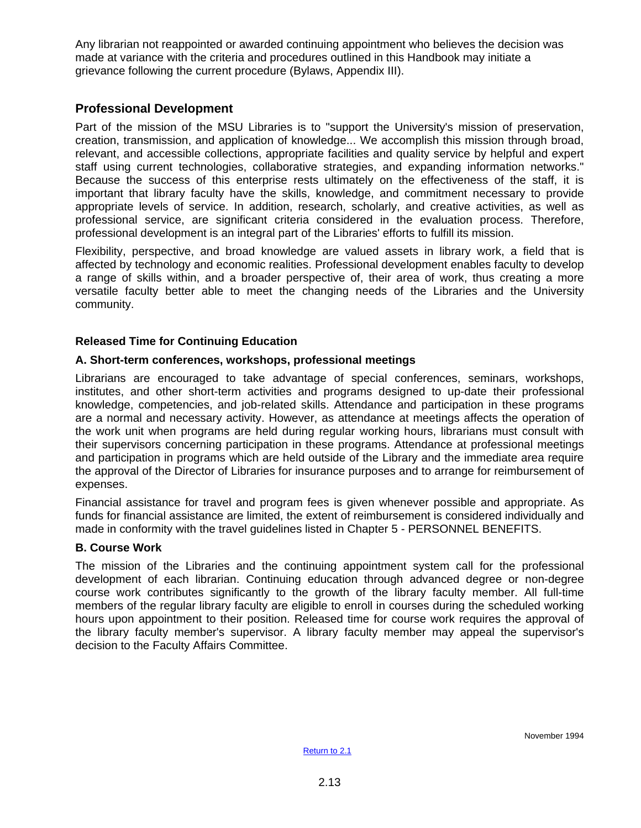<span id="page-23-0"></span>Any librarian not reappointed or awarded continuing appointment who believes the decision was made at variance with the criteria and procedures outlined in this Handbook may initiate a grievance following the current procedure (Bylaws, Appendix III).

# **Professional Development**

Part of the mission of the MSU Libraries is to "support the University's mission of preservation, creation, transmission, and application of knowledge... We accomplish this mission through broad, relevant, and accessible collections, appropriate facilities and quality service by helpful and expert staff using current technologies, collaborative strategies, and expanding information networks." Because the success of this enterprise rests ultimately on the effectiveness of the staff, it is important that library faculty have the skills, knowledge, and commitment necessary to provide appropriate levels of service. In addition, research, scholarly, and creative activities, as well as professional service, are significant criteria considered in the evaluation process. Therefore, professional development is an integral part of the Libraries' efforts to fulfill its mission.

Flexibility, perspective, and broad knowledge are valued assets in library work, a field that is affected by technology and economic realities. Professional development enables faculty to develop a range of skills within, and a broader perspective of, their area of work, thus creating a more versatile faculty better able to meet the changing needs of the Libraries and the University community.

### **Released Time for Continuing Education**

## **A. Short-term conferences, workshops, professional meetings**

Librarians are encouraged to take advantage of special conferences, seminars, workshops, institutes, and other short-term activities and programs designed to up-date their professional knowledge, competencies, and job-related skills. Attendance and participation in these programs are a normal and necessary activity. However, as attendance at meetings affects the operation of the work unit when programs are held during regular working hours, librarians must consult with their supervisors concerning participation in these programs. Attendance at professional meetings and participation in programs which are held outside of the Library and the immediate area require the approval of the Director of Libraries for insurance purposes and to arrange for reimbursement of expenses.

Financial assistance for travel and program fees is given whenever possible and appropriate. As funds for financial assistance are limited, the extent of reimbursement is considered individually and made in conformity with the travel guidelines listed in Chapter 5 - PERSONNEL BENEFITS.

### **B. Course Work**

The mission of the Libraries and the continuing appointment system call for the professional development of each librarian. Continuing education through advanced degree or non-degree course work contributes significantly to the growth of the library faculty member. All full-time members of the regular library faculty are eligible to enroll in courses during the scheduled working hours upon appointment to their position. Released time for course work requires the approval of the library faculty member's supervisor. A library faculty member may appeal the supervisor's decision to the Faculty Affairs Committee.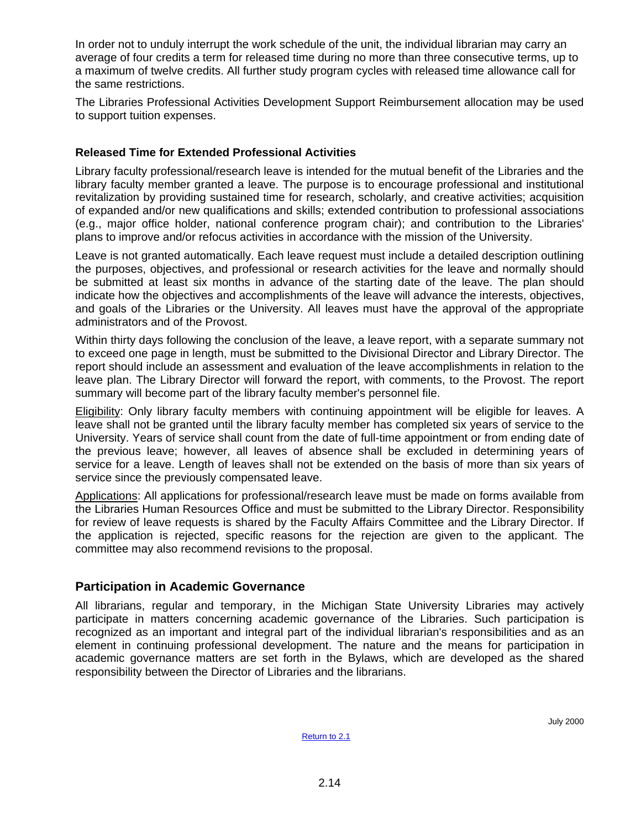<span id="page-24-0"></span>In order not to unduly interrupt the work schedule of the unit, the individual librarian may carry an average of four credits a term for released time during no more than three consecutive terms, up to a maximum of twelve credits. All further study program cycles with released time allowance call for the same restrictions.

The Libraries Professional Activities Development Support Reimbursement allocation may be used to support tuition expenses.

## **Released Time for Extended Professional Activities**

Library faculty professional/research leave is intended for the mutual benefit of the Libraries and the library faculty member granted a leave. The purpose is to encourage professional and institutional revitalization by providing sustained time for research, scholarly, and creative activities; acquisition of expanded and/or new qualifications and skills; extended contribution to professional associations (e.g., major office holder, national conference program chair); and contribution to the Libraries' plans to improve and/or refocus activities in accordance with the mission of the University.

Leave is not granted automatically. Each leave request must include a detailed description outlining the purposes, objectives, and professional or research activities for the leave and normally should be submitted at least six months in advance of the starting date of the leave. The plan should indicate how the objectives and accomplishments of the leave will advance the interests, objectives, and goals of the Libraries or the University. All leaves must have the approval of the appropriate administrators and of the Provost.

Within thirty days following the conclusion of the leave, a leave report, with a separate summary not to exceed one page in length, must be submitted to the Divisional Director and Library Director. The report should include an assessment and evaluation of the leave accomplishments in relation to the leave plan. The Library Director will forward the report, with comments, to the Provost. The report summary will become part of the library faculty member's personnel file.

Eligibility: Only library faculty members with continuing appointment will be eligible for leaves. A leave shall not be granted until the library faculty member has completed six years of service to the University. Years of service shall count from the date of full-time appointment or from ending date of the previous leave; however, all leaves of absence shall be excluded in determining years of service for a leave. Length of leaves shall not be extended on the basis of more than six years of service since the previously compensated leave.

Applications: All applications for professional/research leave must be made on forms available from the Libraries Human Resources Office and must be submitted to the Library Director. Responsibility for review of leave requests is shared by the Faculty Affairs Committee and the Library Director. If the application is rejected, specific reasons for the rejection are given to the applicant. The committee may also recommend revisions to the proposal.

### **Participation in Academic Governance**

All librarians, regular and temporary, in the Michigan State University Libraries may actively participate in matters concerning academic governance of the Libraries. Such participation is recognized as an important and integral part of the individual librarian's responsibilities and as an element in continuing professional development. The nature and the means for participation in academic governance matters are set forth in the Bylaws, which are developed as the shared responsibility between the Director of Libraries and the librarians.

July 2000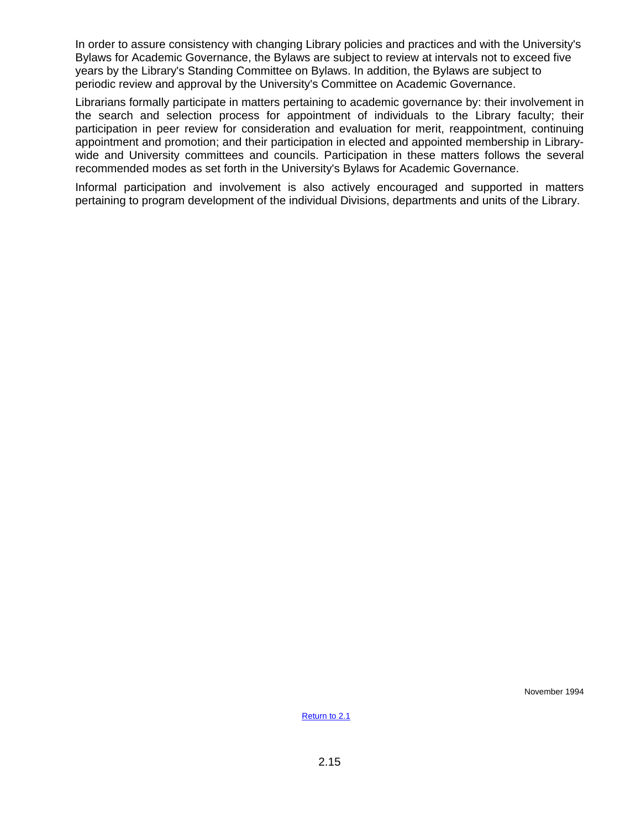In order to assure consistency with changing Library policies and practices and with the University's Bylaws for Academic Governance, the Bylaws are subject to review at intervals not to exceed five years by the Library's Standing Committee on Bylaws. In addition, the Bylaws are subject to periodic review and approval by the University's Committee on Academic Governance.

Librarians formally participate in matters pertaining to academic governance by: their involvement in the search and selection process for appointment of individuals to the Library faculty; their participation in peer review for consideration and evaluation for merit, reappointment, continuing appointment and promotion; and their participation in elected and appointed membership in Librarywide and University committees and councils. Participation in these matters follows the several recommended modes as set forth in the University's Bylaws for Academic Governance.

Informal participation and involvement is also actively encouraged and supported in matters pertaining to program development of the individual Divisions, departments and units of the Library.

November 1994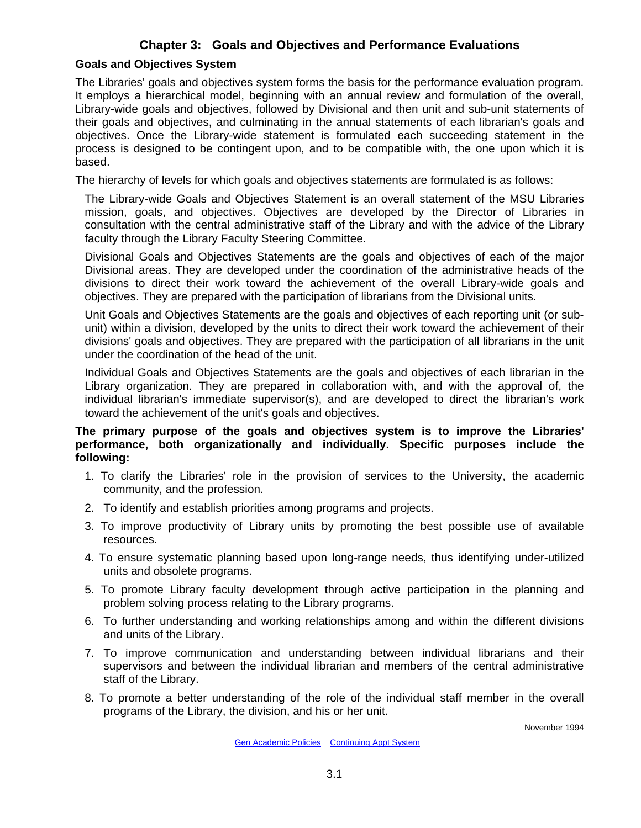# **Chapter 3: Goals and Objectives and Performance Evaluations**

### <span id="page-26-0"></span>**Goals and Objectives System**

The Libraries' goals and objectives system forms the basis for the performance evaluation program. It employs a hierarchical model, beginning with an annual review and formulation of the overall, Library-wide goals and objectives, followed by Divisional and then unit and sub-unit statements of their goals and objectives, and culminating in the annual statements of each librarian's goals and objectives. Once the Library-wide statement is formulated each succeeding statement in the process is designed to be contingent upon, and to be compatible with, the one upon which it is based.

The hierarchy of levels for which goals and objectives statements are formulated is as follows:

The Library-wide Goals and Objectives Statement is an overall statement of the MSU Libraries mission, goals, and objectives. Objectives are developed by the Director of Libraries in consultation with the central administrative staff of the Library and with the advice of the Library faculty through the Library Faculty Steering Committee.

Divisional Goals and Objectives Statements are the goals and objectives of each of the major Divisional areas. They are developed under the coordination of the administrative heads of the divisions to direct their work toward the achievement of the overall Library-wide goals and objectives. They are prepared with the participation of librarians from the Divisional units.

Unit Goals and Objectives Statements are the goals and objectives of each reporting unit (or subunit) within a division, developed by the units to direct their work toward the achievement of their divisions' goals and objectives. They are prepared with the participation of all librarians in the unit under the coordination of the head of the unit.

Individual Goals and Objectives Statements are the goals and objectives of each librarian in the Library organization. They are prepared in collaboration with, and with the approval of, the individual librarian's immediate supervisor(s), and are developed to direct the librarian's work toward the achievement of the unit's goals and objectives.

### **The primary purpose of the goals and objectives system is to improve the Libraries' performance, both organizationally and individually. Specific purposes include the following:**

- 1. To clarify the Libraries' role in the provision of services to the University, the academic community, and the profession.
- 2. To identify and establish priorities among programs and projects.
- 3. To improve productivity of Library units by promoting the best possible use of available resources.
- 4. To ensure systematic planning based upon long-range needs, thus identifying under-utilized units and obsolete programs.
- 5. To promote Library faculty development through active participation in the planning and problem solving process relating to the Library programs.
- 6. To further understanding and working relationships among and within the different divisions and units of the Library.
- 7. To improve communication and understanding between individual librarians and their supervisors and between the individual librarian and members of the central administrative staff of the Library.
- 8. To promote a better understanding of the role of the individual staff member in the overall programs of the Library, the division, and his or her unit.

November 1994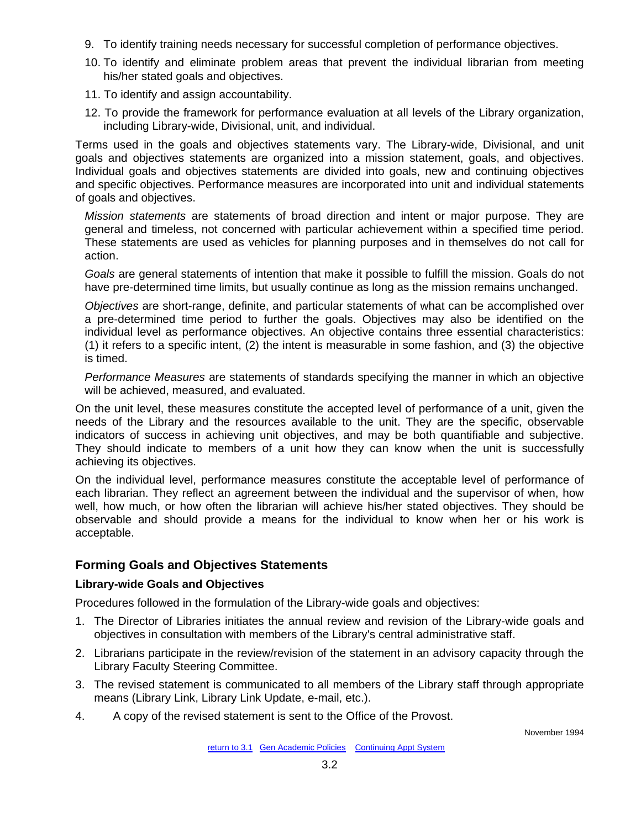- <span id="page-27-0"></span>9. To identify training needs necessary for successful completion of performance objectives.
- 10. To identify and eliminate problem areas that prevent the individual librarian from meeting his/her stated goals and objectives.
- 11. To identify and assign accountability.
- 12. To provide the framework for performance evaluation at all levels of the Library organization, including Library-wide, Divisional, unit, and individual.

Terms used in the goals and objectives statements vary. The Library-wide, Divisional, and unit goals and objectives statements are organized into a mission statement, goals, and objectives. Individual goals and objectives statements are divided into goals, new and continuing objectives and specific objectives. Performance measures are incorporated into unit and individual statements of goals and objectives.

*Mission statements* are statements of broad direction and intent or major purpose. They are general and timeless, not concerned with particular achievement within a specified time period. These statements are used as vehicles for planning purposes and in themselves do not call for action.

*Goals* are general statements of intention that make it possible to fulfill the mission. Goals do not have pre-determined time limits, but usually continue as long as the mission remains unchanged.

*Objectives* are short-range, definite, and particular statements of what can be accomplished over a pre-determined time period to further the goals. Objectives may also be identified on the individual level as performance objectives. An objective contains three essential characteristics: (1) it refers to a specific intent, (2) the intent is measurable in some fashion, and (3) the objective is timed.

*Performance Measures* are statements of standards specifying the manner in which an objective will be achieved, measured, and evaluated.

On the unit level, these measures constitute the accepted level of performance of a unit, given the needs of the Library and the resources available to the unit. They are the specific, observable indicators of success in achieving unit objectives, and may be both quantifiable and subjective. They should indicate to members of a unit how they can know when the unit is successfully achieving its objectives.

On the individual level, performance measures constitute the acceptable level of performance of each librarian. They reflect an agreement between the individual and the supervisor of when, how well, how much, or how often the librarian will achieve his/her stated objectives. They should be observable and should provide a means for the individual to know when her or his work is acceptable.

# **Forming Goals and Objectives Statements**

# **Library-wide Goals and Objectives**

Procedures followed in the formulation of the Library-wide goals and objectives:

- 1. The Director of Libraries initiates the annual review and revision of the Library-wide goals and objectives in consultation with members of the Library's central administrative staff.
- 2. Librarians participate in the review/revision of the statement in an advisory capacity through the Library Faculty Steering Committee.
- 3. The revised statement is communicated to all members of the Library staff through appropriate means (Library Link, Library Link Update, e-mail, etc.).
- 4. A copy of the revised statement is sent to the Office of the Provost.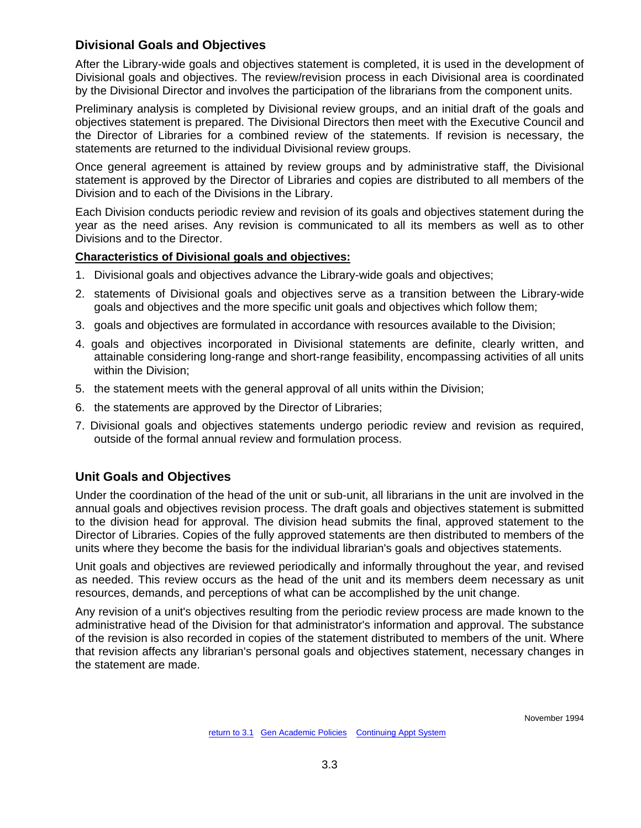# <span id="page-28-0"></span>**Divisional Goals and Objectives**

After the Library-wide goals and objectives statement is completed, it is used in the development of Divisional goals and objectives. The review/revision process in each Divisional area is coordinated by the Divisional Director and involves the participation of the librarians from the component units.

Preliminary analysis is completed by Divisional review groups, and an initial draft of the goals and objectives statement is prepared. The Divisional Directors then meet with the Executive Council and the Director of Libraries for a combined review of the statements. If revision is necessary, the statements are returned to the individual Divisional review groups.

Once general agreement is attained by review groups and by administrative staff, the Divisional statement is approved by the Director of Libraries and copies are distributed to all members of the Division and to each of the Divisions in the Library.

Each Division conducts periodic review and revision of its goals and objectives statement during the year as the need arises. Any revision is communicated to all its members as well as to other Divisions and to the Director.

## **Characteristics of Divisional goals and objectives:**

- 1. Divisional goals and objectives advance the Library-wide goals and objectives;
- 2. statements of Divisional goals and objectives serve as a transition between the Library-wide goals and objectives and the more specific unit goals and objectives which follow them;
- 3. goals and objectives are formulated in accordance with resources available to the Division;
- 4. goals and objectives incorporated in Divisional statements are definite, clearly written, and attainable considering long-range and short-range feasibility, encompassing activities of all units within the Division;
- 5. the statement meets with the general approval of all units within the Division;
- 6. the statements are approved by the Director of Libraries;
- 7. Divisional goals and objectives statements undergo periodic review and revision as required, outside of the formal annual review and formulation process.

# **Unit Goals and Objectives**

Under the coordination of the head of the unit or sub-unit, all librarians in the unit are involved in the annual goals and objectives revision process. The draft goals and objectives statement is submitted to the division head for approval. The division head submits the final, approved statement to the Director of Libraries. Copies of the fully approved statements are then distributed to members of the units where they become the basis for the individual librarian's goals and objectives statements.

Unit goals and objectives are reviewed periodically and informally throughout the year, and revised as needed. This review occurs as the head of the unit and its members deem necessary as unit resources, demands, and perceptions of what can be accomplished by the unit change.

Any revision of a unit's objectives resulting from the periodic review process are made known to the administrative head of the Division for that administrator's information and approval. The substance of the revision is also recorded in copies of the statement distributed to members of the unit. Where that revision affects any librarian's personal goals and objectives statement, necessary changes in the statement are made.

November 1994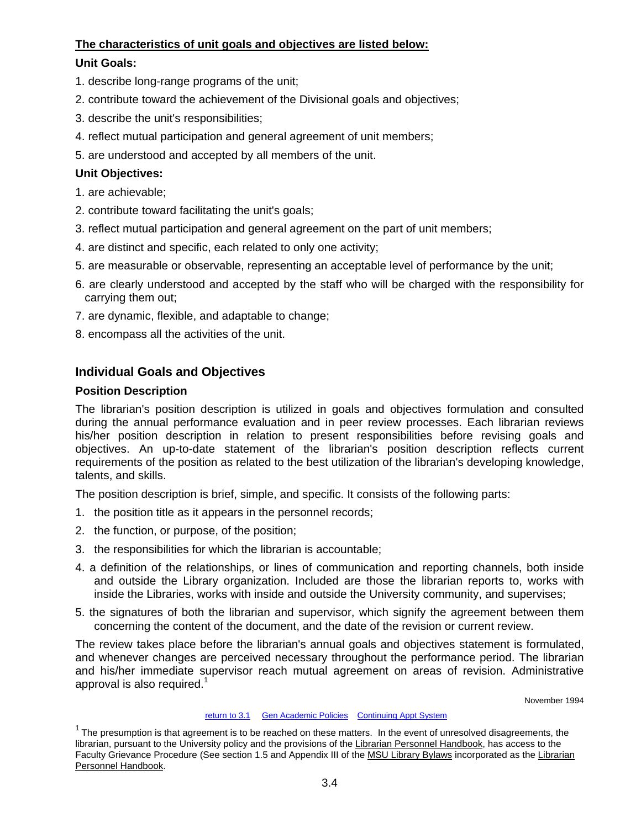## <span id="page-29-0"></span>**The characteristics of unit goals and objectives are listed below:**

# **Unit Goals:**

- 1. describe long-range programs of the unit;
- 2. contribute toward the achievement of the Divisional goals and objectives;
- 3. describe the unit's responsibilities;
- 4. reflect mutual participation and general agreement of unit members;
- 5. are understood and accepted by all members of the unit.

# **Unit Objectives:**

- 1. are achievable;
- 2. contribute toward facilitating the unit's goals;
- 3. reflect mutual participation and general agreement on the part of unit members;
- 4. are distinct and specific, each related to only one activity;
- 5. are measurable or observable, representing an acceptable level of performance by the unit;
- 6. are clearly understood and accepted by the staff who will be charged with the responsibility for carrying them out;
- 7. are dynamic, flexible, and adaptable to change;
- 8. encompass all the activities of the unit.

# **Individual Goals and Objectives**

# **Position Description**

The librarian's position description is utilized in goals and objectives formulation and consulted during the annual performance evaluation and in peer review processes. Each librarian reviews his/her position description in relation to present responsibilities before revising goals and objectives. An up-to-date statement of the librarian's position description reflects current requirements of the position as related to the best utilization of the librarian's developing knowledge, talents, and skills.

The position description is brief, simple, and specific. It consists of the following parts:

- 1. the position title as it appears in the personnel records;
- 2. the function, or purpose, of the position;
- 3. the responsibilities for which the librarian is accountable;
- 4. a definition of the relationships, or lines of communication and reporting channels, both inside and outside the Library organization. Included are those the librarian reports to, works with inside the Libraries, works with inside and outside the University community, and supervises;
- 5. the signatures of both the librarian and supervisor, which signify the agreement between them concerning the content of the document, and the date of the revision or current review.

The review takes place before the librarian's annual goals and objectives statement is formulated, and whenever changes are perceived necessary throughout the performance period. The librarian and his/her immediate supervisor reach mutual agreement on areas of revision. Administrative approval is also required.<sup>1</sup>

November 1994

#### [return to 3.1](#page-26-0) [Gen Academic Policies](#page-3-0) [Continuing Appt System](#page-11-0)

 $1$  The presumption is that agreement is to be reached on these matters. In the event of unresolved disagreements, the librarian, pursuant to the University policy and the provisions of the Librarian Personnel Handbook, has access to the Faculty Grievance Procedure (See section 1.5 and Appendix III of the MSU Library Bylaws incorporated as the Librarian Personnel Handbook.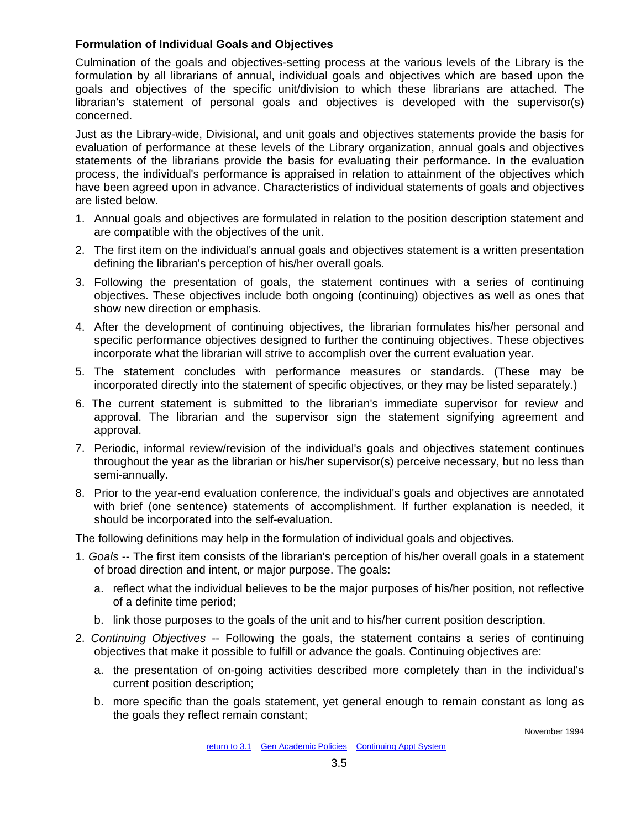### **Formulation of Individual Goals and Objectives**

Culmination of the goals and objectives-setting process at the various levels of the Library is the formulation by all librarians of annual, individual goals and objectives which are based upon the goals and objectives of the specific unit/division to which these librarians are attached. The librarian's statement of personal goals and objectives is developed with the supervisor(s) concerned.

Just as the Library-wide, Divisional, and unit goals and objectives statements provide the basis for evaluation of performance at these levels of the Library organization, annual goals and objectives statements of the librarians provide the basis for evaluating their performance. In the evaluation process, the individual's performance is appraised in relation to attainment of the objectives which have been agreed upon in advance. Characteristics of individual statements of goals and objectives are listed below.

- 1. Annual goals and objectives are formulated in relation to the position description statement and are compatible with the objectives of the unit.
- 2. The first item on the individual's annual goals and objectives statement is a written presentation defining the librarian's perception of his/her overall goals.
- 3. Following the presentation of goals, the statement continues with a series of continuing objectives. These objectives include both ongoing (continuing) objectives as well as ones that show new direction or emphasis.
- 4. After the development of continuing objectives, the librarian formulates his/her personal and specific performance objectives designed to further the continuing objectives. These objectives incorporate what the librarian will strive to accomplish over the current evaluation year.
- 5. The statement concludes with performance measures or standards. (These may be incorporated directly into the statement of specific objectives, or they may be listed separately.)
- 6. The current statement is submitted to the librarian's immediate supervisor for review and approval. The librarian and the supervisor sign the statement signifying agreement and approval.
- 7. Periodic, informal review/revision of the individual's goals and objectives statement continues throughout the year as the librarian or his/her supervisor(s) perceive necessary, but no less than semi-annually.
- 8. Prior to the year-end evaluation conference, the individual's goals and objectives are annotated with brief (one sentence) statements of accomplishment. If further explanation is needed, it should be incorporated into the self-evaluation.

The following definitions may help in the formulation of individual goals and objectives.

- 1. *Goals* -- The first item consists of the librarian's perception of his/her overall goals in a statement of broad direction and intent, or major purpose. The goals:
	- a. reflect what the individual believes to be the major purposes of his/her position, not reflective of a definite time period;
	- b. link those purposes to the goals of the unit and to his/her current position description.
- 2. *Continuing Objectives* -- Following the goals, the statement contains a series of continuing objectives that make it possible to fulfill or advance the goals. Continuing objectives are:
	- a. the presentation of on-going activities described more completely than in the individual's current position description;
	- b. more specific than the goals statement, yet general enough to remain constant as long as the goals they reflect remain constant;

November 1994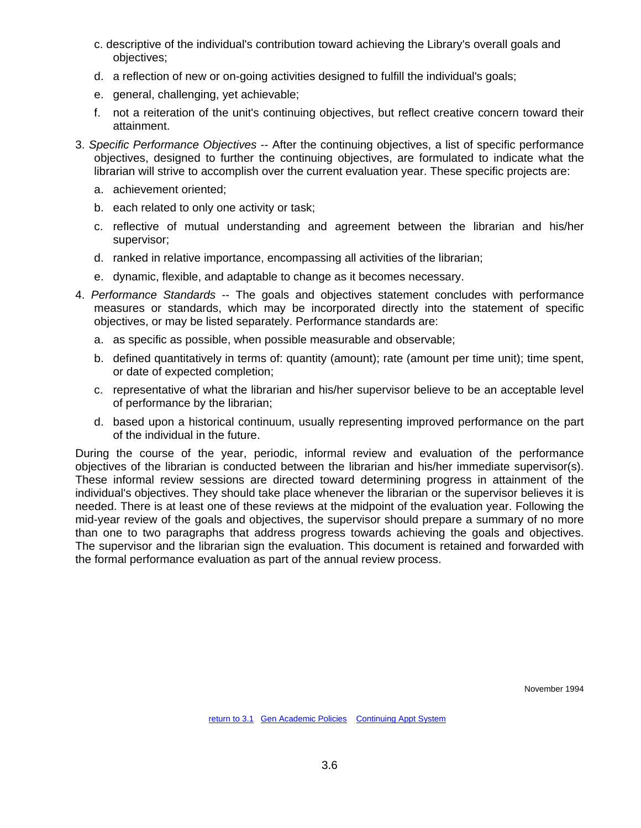- c. descriptive of the individual's contribution toward achieving the Library's overall goals and objectives;
- d. a reflection of new or on-going activities designed to fulfill the individual's goals;
- e. general, challenging, yet achievable;
- f. not a reiteration of the unit's continuing objectives, but reflect creative concern toward their attainment.
- 3. *Specific Performance Objectives* -- After the continuing objectives, a list of specific performance objectives, designed to further the continuing objectives, are formulated to indicate what the librarian will strive to accomplish over the current evaluation year. These specific projects are:
	- a. achievement oriented;
	- b. each related to only one activity or task;
	- c. reflective of mutual understanding and agreement between the librarian and his/her supervisor;
	- d. ranked in relative importance, encompassing all activities of the librarian;
	- e. dynamic, flexible, and adaptable to change as it becomes necessary.
- 4. *Performance Standards* -- The goals and objectives statement concludes with performance measures or standards, which may be incorporated directly into the statement of specific objectives, or may be listed separately. Performance standards are:
	- a. as specific as possible, when possible measurable and observable;
	- b. defined quantitatively in terms of: quantity (amount); rate (amount per time unit); time spent, or date of expected completion;
	- c. representative of what the librarian and his/her supervisor believe to be an acceptable level of performance by the librarian;
	- d. based upon a historical continuum, usually representing improved performance on the part of the individual in the future.

During the course of the year, periodic, informal review and evaluation of the performance objectives of the librarian is conducted between the librarian and his/her immediate supervisor(s). These informal review sessions are directed toward determining progress in attainment of the individual's objectives. They should take place whenever the librarian or the supervisor believes it is needed. There is at least one of these reviews at the midpoint of the evaluation year. Following the mid-year review of the goals and objectives, the supervisor should prepare a summary of no more than one to two paragraphs that address progress towards achieving the goals and objectives. The supervisor and the librarian sign the evaluation. This document is retained and forwarded with the formal performance evaluation as part of the annual review process.

November 1994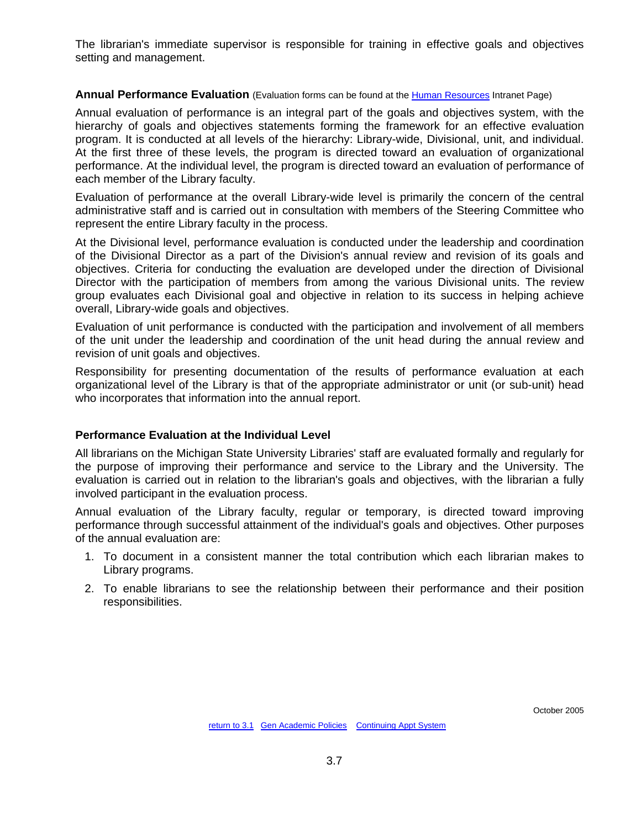<span id="page-32-0"></span>The librarian's immediate supervisor is responsible for training in effective goals and objectives setting and management.

#### **Annual Performance Evaluation** (Evaluation forms can be found at the [Human Resources](http://intranet.lib.msu.edu/hr/LibrarianInformation/LibrarianInformationIndex.htm#evals) Intranet Page)

Annual evaluation of performance is an integral part of the goals and objectives system, with the hierarchy of goals and objectives statements forming the framework for an effective evaluation program. It is conducted at all levels of the hierarchy: Library-wide, Divisional, unit, and individual. At the first three of these levels, the program is directed toward an evaluation of organizational performance. At the individual level, the program is directed toward an evaluation of performance of each member of the Library faculty.

Evaluation of performance at the overall Library-wide level is primarily the concern of the central administrative staff and is carried out in consultation with members of the Steering Committee who represent the entire Library faculty in the process.

At the Divisional level, performance evaluation is conducted under the leadership and coordination of the Divisional Director as a part of the Division's annual review and revision of its goals and objectives. Criteria for conducting the evaluation are developed under the direction of Divisional Director with the participation of members from among the various Divisional units. The review group evaluates each Divisional goal and objective in relation to its success in helping achieve overall, Library-wide goals and objectives.

Evaluation of unit performance is conducted with the participation and involvement of all members of the unit under the leadership and coordination of the unit head during the annual review and revision of unit goals and objectives.

Responsibility for presenting documentation of the results of performance evaluation at each organizational level of the Library is that of the appropriate administrator or unit (or sub-unit) head who incorporates that information into the annual report.

#### **Performance Evaluation at the Individual Level**

All librarians on the Michigan State University Libraries' staff are evaluated formally and regularly for the purpose of improving their performance and service to the Library and the University. The evaluation is carried out in relation to the librarian's goals and objectives, with the librarian a fully involved participant in the evaluation process.

Annual evaluation of the Library faculty, regular or temporary, is directed toward improving performance through successful attainment of the individual's goals and objectives. Other purposes of the annual evaluation are:

- 1. To document in a consistent manner the total contribution which each librarian makes to Library programs.
- 2. To enable librarians to see the relationship between their performance and their position responsibilities.

October 2005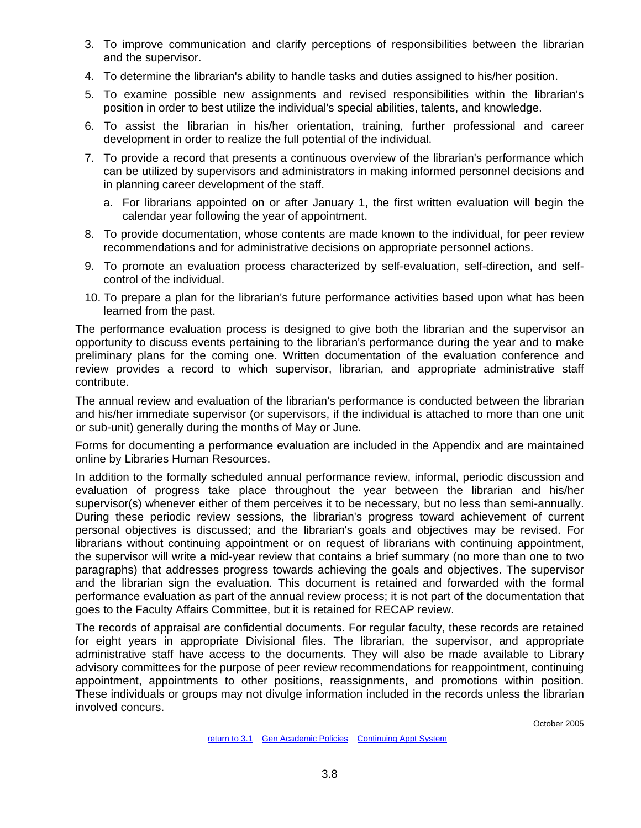- 3. To improve communication and clarify perceptions of responsibilities between the librarian and the supervisor.
- 4. To determine the librarian's ability to handle tasks and duties assigned to his/her position.
- 5. To examine possible new assignments and revised responsibilities within the librarian's position in order to best utilize the individual's special abilities, talents, and knowledge.
- 6. To assist the librarian in his/her orientation, training, further professional and career development in order to realize the full potential of the individual.
- 7. To provide a record that presents a continuous overview of the librarian's performance which can be utilized by supervisors and administrators in making informed personnel decisions and in planning career development of the staff.
	- a. For librarians appointed on or after January 1, the first written evaluation will begin the calendar year following the year of appointment.
- 8. To provide documentation, whose contents are made known to the individual, for peer review recommendations and for administrative decisions on appropriate personnel actions.
- 9. To promote an evaluation process characterized by self-evaluation, self-direction, and selfcontrol of the individual.
- 10. To prepare a plan for the librarian's future performance activities based upon what has been learned from the past.

The performance evaluation process is designed to give both the librarian and the supervisor an opportunity to discuss events pertaining to the librarian's performance during the year and to make preliminary plans for the coming one. Written documentation of the evaluation conference and review provides a record to which supervisor, librarian, and appropriate administrative staff contribute.

The annual review and evaluation of the librarian's performance is conducted between the librarian and his/her immediate supervisor (or supervisors, if the individual is attached to more than one unit or sub-unit) generally during the months of May or June.

Forms for documenting a performance evaluation are included in the Appendix and are maintained online by Libraries Human Resources.

In addition to the formally scheduled annual performance review, informal, periodic discussion and evaluation of progress take place throughout the year between the librarian and his/her supervisor(s) whenever either of them perceives it to be necessary, but no less than semi-annually. During these periodic review sessions, the librarian's progress toward achievement of current personal objectives is discussed; and the librarian's goals and objectives may be revised. For librarians without continuing appointment or on request of librarians with continuing appointment, the supervisor will write a mid-year review that contains a brief summary (no more than one to two paragraphs) that addresses progress towards achieving the goals and objectives. The supervisor and the librarian sign the evaluation. This document is retained and forwarded with the formal performance evaluation as part of the annual review process; it is not part of the documentation that goes to the Faculty Affairs Committee, but it is retained for RECAP review.

The records of appraisal are confidential documents. For regular faculty, these records are retained for eight years in appropriate Divisional files. The librarian, the supervisor, and appropriate administrative staff have access to the documents. They will also be made available to Library advisory committees for the purpose of peer review recommendations for reappointment, continuing appointment, appointments to other positions, reassignments, and promotions within position. These individuals or groups may not divulge information included in the records unless the librarian involved concurs.

October 2005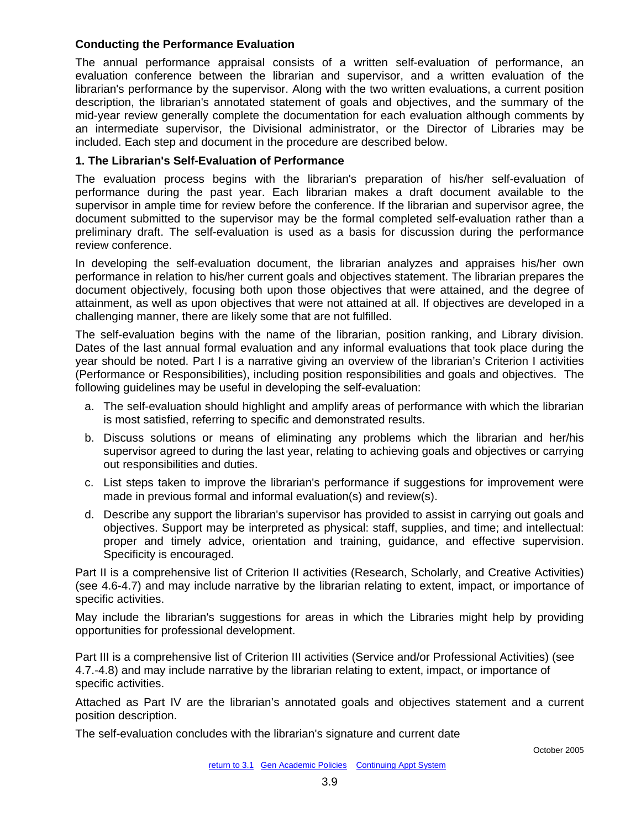### **Conducting the Performance Evaluation**

The annual performance appraisal consists of a written self-evaluation of performance, an evaluation conference between the librarian and supervisor, and a written evaluation of the librarian's performance by the supervisor. Along with the two written evaluations, a current position description, the librarian's annotated statement of goals and objectives, and the summary of the mid-year review generally complete the documentation for each evaluation although comments by an intermediate supervisor, the Divisional administrator, or the Director of Libraries may be included. Each step and document in the procedure are described below.

### **1. The Librarian's Self-Evaluation of Performance**

The evaluation process begins with the librarian's preparation of his/her self-evaluation of performance during the past year. Each librarian makes a draft document available to the supervisor in ample time for review before the conference. If the librarian and supervisor agree, the document submitted to the supervisor may be the formal completed self-evaluation rather than a preliminary draft. The self-evaluation is used as a basis for discussion during the performance review conference.

In developing the self-evaluation document, the librarian analyzes and appraises his/her own performance in relation to his/her current goals and objectives statement. The librarian prepares the document objectively, focusing both upon those objectives that were attained, and the degree of attainment, as well as upon objectives that were not attained at all. If objectives are developed in a challenging manner, there are likely some that are not fulfilled.

The self-evaluation begins with the name of the librarian, position ranking, and Library division. Dates of the last annual formal evaluation and any informal evaluations that took place during the year should be noted. Part I is a narrative giving an overview of the librarian's Criterion I activities (Performance or Responsibilities), including position responsibilities and goals and objectives. The following guidelines may be useful in developing the self-evaluation:

- a. The self-evaluation should highlight and amplify areas of performance with which the librarian is most satisfied, referring to specific and demonstrated results.
- b. Discuss solutions or means of eliminating any problems which the librarian and her/his supervisor agreed to during the last year, relating to achieving goals and objectives or carrying out responsibilities and duties.
- c. List steps taken to improve the librarian's performance if suggestions for improvement were made in previous formal and informal evaluation(s) and review(s).
- d. Describe any support the librarian's supervisor has provided to assist in carrying out goals and objectives. Support may be interpreted as physical: staff, supplies, and time; and intellectual: proper and timely advice, orientation and training, guidance, and effective supervision. Specificity is encouraged.

Part II is a comprehensive list of Criterion II activities (Research, Scholarly, and Creative Activities) (see 4.6-4.7) and may include narrative by the librarian relating to extent, impact, or importance of specific activities.

May include the librarian's suggestions for areas in which the Libraries might help by providing opportunities for professional development.

Part III is a comprehensive list of Criterion III activities (Service and/or Professional Activities) (see 4.7.-4.8) and may include narrative by the librarian relating to extent, impact, or importance of specific activities.

Attached as Part IV are the librarian's annotated goals and objectives statement and a current position description.

The self-evaluation concludes with the librarian's signature and current date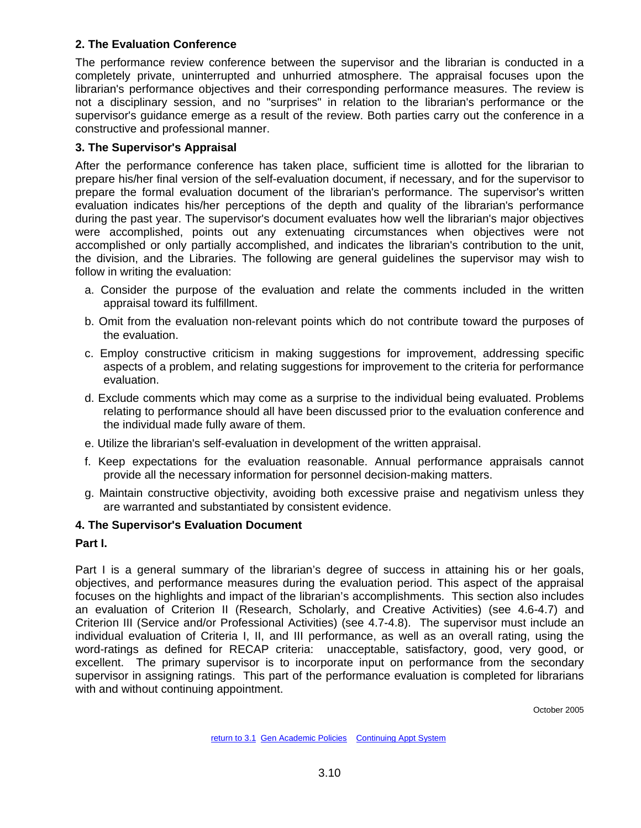## **2. The Evaluation Conference**

The performance review conference between the supervisor and the librarian is conducted in a completely private, uninterrupted and unhurried atmosphere. The appraisal focuses upon the librarian's performance objectives and their corresponding performance measures. The review is not a disciplinary session, and no "surprises" in relation to the librarian's performance or the supervisor's guidance emerge as a result of the review. Both parties carry out the conference in a constructive and professional manner.

## **3. The Supervisor's Appraisal**

After the performance conference has taken place, sufficient time is allotted for the librarian to prepare his/her final version of the self-evaluation document, if necessary, and for the supervisor to prepare the formal evaluation document of the librarian's performance. The supervisor's written evaluation indicates his/her perceptions of the depth and quality of the librarian's performance during the past year. The supervisor's document evaluates how well the librarian's major objectives were accomplished, points out any extenuating circumstances when objectives were not accomplished or only partially accomplished, and indicates the librarian's contribution to the unit, the division, and the Libraries. The following are general guidelines the supervisor may wish to follow in writing the evaluation:

- a. Consider the purpose of the evaluation and relate the comments included in the written appraisal toward its fulfillment.
- b. Omit from the evaluation non-relevant points which do not contribute toward the purposes of the evaluation.
- c. Employ constructive criticism in making suggestions for improvement, addressing specific aspects of a problem, and relating suggestions for improvement to the criteria for performance evaluation.
- d. Exclude comments which may come as a surprise to the individual being evaluated. Problems relating to performance should all have been discussed prior to the evaluation conference and the individual made fully aware of them.
- e. Utilize the librarian's self-evaluation in development of the written appraisal.
- f. Keep expectations for the evaluation reasonable. Annual performance appraisals cannot provide all the necessary information for personnel decision-making matters.
- g. Maintain constructive objectivity, avoiding both excessive praise and negativism unless they are warranted and substantiated by consistent evidence.

# **4. The Supervisor's Evaluation Document**

### **Part I.**

Part I is a general summary of the librarian's degree of success in attaining his or her goals, objectives, and performance measures during the evaluation period. This aspect of the appraisal focuses on the highlights and impact of the librarian's accomplishments. This section also includes an evaluation of Criterion II (Research, Scholarly, and Creative Activities) (see 4.6-4.7) and Criterion III (Service and/or Professional Activities) (see 4.7-4.8). The supervisor must include an individual evaluation of Criteria I, II, and III performance, as well as an overall rating, using the word-ratings as defined for RECAP criteria: unacceptable, satisfactory, good, very good, or excellent. The primary supervisor is to incorporate input on performance from the secondary supervisor in assigning ratings. This part of the performance evaluation is completed for librarians with and without continuing appointment.

October 2005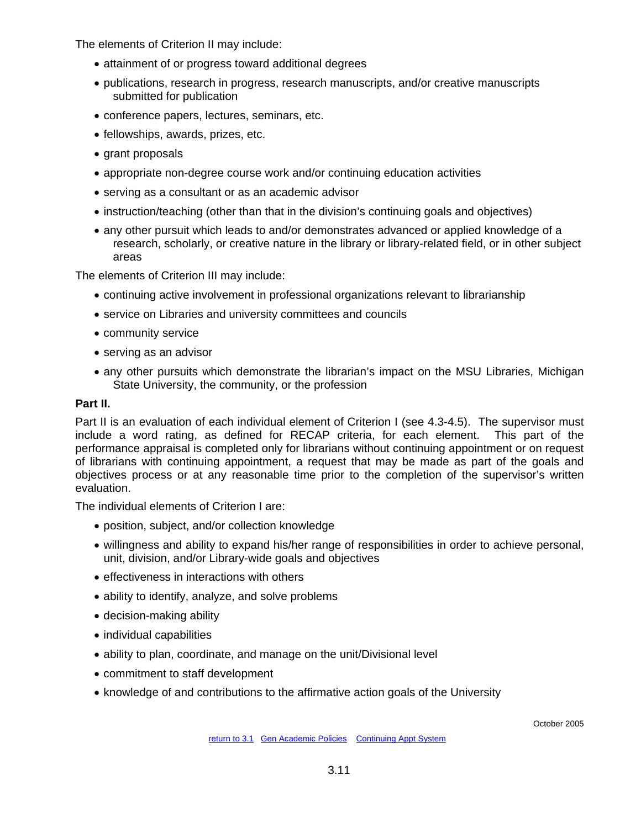The elements of Criterion II may include:

- attainment of or progress toward additional degrees
- publications, research in progress, research manuscripts, and/or creative manuscripts submitted for publication
- conference papers, lectures, seminars, etc.
- fellowships, awards, prizes, etc.
- grant proposals
- appropriate non-degree course work and/or continuing education activities
- serving as a consultant or as an academic advisor
- instruction/teaching (other than that in the division's continuing goals and objectives)
- any other pursuit which leads to and/or demonstrates advanced or applied knowledge of a research, scholarly, or creative nature in the library or library-related field, or in other subject areas

The elements of Criterion III may include:

- continuing active involvement in professional organizations relevant to librarianship
- service on Libraries and university committees and councils
- community service
- serving as an advisor
- any other pursuits which demonstrate the librarian's impact on the MSU Libraries, Michigan State University, the community, or the profession

## **Part II.**

Part II is an evaluation of each individual element of Criterion I (see 4.3-4.5). The supervisor must include a word rating, as defined for RECAP criteria, for each element. This part of the performance appraisal is completed only for librarians without continuing appointment or on request of librarians with continuing appointment, a request that may be made as part of the goals and objectives process or at any reasonable time prior to the completion of the supervisor's written evaluation.

The individual elements of Criterion I are:

- position, subject, and/or collection knowledge
- willingness and ability to expand his/her range of responsibilities in order to achieve personal, unit, division, and/or Library-wide goals and objectives
- effectiveness in interactions with others
- ability to identify, analyze, and solve problems
- decision-making ability
- individual capabilities
- ability to plan, coordinate, and manage on the unit/Divisional level
- commitment to staff development
- knowledge of and contributions to the affirmative action goals of the University

October 2005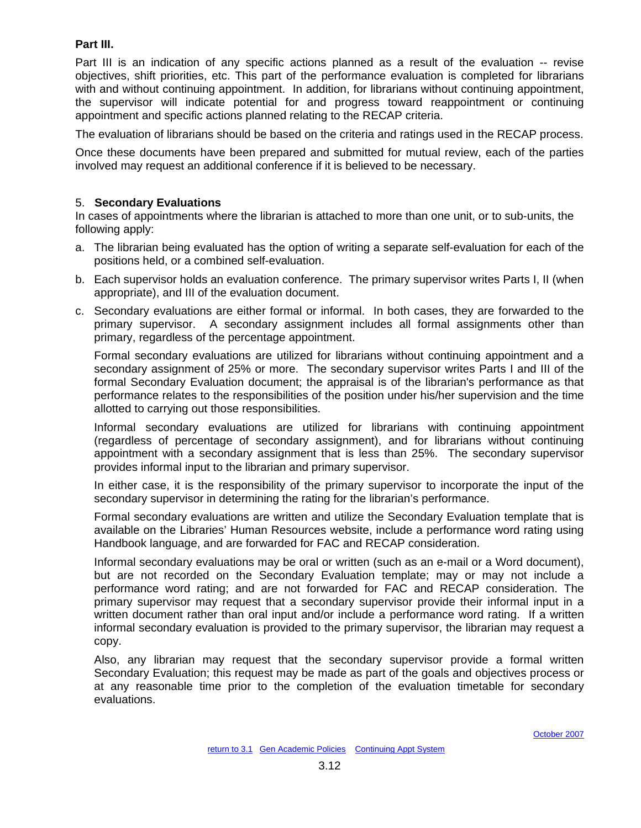## **Part III.**

Part III is an indication of any specific actions planned as a result of the evaluation -- revise objectives, shift priorities, etc. This part of the performance evaluation is completed for librarians with and without continuing appointment. In addition, for librarians without continuing appointment, the supervisor will indicate potential for and progress toward reappointment or continuing appointment and specific actions planned relating to the RECAP criteria.

The evaluation of librarians should be based on the criteria and ratings used in the RECAP process.

Once these documents have been prepared and submitted for mutual review, each of the parties involved may request an additional conference if it is believed to be necessary.

### 5. **Secondary Evaluations**

In cases of appointments where the librarian is attached to more than one unit, or to sub-units, the following apply:

- a. The librarian being evaluated has the option of writing a separate self-evaluation for each of the positions held, or a combined self-evaluation.
- b. Each supervisor holds an evaluation conference. The primary supervisor writes Parts I, II (when appropriate), and III of the evaluation document.
- c. Secondary evaluations are either formal or informal. In both cases, they are forwarded to the primary supervisor. A secondary assignment includes all formal assignments other than primary, regardless of the percentage appointment.

Formal secondary evaluations are utilized for librarians without continuing appointment and a secondary assignment of 25% or more. The secondary supervisor writes Parts I and III of the formal Secondary Evaluation document; the appraisal is of the librarian's performance as that performance relates to the responsibilities of the position under his/her supervision and the time allotted to carrying out those responsibilities.

Informal secondary evaluations are utilized for librarians with continuing appointment (regardless of percentage of secondary assignment), and for librarians without continuing appointment with a secondary assignment that is less than 25%. The secondary supervisor provides informal input to the librarian and primary supervisor.

In either case, it is the responsibility of the primary supervisor to incorporate the input of the secondary supervisor in determining the rating for the librarian's performance.

Formal secondary evaluations are written and utilize the Secondary Evaluation template that is available on the Libraries' Human Resources website, include a performance word rating using Handbook language, and are forwarded for FAC and RECAP consideration.

Informal secondary evaluations may be oral or written (such as an e-mail or a Word document), but are not recorded on the Secondary Evaluation template; may or may not include a performance word rating; and are not forwarded for FAC and RECAP consideration. The primary supervisor may request that a secondary supervisor provide their informal input in a written document rather than oral input and/or include a performance word rating. If a written informal secondary evaluation is provided to the primary supervisor, the librarian may request a copy.

Also, any librarian may request that the secondary supervisor provide a formal written Secondary Evaluation; this request may be made as part of the goals and objectives process or at any reasonable time prior to the completion of the evaluation timetable for secondary evaluations.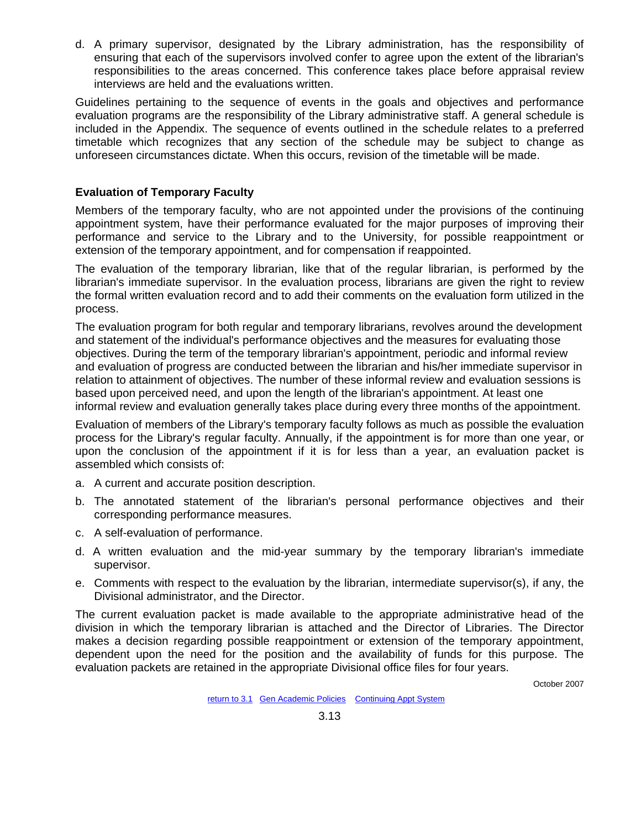d. A primary supervisor, designated by the Library administration, has the responsibility of ensuring that each of the supervisors involved confer to agree upon the extent of the librarian's responsibilities to the areas concerned. This conference takes place before appraisal review interviews are held and the evaluations written.

Guidelines pertaining to the sequence of events in the goals and objectives and performance evaluation programs are the responsibility of the Library administrative staff. A general schedule is included in the Appendix. The sequence of events outlined in the schedule relates to a preferred timetable which recognizes that any section of the schedule may be subject to change as unforeseen circumstances dictate. When this occurs, revision of the timetable will be made.

## **Evaluation of Temporary Faculty**

Members of the temporary faculty, who are not appointed under the provisions of the continuing appointment system, have their performance evaluated for the major purposes of improving their performance and service to the Library and to the University, for possible reappointment or extension of the temporary appointment, and for compensation if reappointed.

The evaluation of the temporary librarian, like that of the regular librarian, is performed by the librarian's immediate supervisor. In the evaluation process, librarians are given the right to review the formal written evaluation record and to add their comments on the evaluation form utilized in the process.

The evaluation program for both regular and temporary librarians, revolves around the development and statement of the individual's performance objectives and the measures for evaluating those objectives. During the term of the temporary librarian's appointment, periodic and informal review and evaluation of progress are conducted between the librarian and his/her immediate supervisor in relation to attainment of objectives. The number of these informal review and evaluation sessions is based upon perceived need, and upon the length of the librarian's appointment. At least one informal review and evaluation generally takes place during every three months of the appointment.

Evaluation of members of the Library's temporary faculty follows as much as possible the evaluation process for the Library's regular faculty. Annually, if the appointment is for more than one year, or upon the conclusion of the appointment if it is for less than a year, an evaluation packet is assembled which consists of:

- a. A current and accurate position description.
- b. The annotated statement of the librarian's personal performance objectives and their corresponding performance measures.
- c. A self-evaluation of performance.
- d. A written evaluation and the mid-year summary by the temporary librarian's immediate supervisor.
- e. Comments with respect to the evaluation by the librarian, intermediate supervisor(s), if any, the Divisional administrator, and the Director.

The current evaluation packet is made available to the appropriate administrative head of the division in which the temporary librarian is attached and the Director of Libraries. The Director makes a decision regarding possible reappointment or extension of the temporary appointment, dependent upon the need for the position and the availability of funds for this purpose. The evaluation packets are retained in the appropriate Divisional office files for four years.

October 2007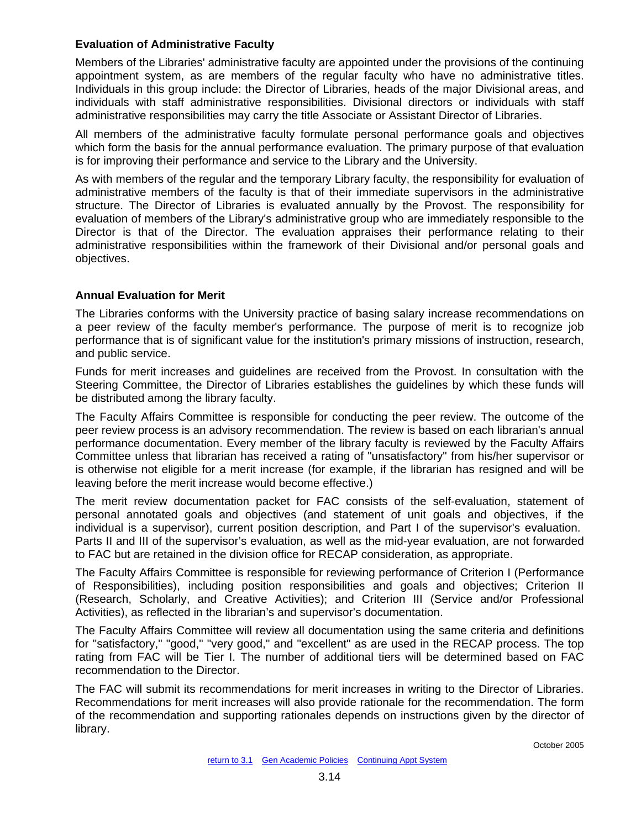### **Evaluation of Administrative Faculty**

Members of the Libraries' administrative faculty are appointed under the provisions of the continuing appointment system, as are members of the regular faculty who have no administrative titles. Individuals in this group include: the Director of Libraries, heads of the major Divisional areas, and individuals with staff administrative responsibilities. Divisional directors or individuals with staff administrative responsibilities may carry the title Associate or Assistant Director of Libraries.

All members of the administrative faculty formulate personal performance goals and objectives which form the basis for the annual performance evaluation. The primary purpose of that evaluation is for improving their performance and service to the Library and the University.

As with members of the regular and the temporary Library faculty, the responsibility for evaluation of administrative members of the faculty is that of their immediate supervisors in the administrative structure. The Director of Libraries is evaluated annually by the Provost. The responsibility for evaluation of members of the Library's administrative group who are immediately responsible to the Director is that of the Director. The evaluation appraises their performance relating to their administrative responsibilities within the framework of their Divisional and/or personal goals and objectives.

## **Annual Evaluation for Merit**

The Libraries conforms with the University practice of basing salary increase recommendations on a peer review of the faculty member's performance. The purpose of merit is to recognize job performance that is of significant value for the institution's primary missions of instruction, research, and public service.

Funds for merit increases and guidelines are received from the Provost. In consultation with the Steering Committee, the Director of Libraries establishes the guidelines by which these funds will be distributed among the library faculty.

The Faculty Affairs Committee is responsible for conducting the peer review. The outcome of the peer review process is an advisory recommendation. The review is based on each librarian's annual performance documentation. Every member of the library faculty is reviewed by the Faculty Affairs Committee unless that librarian has received a rating of "unsatisfactory" from his/her supervisor or is otherwise not eligible for a merit increase (for example, if the librarian has resigned and will be leaving before the merit increase would become effective.)

The merit review documentation packet for FAC consists of the self-evaluation, statement of personal annotated goals and objectives (and statement of unit goals and objectives, if the individual is a supervisor), current position description, and Part I of the supervisor's evaluation. Parts II and III of the supervisor's evaluation, as well as the mid-year evaluation, are not forwarded to FAC but are retained in the division office for RECAP consideration, as appropriate.

The Faculty Affairs Committee is responsible for reviewing performance of Criterion I (Performance of Responsibilities), including position responsibilities and goals and objectives; Criterion II (Research, Scholarly, and Creative Activities); and Criterion III (Service and/or Professional Activities), as reflected in the librarian's and supervisor's documentation.

The Faculty Affairs Committee will review all documentation using the same criteria and definitions for "satisfactory," "good," "very good," and "excellent" as are used in the RECAP process. The top rating from FAC will be Tier I. The number of additional tiers will be determined based on FAC recommendation to the Director.

The FAC will submit its recommendations for merit increases in writing to the Director of Libraries. Recommendations for merit increases will also provide rationale for the recommendation. The form of the recommendation and supporting rationales depends on instructions given by the director of library.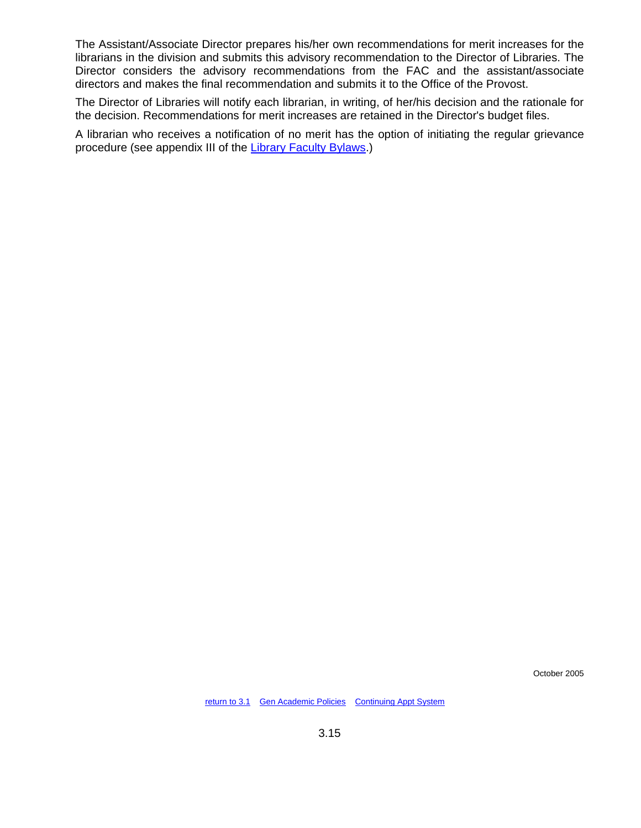The Assistant/Associate Director prepares his/her own recommendations for merit increases for the librarians in the division and submits this advisory recommendation to the Director of Libraries. The Director considers the advisory recommendations from the FAC and the assistant/associate directors and makes the final recommendation and submits it to the Office of the Provost.

The Director of Libraries will notify each librarian, in writing, of her/his decision and the rationale for the decision. Recommendations for merit increases are retained in the Director's budget files.

A librarian who receives a notification of no merit has the option of initiating the regular grievance procedure (see appendix III of the [Library Faculty Bylaws](#page-84-0).)

October 2005

[return to 3.1](#page-26-0) [Gen Academic Policies](#page-3-0) [Continuing Appt System](#page-11-0)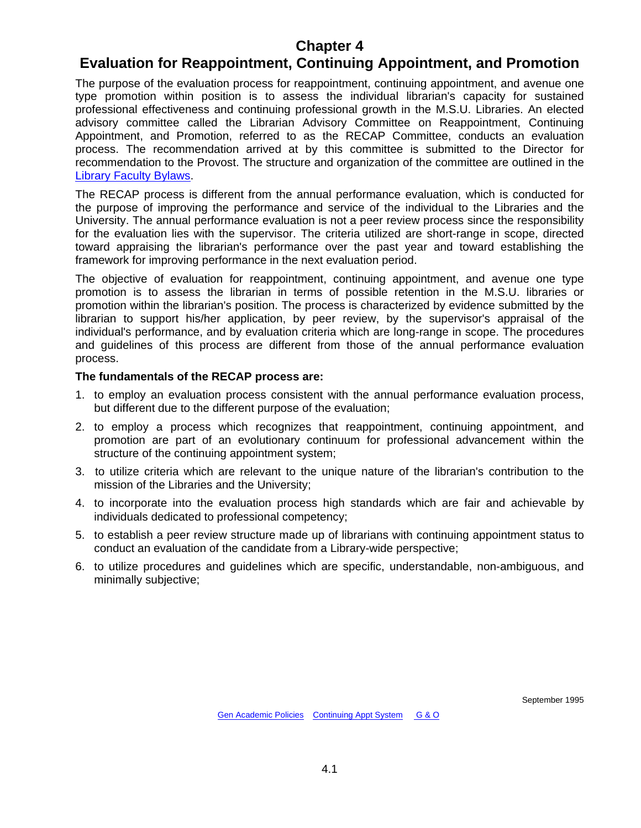# <span id="page-41-1"></span>**Chapter 4**

# <span id="page-41-0"></span>**Evaluation for Reappointment, Continuing Appointment, and Promotion**

The purpose of the evaluation process for reappointment, continuing appointment, and avenue one type promotion within position is to assess the individual librarian's capacity for sustained professional effectiveness and continuing professional growth in the M.S.U. Libraries. An elected advisory committee called the Librarian Advisory Committee on Reappointment, Continuing Appointment, and Promotion, referred to as the RECAP Committee, conducts an evaluation process. The recommendation arrived at by this committee is submitted to the Director for recommendation to the Provost. The structure and organization of the committee are outlined in the [Library Faculty Bylaws.](#page-84-0)

The RECAP process is different from the annual performance evaluation, which is conducted for the purpose of improving the performance and service of the individual to the Libraries and the University. The annual performance evaluation is not a peer review process since the responsibility for the evaluation lies with the supervisor. The criteria utilized are short-range in scope, directed toward appraising the librarian's performance over the past year and toward establishing the framework for improving performance in the next evaluation period.

The objective of evaluation for reappointment, continuing appointment, and avenue one type promotion is to assess the librarian in terms of possible retention in the M.S.U. libraries or promotion within the librarian's position. The process is characterized by evidence submitted by the librarian to support his/her application, by peer review, by the supervisor's appraisal of the individual's performance, and by evaluation criteria which are long-range in scope. The procedures and guidelines of this process are different from those of the annual performance evaluation process.

### **The fundamentals of the RECAP process are:**

- 1. to employ an evaluation process consistent with the annual performance evaluation process, but different due to the different purpose of the evaluation;
- 2. to employ a process which recognizes that reappointment, continuing appointment, and promotion are part of an evolutionary continuum for professional advancement within the structure of the continuing appointment system;
- 3. to utilize criteria which are relevant to the unique nature of the librarian's contribution to the mission of the Libraries and the University;
- 4. to incorporate into the evaluation process high standards which are fair and achievable by individuals dedicated to professional competency;
- 5. to establish a peer review structure made up of librarians with continuing appointment status to conduct an evaluation of the candidate from a Library-wide perspective;
- 6. to utilize procedures and guidelines which are specific, understandable, non-ambiguous, and minimally subjective;

September 1995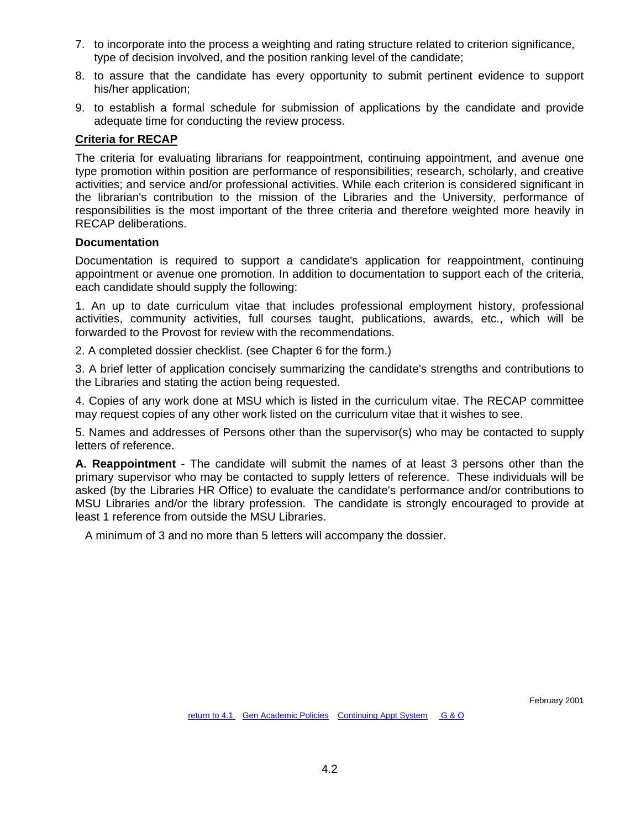- 7. to incorporate into the process a weighting and rating structure related to criterion significance, type of decision involved, and the position ranking level of the candidate;
- 8. to assure that the candidate has every opportunity to submit pertinent evidence to support his/her application;
- 9. to establish a formal schedule for submission of applications by the candidate and provide adequate time for conducting the review process.

## **Criteria for RECAP**

The criteria for evaluating librarians for reappointment, continuing appointment, and avenue one type promotion within position are performance of responsibilities; research, scholarly, and creative activities; and service and/or professional activities. While each criterion is considered significant in the librarian's contribution to the mission of the Libraries and the University, performance of responsibilities is the most important of the three criteria and therefore weighted more heavily in RECAP deliberations.

#### **Documentation**

Documentation is required to support a candidate's application for reappointment, continuing appointment or avenue one promotion. In addition to documentation to support each of the criteria, each candidate should supply the following:

1. An up to date curriculum vitae that includes professional employment history, professional activities, community activities, full courses taught, publications, awards, etc., which will be forwarded to the Provost for review with the recommendations.

2. A completed dossier checklist. (see Chapter 6 for the form.)

3. A brief letter of application concisely summarizing the candidate's strengths and contributions to the Libraries and stating the action being requested.

4. Copies of any work done at MSU which is listed in the curriculum vitae. The RECAP committee may request copies of any other work listed on the curriculum vitae that it wishes to see.

5. Names and addresses of Persons other than the supervisor(s) who may be contacted to supply letters of reference.

**A. Reappointment** - The candidate will submit the names of at least 3 persons other than the primary supervisor who may be contacted to supply letters of reference. These individuals will be asked (by the Libraries HR Office) to evaluate the candidate's performance and/or contributions to MSU Libraries and/or the library profession. The candidate is strongly encouraged to provide at least 1 reference from outside the MSU Libraries.

A minimum of 3 and no more than 5 letters will accompany the dossier.

February 2001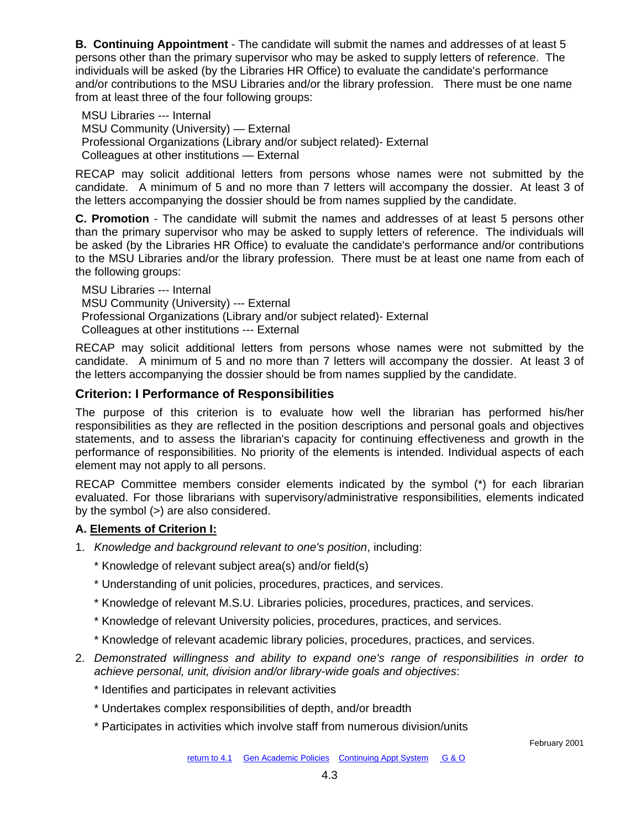**B. Continuing Appointment** - The candidate will submit the names and addresses of at least 5 persons other than the primary supervisor who may be asked to supply letters of reference. The individuals will be asked (by the Libraries HR Office) to evaluate the candidate's performance and/or contributions to the MSU Libraries and/or the library profession. There must be one name from at least three of the four following groups:

 MSU Libraries --- Internal MSU Community (University) — External Professional Organizations (Library and/or subject related)- External Colleagues at other institutions — External

RECAP may solicit additional letters from persons whose names were not submitted by the candidate. A minimum of 5 and no more than 7 letters will accompany the dossier. At least 3 of the letters accompanying the dossier should be from names supplied by the candidate.

**C. Promotion** - The candidate will submit the names and addresses of at least 5 persons other than the primary supervisor who may be asked to supply letters of reference. The individuals will be asked (by the Libraries HR Office) to evaluate the candidate's performance and/or contributions to the MSU Libraries and/or the library profession. There must be at least one name from each of the following groups:

 MSU Libraries --- Internal MSU Community (University) --- External Professional Organizations (Library and/or subject related)- External Colleagues at other institutions --- External

RECAP may solicit additional letters from persons whose names were not submitted by the candidate. A minimum of 5 and no more than 7 letters will accompany the dossier. At least 3 of the letters accompanying the dossier should be from names supplied by the candidate.

## **Criterion: I Performance of Responsibilities**

The purpose of this criterion is to evaluate how well the librarian has performed his/her responsibilities as they are reflected in the position descriptions and personal goals and objectives statements, and to assess the librarian's capacity for continuing effectiveness and growth in the performance of responsibilities. No priority of the elements is intended. Individual aspects of each element may not apply to all persons.

RECAP Committee members consider elements indicated by the symbol (\*) for each librarian evaluated. For those librarians with supervisory/administrative responsibilities, elements indicated by the symbol (>) are also considered.

## **A. Elements of Criterion I:**

- 1. *Knowledge and background relevant to one's position*, including:
	- \* Knowledge of relevant subject area(s) and/or field(s)
	- \* Understanding of unit policies, procedures, practices, and services.
	- \* Knowledge of relevant M.S.U. Libraries policies, procedures, practices, and services.
	- \* Knowledge of relevant University policies, procedures, practices, and services.
	- \* Knowledge of relevant academic library policies, procedures, practices, and services.
- 2. *Demonstrated willingness and ability to expand one's range of responsibilities in order to achieve personal, unit, division and/or library-wide goals and objectives*:
	- \* Identifies and participates in relevant activities
	- \* Undertakes complex responsibilities of depth, and/or breadth
	- \* Participates in activities which involve staff from numerous division/units

February 2001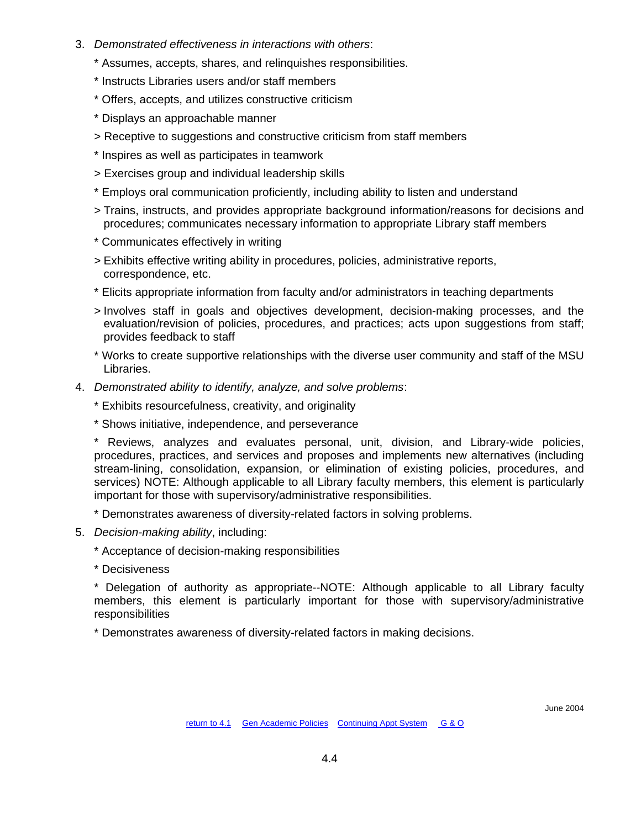- 3. *Demonstrated effectiveness in interactions with others*:
	- \* Assumes, accepts, shares, and relinquishes responsibilities.
	- \* Instructs Libraries users and/or staff members
	- \* Offers, accepts, and utilizes constructive criticism
	- \* Displays an approachable manner
	- > Receptive to suggestions and constructive criticism from staff members
	- \* Inspires as well as participates in teamwork
	- > Exercises group and individual leadership skills
	- \* Employs oral communication proficiently, including ability to listen and understand
	- > Trains, instructs, and provides appropriate background information/reasons for decisions and procedures; communicates necessary information to appropriate Library staff members
	- \* Communicates effectively in writing
	- > Exhibits effective writing ability in procedures, policies, administrative reports, correspondence, etc.
	- \* Elicits appropriate information from faculty and/or administrators in teaching departments
	- > Involves staff in goals and objectives development, decision-making processes, and the evaluation/revision of policies, procedures, and practices; acts upon suggestions from staff; provides feedback to staff
	- \* Works to create supportive relationships with the diverse user community and staff of the MSU Libraries.
- 4. *Demonstrated ability to identify, analyze, and solve problems*:
	- \* Exhibits resourcefulness, creativity, and originality
	- \* Shows initiative, independence, and perseverance
	- \* Reviews, analyzes and evaluates personal, unit, division, and Library-wide policies, procedures, practices, and services and proposes and implements new alternatives (including stream-lining, consolidation, expansion, or elimination of existing policies, procedures, and services) NOTE: Although applicable to all Library faculty members, this element is particularly important for those with supervisory/administrative responsibilities.
	- \* Demonstrates awareness of diversity-related factors in solving problems.
- 5. *Decision-making ability*, including:
	- \* Acceptance of decision-making responsibilities
	- \* Decisiveness

\* Delegation of authority as appropriate--NOTE: Although applicable to all Library faculty members, this element is particularly important for those with supervisory/administrative responsibilities

\* Demonstrates awareness of diversity-related factors in making decisions.

June 2004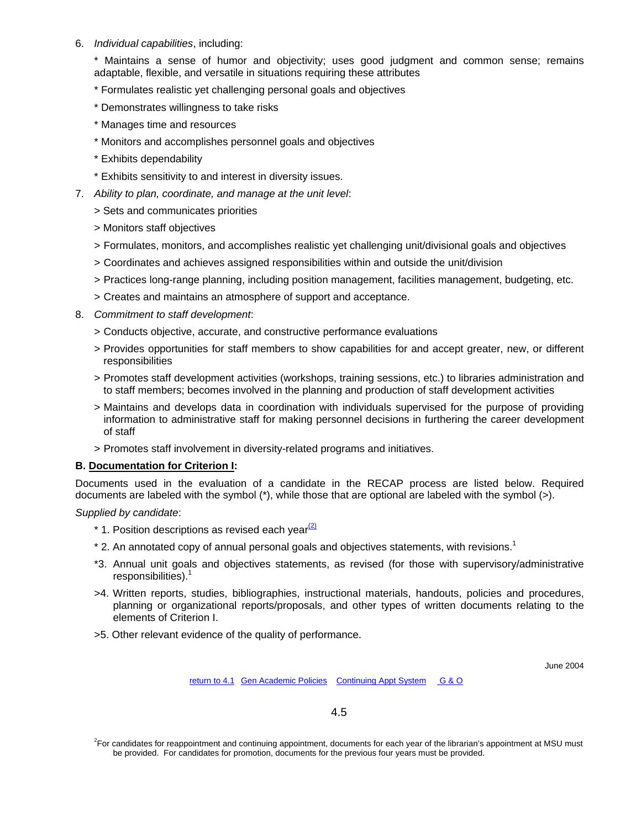6. *Individual capabilities*, including:

\* Maintains a sense of humor and objectivity; uses good judgment and common sense; remains adaptable, flexible, and versatile in situations requiring these attributes

- \* Formulates realistic yet challenging personal goals and objectives
- \* Demonstrates willingness to take risks
- \* Manages time and resources
- \* Monitors and accomplishes personnel goals and objectives
- \* Exhibits dependability
- \* Exhibits sensitivity to and interest in diversity issues.
- 7. *Ability to plan, coordinate, and manage at the unit level*:
	- > Sets and communicates priorities
	- > Monitors staff objectives
	- > Formulates, monitors, and accomplishes realistic yet challenging unit/divisional goals and objectives
	- > Coordinates and achieves assigned responsibilities within and outside the unit/division
	- > Practices long-range planning, including position management, facilities management, budgeting, etc.
	- > Creates and maintains an atmosphere of support and acceptance.
- 8. *Commitment to staff development*:
	- > Conducts objective, accurate, and constructive performance evaluations
	- > Provides opportunities for staff members to show capabilities for and accept greater, new, or different responsibilities
	- > Promotes staff development activities (workshops, training sessions, etc.) to libraries administration and to staff members; becomes involved in the planning and production of staff development activities
	- > Maintains and develops data in coordination with individuals supervised for the purpose of providing information to administrative staff for making personnel decisions in furthering the career development of staff
	- > Promotes staff involvement in diversity-related programs and initiatives.

#### **B. Documentation for Criterion I:**

Documents used in the evaluation of a candidate in the RECAP process are listed below. Required documents are labeled with the symbol (\*), while those that are optional are labeled with the symbol (>).

#### *Supplied by candidate*:

- $*$  1. Position descriptions as revised each year $\frac{2}{2}$
- $*$  2. An annotated copy of annual personal goals and objectives statements, with revisions.<sup>1</sup>
- \*3. Annual unit goals and objectives statements, as revised (for those with supervisory/administrative responsibilities).<sup>1</sup>
- >4. Written reports, studies, bibliographies, instructional materials, handouts, policies and procedures, planning or organizational reports/proposals, and other types of written documents relating to the elements of Criterion I.
- >5. Other relevant evidence of the quality of performance.

June 2004

[return to 4.1](#page-41-0)[Gen Academic Policies](#page-3-0) [Continuing Appt System](#page-11-0) [G & O](#page-26-0)

<sup>&</sup>lt;sup>2</sup>For candidates for reappointment and continuing appointment, documents for each year of the librarian's appointment at MSU must be provided. For candidates for promotion, documents for the previous four years must be provided.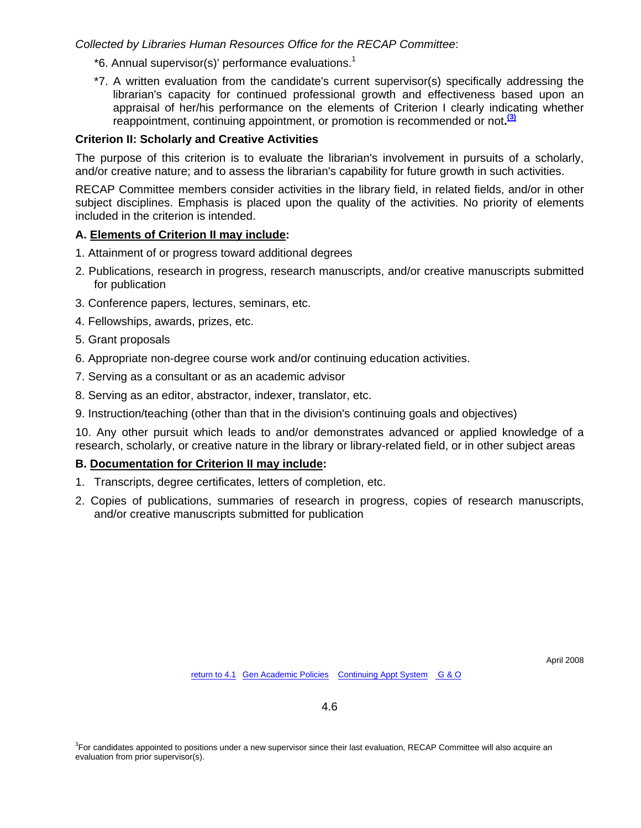*Collected by Libraries Human Resources Office for the RECAP Committee*:

- $*$ 6. Annual supervisor(s)' performance evaluations.<sup>1</sup>
- \*7. A written evaluation from the candidate's current supervisor(s) specifically addressing the librarian's capacity for continued professional growth and effectiveness based upon an appraisal of her/his performance on the elements of Criterion I clearly indicating whether reappointment, continuing appointment, or promotion is recommended or not**. [\(3\)](#page-83-0)**

## **Criterion II: Scholarly and Creative Activities**

The purpose of this criterion is to evaluate the librarian's involvement in pursuits of a scholarly, and/or creative nature; and to assess the librarian's capability for future growth in such activities.

RECAP Committee members consider activities in the library field, in related fields, and/or in other subject disciplines. Emphasis is placed upon the quality of the activities. No priority of elements included in the criterion is intended.

### **A. Elements of Criterion II may include:**

- 1. Attainment of or progress toward additional degrees
- 2. Publications, research in progress, research manuscripts, and/or creative manuscripts submitted for publication
- 3. Conference papers, lectures, seminars, etc.
- 4. Fellowships, awards, prizes, etc.
- 5. Grant proposals
- 6. Appropriate non-degree course work and/or continuing education activities.
- 7. Serving as a consultant or as an academic advisor
- 8. Serving as an editor, abstractor, indexer, translator, etc.
- 9. Instruction/teaching (other than that in the division's continuing goals and objectives)

10. Any other pursuit which leads to and/or demonstrates advanced or applied knowledge of a research, scholarly, or creative nature in the library or library-related field, or in other subject areas

## **B. Documentation for Criterion II may include:**

- 1. Transcripts, degree certificates, letters of completion, etc.
- 2. Copies of publications, summaries of research in progress, copies of research manuscripts, and/or creative manuscripts submitted for publication

April 2008

<sup>&</sup>lt;sup>3</sup>For candidates appointed to positions under a new supervisor since their last evaluation, RECAP Committee will also acquire an evaluation from prior supervisor(s).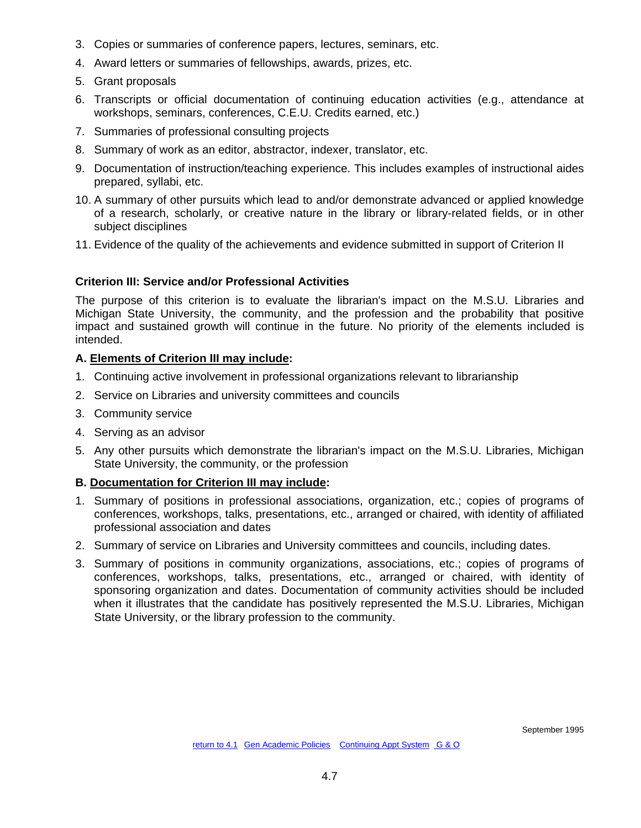- 3. Copies or summaries of conference papers, lectures, seminars, etc.
- 4. Award letters or summaries of fellowships, awards, prizes, etc.
- 5. Grant proposals
- 6. Transcripts or official documentation of continuing education activities (e.g., attendance at workshops, seminars, conferences, C.E.U. Credits earned, etc.)
- 7. Summaries of professional consulting projects
- 8. Summary of work as an editor, abstractor, indexer, translator, etc.
- 9. Documentation of instruction/teaching experience. This includes examples of instructional aides prepared, syllabi, etc.
- 10. A summary of other pursuits which lead to and/or demonstrate advanced or applied knowledge of a research, scholarly, or creative nature in the library or library-related fields, or in other subject disciplines
- 11. Evidence of the quality of the achievements and evidence submitted in support of Criterion II

### **Criterion III: Service and/or Professional Activities**

The purpose of this criterion is to evaluate the librarian's impact on the M.S.U. Libraries and Michigan State University, the community, and the profession and the probability that positive impact and sustained growth will continue in the future. No priority of the elements included is intended.

### **A. Elements of Criterion III may include:**

- 1. Continuing active involvement in professional organizations relevant to librarianship
- 2. Service on Libraries and university committees and councils
- 3. Community service
- 4. Serving as an advisor
- 5. Any other pursuits which demonstrate the librarian's impact on the M.S.U. Libraries, Michigan State University, the community, or the profession

#### **B. Documentation for Criterion III may include:**

- 1. Summary of positions in professional associations, organization, etc.; copies of programs of conferences, workshops, talks, presentations, etc., arranged or chaired, with identity of affiliated professional association and dates
- 2. Summary of service on Libraries and University committees and councils, including dates.
- 3. Summary of positions in community organizations, associations, etc.; copies of programs of conferences, workshops, talks, presentations, etc., arranged or chaired, with identity of sponsoring organization and dates. Documentation of community activities should be included when it illustrates that the candidate has positively represented the M.S.U. Libraries, Michigan State University, or the library profession to the community.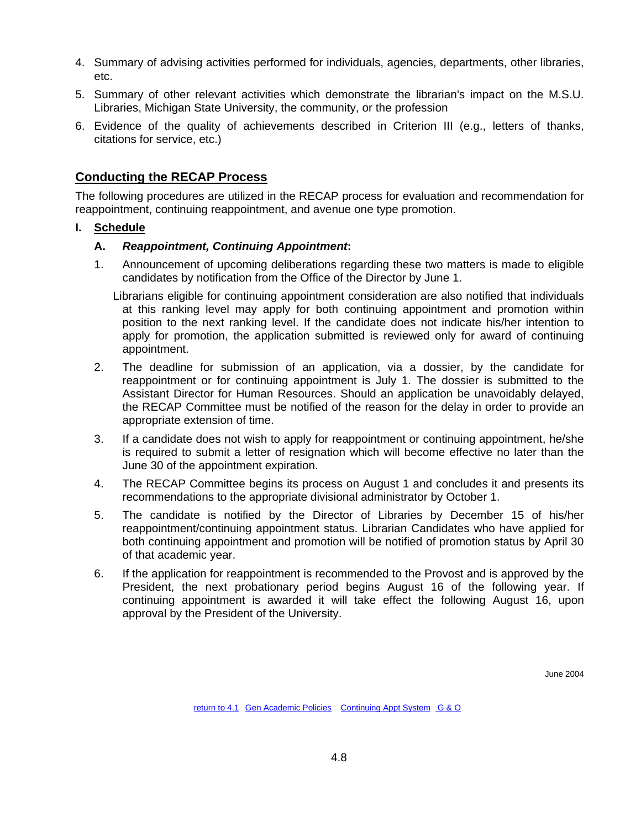- 4. Summary of advising activities performed for individuals, agencies, departments, other libraries, etc.
- 5. Summary of other relevant activities which demonstrate the librarian's impact on the M.S.U. Libraries, Michigan State University, the community, or the profession
- 6. Evidence of the quality of achievements described in Criterion III (e.g., letters of thanks, citations for service, etc.)

## **Conducting the RECAP Process**

The following procedures are utilized in the RECAP process for evaluation and recommendation for reappointment, continuing reappointment, and avenue one type promotion.

## **I. Schedule**

### **A.** *Reappointment, Continuing Appointment***:**

1. Announcement of upcoming deliberations regarding these two matters is made to eligible candidates by notification from the Office of the Director by June 1.

Librarians eligible for continuing appointment consideration are also notified that individuals at this ranking level may apply for both continuing appointment and promotion within position to the next ranking level. If the candidate does not indicate his/her intention to apply for promotion, the application submitted is reviewed only for award of continuing appointment.

- 2. The deadline for submission of an application, via a dossier, by the candidate for reappointment or for continuing appointment is July 1. The dossier is submitted to the Assistant Director for Human Resources. Should an application be unavoidably delayed, the RECAP Committee must be notified of the reason for the delay in order to provide an appropriate extension of time.
- 3. If a candidate does not wish to apply for reappointment or continuing appointment, he/she is required to submit a letter of resignation which will become effective no later than the June 30 of the appointment expiration.
- 4. The RECAP Committee begins its process on August 1 and concludes it and presents its recommendations to the appropriate divisional administrator by October 1.
- 5. The candidate is notified by the Director of Libraries by December 15 of his/her reappointment/continuing appointment status. Librarian Candidates who have applied for both continuing appointment and promotion will be notified of promotion status by April 30 of that academic year.
- 6. If the application for reappointment is recommended to the Provost and is approved by the President, the next probationary period begins August 16 of the following year. If continuing appointment is awarded it will take effect the following August 16, upon approval by the President of the University.

June 2004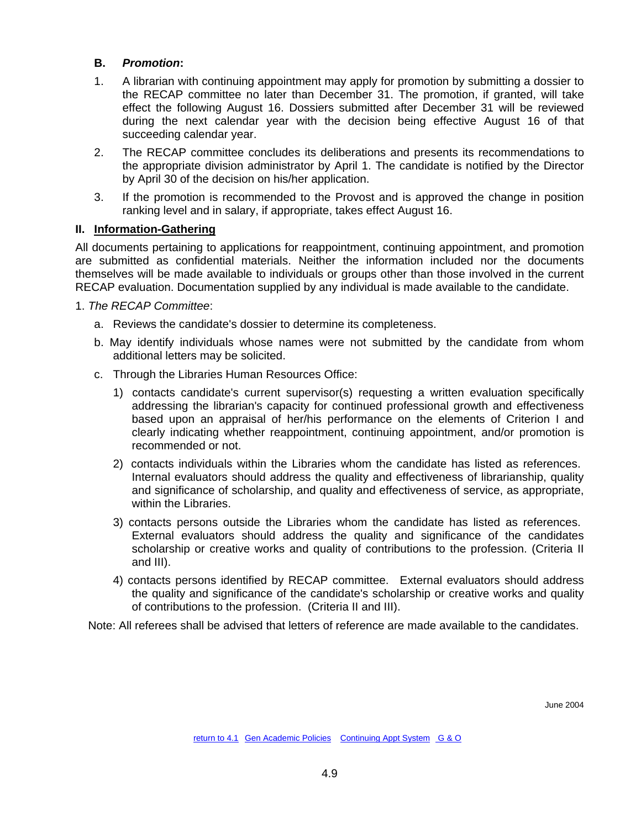## **B.** *Promotion***:**

- 1. A librarian with continuing appointment may apply for promotion by submitting a dossier to the RECAP committee no later than December 31. The promotion, if granted, will take effect the following August 16. Dossiers submitted after December 31 will be reviewed during the next calendar year with the decision being effective August 16 of that succeeding calendar year.
- 2. The RECAP committee concludes its deliberations and presents its recommendations to the appropriate division administrator by April 1. The candidate is notified by the Director by April 30 of the decision on his/her application.
- 3. If the promotion is recommended to the Provost and is approved the change in position ranking level and in salary, if appropriate, takes effect August 16.

## **II. Information-Gathering**

All documents pertaining to applications for reappointment, continuing appointment, and promotion are submitted as confidential materials. Neither the information included nor the documents themselves will be made available to individuals or groups other than those involved in the current RECAP evaluation. Documentation supplied by any individual is made available to the candidate.

- 1. *The RECAP Committee*:
	- a. Reviews the candidate's dossier to determine its completeness.
	- b. May identify individuals whose names were not submitted by the candidate from whom additional letters may be solicited.
	- c. Through the Libraries Human Resources Office:
		- 1) contacts candidate's current supervisor(s) requesting a written evaluation specifically addressing the librarian's capacity for continued professional growth and effectiveness based upon an appraisal of her/his performance on the elements of Criterion I and clearly indicating whether reappointment, continuing appointment, and/or promotion is recommended or not.
		- 2) contacts individuals within the Libraries whom the candidate has listed as references. Internal evaluators should address the quality and effectiveness of librarianship, quality and significance of scholarship, and quality and effectiveness of service, as appropriate, within the Libraries.
		- 3) contacts persons outside the Libraries whom the candidate has listed as references. External evaluators should address the quality and significance of the candidates scholarship or creative works and quality of contributions to the profession. (Criteria II and III).
		- 4) contacts persons identified by RECAP committee. External evaluators should address the quality and significance of the candidate's scholarship or creative works and quality of contributions to the profession. (Criteria II and III).

Note: All referees shall be advised that letters of reference are made available to the candidates.

June 2004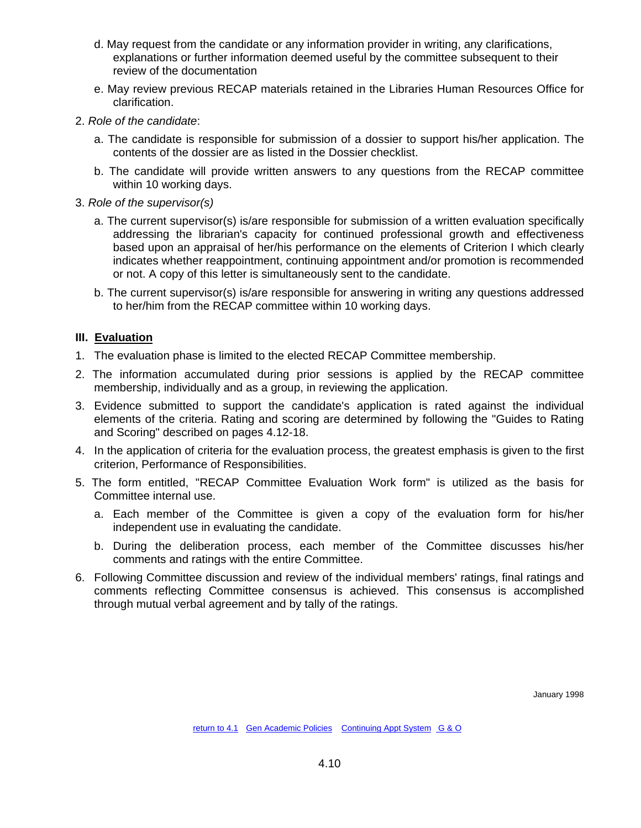- d. May request from the candidate or any information provider in writing, any clarifications, explanations or further information deemed useful by the committee subsequent to their review of the documentation
- e. May review previous RECAP materials retained in the Libraries Human Resources Office for clarification.
- 2. *Role of the candidate*:
	- a. The candidate is responsible for submission of a dossier to support his/her application. The contents of the dossier are as listed in the Dossier checklist.
	- b. The candidate will provide written answers to any questions from the RECAP committee within 10 working days.
- 3. *Role of the supervisor(s)*
	- a. The current supervisor(s) is/are responsible for submission of a written evaluation specifically addressing the librarian's capacity for continued professional growth and effectiveness based upon an appraisal of her/his performance on the elements of Criterion I which clearly indicates whether reappointment, continuing appointment and/or promotion is recommended or not. A copy of this letter is simultaneously sent to the candidate.
	- b. The current supervisor(s) is/are responsible for answering in writing any questions addressed to her/him from the RECAP committee within 10 working days.

## **III. Evaluation**

- 1. The evaluation phase is limited to the elected RECAP Committee membership.
- 2. The information accumulated during prior sessions is applied by the RECAP committee membership, individually and as a group, in reviewing the application.
- 3. Evidence submitted to support the candidate's application is rated against the individual elements of the criteria. Rating and scoring are determined by following the "Guides to Rating and Scoring" described on pages 4.12-18.
- 4. In the application of criteria for the evaluation process, the greatest emphasis is given to the first criterion, Performance of Responsibilities.
- 5. The form entitled, "RECAP Committee Evaluation Work form" is utilized as the basis for Committee internal use.
	- a. Each member of the Committee is given a copy of the evaluation form for his/her independent use in evaluating the candidate.
	- b. During the deliberation process, each member of the Committee discusses his/her comments and ratings with the entire Committee.
- 6. Following Committee discussion and review of the individual members' ratings, final ratings and comments reflecting Committee consensus is achieved. This consensus is accomplished through mutual verbal agreement and by tally of the ratings.

January 1998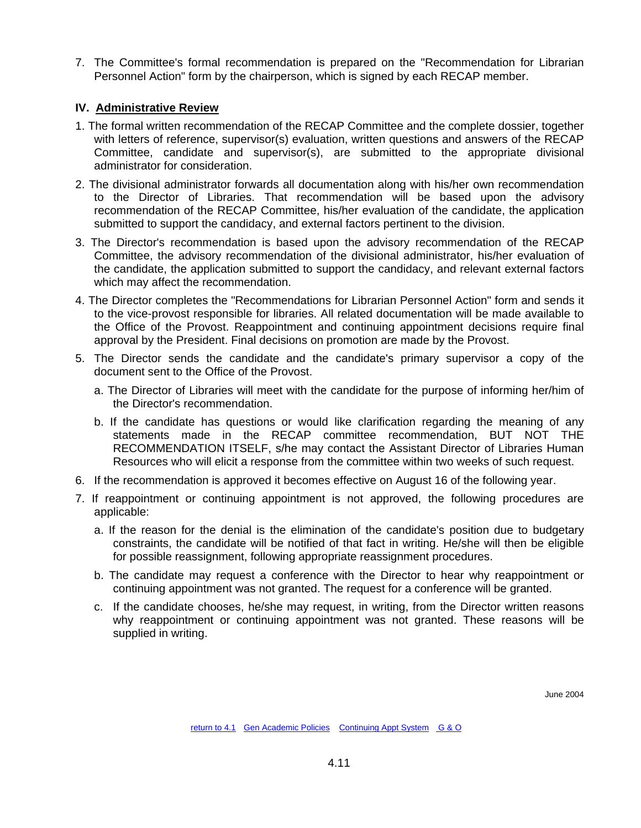7. The Committee's formal recommendation is prepared on the "Recommendation for Librarian Personnel Action" form by the chairperson, which is signed by each RECAP member.

## **IV. Administrative Review**

- 1. The formal written recommendation of the RECAP Committee and the complete dossier, together with letters of reference, supervisor(s) evaluation, written questions and answers of the RECAP Committee, candidate and supervisor(s), are submitted to the appropriate divisional administrator for consideration.
- 2. The divisional administrator forwards all documentation along with his/her own recommendation to the Director of Libraries. That recommendation will be based upon the advisory recommendation of the RECAP Committee, his/her evaluation of the candidate, the application submitted to support the candidacy, and external factors pertinent to the division.
- 3. The Director's recommendation is based upon the advisory recommendation of the RECAP Committee, the advisory recommendation of the divisional administrator, his/her evaluation of the candidate, the application submitted to support the candidacy, and relevant external factors which may affect the recommendation.
- 4. The Director completes the "Recommendations for Librarian Personnel Action" form and sends it to the vice-provost responsible for libraries. All related documentation will be made available to the Office of the Provost. Reappointment and continuing appointment decisions require final approval by the President. Final decisions on promotion are made by the Provost.
- 5. The Director sends the candidate and the candidate's primary supervisor a copy of the document sent to the Office of the Provost.
	- a. The Director of Libraries will meet with the candidate for the purpose of informing her/him of the Director's recommendation.
	- b. If the candidate has questions or would like clarification regarding the meaning of any statements made in the RECAP committee recommendation, BUT NOT THE RECOMMENDATION ITSELF, s/he may contact the Assistant Director of Libraries Human Resources who will elicit a response from the committee within two weeks of such request.
- 6. If the recommendation is approved it becomes effective on August 16 of the following year.
- 7. If reappointment or continuing appointment is not approved, the following procedures are applicable:
	- a. If the reason for the denial is the elimination of the candidate's position due to budgetary constraints, the candidate will be notified of that fact in writing. He/she will then be eligible for possible reassignment, following appropriate reassignment procedures.
	- b. The candidate may request a conference with the Director to hear why reappointment or continuing appointment was not granted. The request for a conference will be granted.
	- c. If the candidate chooses, he/she may request, in writing, from the Director written reasons why reappointment or continuing appointment was not granted. These reasons will be supplied in writing.

 $l$ une 2004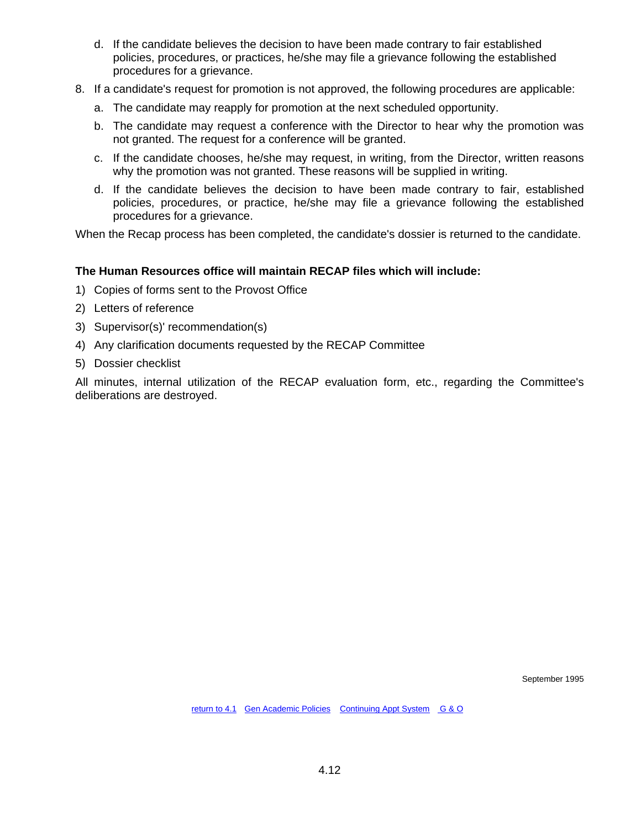- d. If the candidate believes the decision to have been made contrary to fair established policies, procedures, or practices, he/she may file a grievance following the established procedures for a grievance.
- 8. If a candidate's request for promotion is not approved, the following procedures are applicable:
	- a. The candidate may reapply for promotion at the next scheduled opportunity.
	- b. The candidate may request a conference with the Director to hear why the promotion was not granted. The request for a conference will be granted.
	- c. If the candidate chooses, he/she may request, in writing, from the Director, written reasons why the promotion was not granted. These reasons will be supplied in writing.
	- d. If the candidate believes the decision to have been made contrary to fair, established policies, procedures, or practice, he/she may file a grievance following the established procedures for a grievance.

When the Recap process has been completed, the candidate's dossier is returned to the candidate.

### **The Human Resources office will maintain RECAP files which will include:**

- 1) Copies of forms sent to the Provost Office
- 2) Letters of reference
- 3) Supervisor(s)' recommendation(s)
- 4) Any clarification documents requested by the RECAP Committee
- 5) Dossier checklist

All minutes, internal utilization of the RECAP evaluation form, etc., regarding the Committee's deliberations are destroyed.

September 1995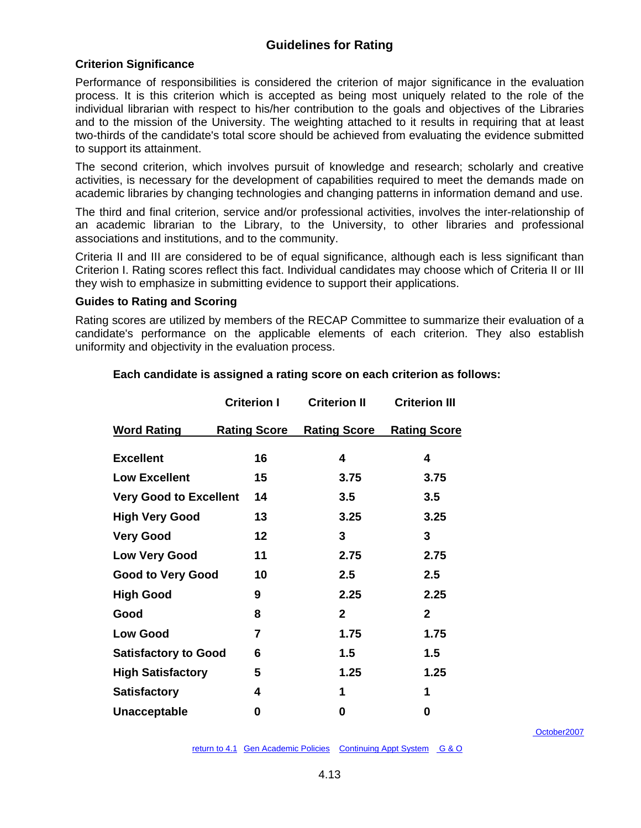# **Guidelines for Rating**

## **Criterion Significance**

Performance of responsibilities is considered the criterion of major significance in the evaluation process. It is this criterion which is accepted as being most uniquely related to the role of the individual librarian with respect to his/her contribution to the goals and objectives of the Libraries and to the mission of the University. The weighting attached to it results in requiring that at least two-thirds of the candidate's total score should be achieved from evaluating the evidence submitted to support its attainment.

The second criterion, which involves pursuit of knowledge and research; scholarly and creative activities, is necessary for the development of capabilities required to meet the demands made on academic libraries by changing technologies and changing patterns in information demand and use.

The third and final criterion, service and/or professional activities, involves the inter-relationship of an academic librarian to the Library, to the University, to other libraries and professional associations and institutions, and to the community.

Criteria II and III are considered to be of equal significance, although each is less significant than Criterion I. Rating scores reflect this fact. Individual candidates may choose which of Criteria II or III they wish to emphasize in submitting evidence to support their applications.

#### **Guides to Rating and Scoring**

Rating scores are utilized by members of the RECAP Committee to summarize their evaluation of a candidate's performance on the applicable elements of each criterion. They also establish uniformity and objectivity in the evaluation process.

|                               | <b>Criterion I</b>  | <b>Criterion II</b> | <b>Criterion III</b> |
|-------------------------------|---------------------|---------------------|----------------------|
| <b>Word Rating</b>            | <u>Rating Score</u> | <b>Rating Score</b> | <b>Rating Score</b>  |
| <b>Excellent</b>              | 16                  | 4                   | 4                    |
| <b>Low Excellent</b>          | 15                  | 3.75                | 3.75                 |
| <b>Very Good to Excellent</b> | 14                  | 3.5                 | 3.5                  |
| <b>High Very Good</b>         | 13                  | 3.25                | 3.25                 |
| <b>Very Good</b>              | 12                  | 3                   | 3                    |
| <b>Low Very Good</b>          | 11                  | 2.75                | 2.75                 |
| <b>Good to Very Good</b>      | 10                  | 2.5                 | $2.5\,$              |
| <b>High Good</b>              | 9                   | 2.25                | 2.25                 |
| Good                          | 8                   | $\overline{2}$      | $\mathbf{2}$         |
| <b>Low Good</b>               | 7                   | 1.75                | 1.75                 |
| <b>Satisfactory to Good</b>   | 6                   | $1.5\,$             | 1.5                  |
| <b>High Satisfactory</b>      | 5                   | 1.25                | 1.25                 |
| <b>Satisfactory</b>           | 4                   | 1                   | 1                    |
| <b>Unacceptable</b>           | 0                   | 0                   | 0                    |

#### **Each candidate is assigned a rating score on each criterion as follows:**

[October2007](http://www.lib.msu.edu/libadmin/handbook/Handbook_Archive/Chapter%204.htm)

[return to 4.1](http://www.lib.msu.edu/libadmin/handbook/Handbook_Archive/Chapter%204.htm)Gen Academic Policies Continuing Appt System G & O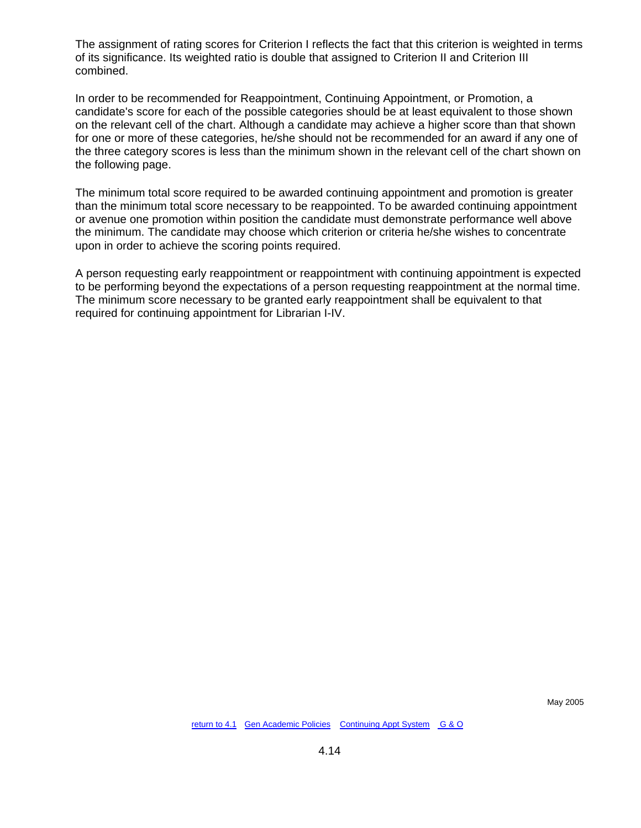The assignment of rating scores for Criterion I reflects the fact that this criterion is weighted in terms of its significance. Its weighted ratio is double that assigned to Criterion II and Criterion III combined.

In order to be recommended for Reappointment, Continuing Appointment, or Promotion, a candidate's score for each of the possible categories should be at least equivalent to those shown on the relevant cell of the chart. Although a candidate may achieve a higher score than that shown for one or more of these categories, he/she should not be recommended for an award if any one of the three category scores is less than the minimum shown in the relevant cell of the chart shown on the following page.

The minimum total score required to be awarded continuing appointment and promotion is greater than the minimum total score necessary to be reappointed. To be awarded continuing appointment or avenue one promotion within position the candidate must demonstrate performance well above the minimum. The candidate may choose which criterion or criteria he/she wishes to concentrate upon in order to achieve the scoring points required.

A person requesting early reappointment or reappointment with continuing appointment is expected to be performing beyond the expectations of a person requesting reappointment at the normal time. The minimum score necessary to be granted early reappointment shall be equivalent to that required for continuing appointment for Librarian I-IV.

May 2005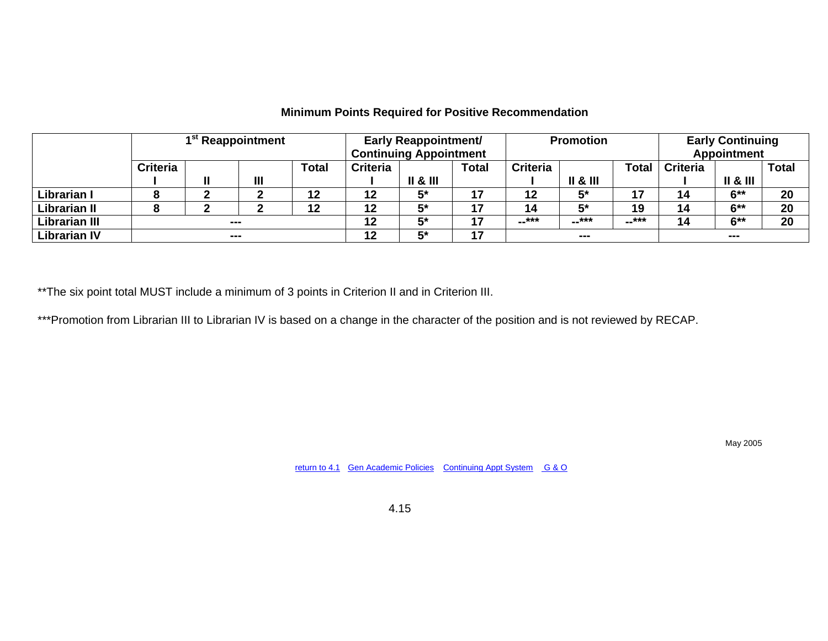|                      | 1 <sup>st</sup> Reappointment |         |                | <b>Early Reappointment/</b><br><b>Continuing Appointment</b> |                 | <b>Promotion</b>          |              | <b>Early Continuing</b><br><b>Appointment</b> |                           |       |                 |                     |              |
|----------------------|-------------------------------|---------|----------------|--------------------------------------------------------------|-----------------|---------------------------|--------------|-----------------------------------------------|---------------------------|-------|-----------------|---------------------|--------------|
|                      | <b>Criteria</b>               |         |                | <b>Total</b>                                                 | <b>Criteria</b> |                           | <b>Total</b> | <b>Criteria</b>                               |                           | Total | <b>Criteria</b> |                     | <b>Total</b> |
|                      |                               |         | $\mathbf{III}$ |                                                              |                 | $\parallel$ & $\parallel$ |              |                                               | $\parallel$ & $\parallel$ |       |                 | <b>II &amp; III</b> |              |
| Librarian I          |                               |         |                | 12                                                           | 12              | 5*                        | 47           | 12                                            | 5*                        | 17    | 14              | $6***$              | 20           |
| Librarian II         |                               |         |                | 12                                                           | 12              | 5*                        | ᇫ            | 14                                            | г×                        | 19    | 14              | $6***$              | 20           |
| <b>Librarian III</b> |                               | $- - -$ |                |                                                              | 12              | 5*                        | 47           | --***                                         | --***                     | --*** | 14              | $6***$              | 20           |
| <b>Librarian IV</b>  |                               | $- - -$ |                |                                                              | 12              | 5*                        | 17           |                                               | $- - -$                   |       |                 | $- - -$             |              |

## **Minimum Points Required for Positive Recommendation**

\*\* The six point total MUST include a minimum of 3 points in Criterion II and in Criterion III.

\*\*\*Promotion from Librarian III to Librarian IV is based on a change in the character of the position and is not reviewed by RECAP.

May 2005

[return to 4.1](#page-41-1) [Gen Academic Policies](#page-3-1) [Continuing Appt System](#page-11-1) [G & O](#page-26-1)

4.15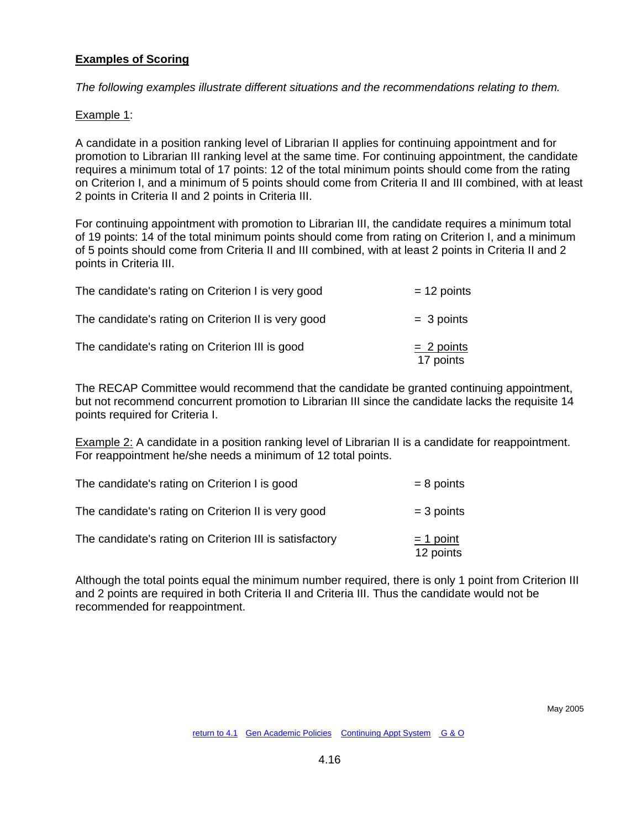## **Examples of Scoring**

*The following examples illustrate different situations and the recommendations relating to them.*

### Example 1:

A candidate in a position ranking level of Librarian II applies for continuing appointment and for promotion to Librarian III ranking level at the same time. For continuing appointment, the candidate requires a minimum total of 17 points: 12 of the total minimum points should come from the rating on Criterion I, and a minimum of 5 points should come from Criteria II and III combined, with at least 2 points in Criteria II and 2 points in Criteria III.

For continuing appointment with promotion to Librarian III, the candidate requires a minimum total of 19 points: 14 of the total minimum points should come from rating on Criterion I, and a minimum of 5 points should come from Criteria II and III combined, with at least 2 points in Criteria II and 2 points in Criteria III.

| The candidate's rating on Criterion I is very good  | $= 12$ points             |
|-----------------------------------------------------|---------------------------|
| The candidate's rating on Criterion II is very good | $=$ 3 points              |
| The candidate's rating on Criterion III is good     | $= 2$ points<br>17 points |

The RECAP Committee would recommend that the candidate be granted continuing appointment, but not recommend concurrent promotion to Librarian III since the candidate lacks the requisite 14 points required for Criteria I.

Example 2: A candidate in a position ranking level of Librarian II is a candidate for reappointment. For reappointment he/she needs a minimum of 12 total points.

| The candidate's rating on Criterion I is good           | $= 8$ points             |
|---------------------------------------------------------|--------------------------|
| The candidate's rating on Criterion II is very good     | $=$ 3 points             |
| The candidate's rating on Criterion III is satisfactory | $=$ 1 point<br>12 points |

Although the total points equal the minimum number required, there is only 1 point from Criterion III and 2 points are required in both Criteria II and Criteria III. Thus the candidate would not be recommended for reappointment.

May 2005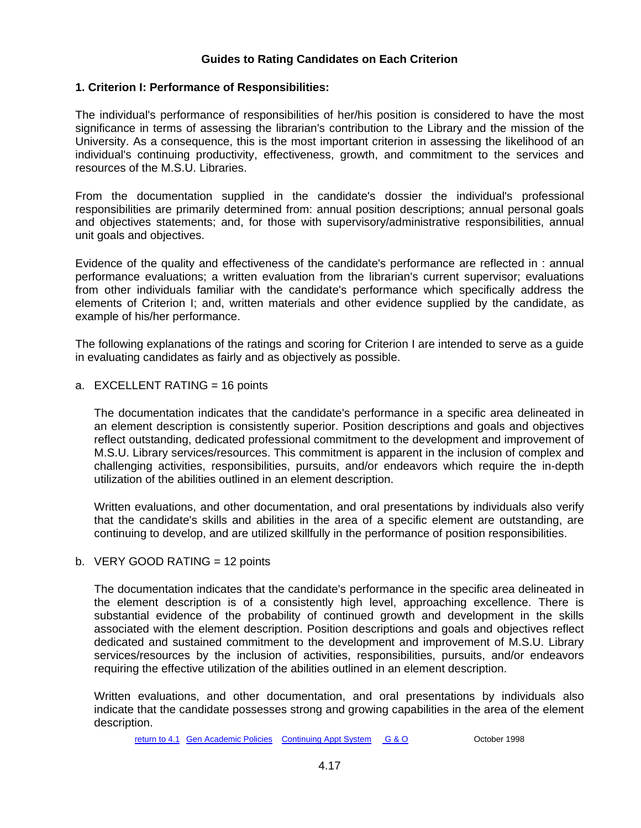## **Guides to Rating Candidates on Each Criterion**

## **1. Criterion I: Performance of Responsibilities:**

The individual's performance of responsibilities of her/his position is considered to have the most significance in terms of assessing the librarian's contribution to the Library and the mission of the University. As a consequence, this is the most important criterion in assessing the likelihood of an individual's continuing productivity, effectiveness, growth, and commitment to the services and resources of the M.S.U. Libraries.

From the documentation supplied in the candidate's dossier the individual's professional responsibilities are primarily determined from: annual position descriptions; annual personal goals and objectives statements; and, for those with supervisory/administrative responsibilities, annual unit goals and objectives.

Evidence of the quality and effectiveness of the candidate's performance are reflected in : annual performance evaluations; a written evaluation from the librarian's current supervisor; evaluations from other individuals familiar with the candidate's performance which specifically address the elements of Criterion I; and, written materials and other evidence supplied by the candidate, as example of his/her performance.

The following explanations of the ratings and scoring for Criterion I are intended to serve as a guide in evaluating candidates as fairly and as objectively as possible.

a. EXCELLENT RATING = 16 points

The documentation indicates that the candidate's performance in a specific area delineated in an element description is consistently superior. Position descriptions and goals and objectives reflect outstanding, dedicated professional commitment to the development and improvement of M.S.U. Library services/resources. This commitment is apparent in the inclusion of complex and challenging activities, responsibilities, pursuits, and/or endeavors which require the in-depth utilization of the abilities outlined in an element description.

Written evaluations, and other documentation, and oral presentations by individuals also verify that the candidate's skills and abilities in the area of a specific element are outstanding, are continuing to develop, and are utilized skillfully in the performance of position responsibilities.

#### b. VERY GOOD RATING = 12 points

The documentation indicates that the candidate's performance in the specific area delineated in the element description is of a consistently high level, approaching excellence. There is substantial evidence of the probability of continued growth and development in the skills associated with the element description. Position descriptions and goals and objectives reflect dedicated and sustained commitment to the development and improvement of M.S.U. Library services/resources by the inclusion of activities, responsibilities, pursuits, and/or endeavors requiring the effective utilization of the abilities outlined in an element description.

Written evaluations, and other documentation, and oral presentations by individuals also indicate that the candidate possesses strong and growing capabilities in the area of the element description.

[return to 4.1](#page-41-0)[Gen Academic Policies](#page-3-0) [Continuing Appt System](#page-11-0) [G & O](#page-26-0) October 1998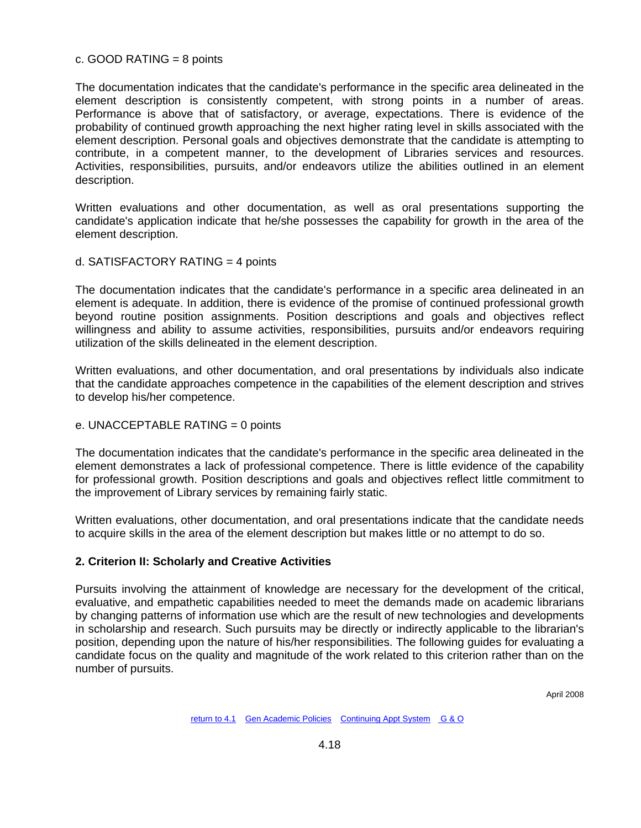### c. GOOD RATING = 8 points

The documentation indicates that the candidate's performance in the specific area delineated in the element description is consistently competent, with strong points in a number of areas. Performance is above that of satisfactory, or average, expectations. There is evidence of the probability of continued growth approaching the next higher rating level in skills associated with the element description. Personal goals and objectives demonstrate that the candidate is attempting to contribute, in a competent manner, to the development of Libraries services and resources. Activities, responsibilities, pursuits, and/or endeavors utilize the abilities outlined in an element description.

Written evaluations and other documentation, as well as oral presentations supporting the candidate's application indicate that he/she possesses the capability for growth in the area of the element description.

## d. SATISFACTORY RATING = 4 points

The documentation indicates that the candidate's performance in a specific area delineated in an element is adequate. In addition, there is evidence of the promise of continued professional growth beyond routine position assignments. Position descriptions and goals and objectives reflect willingness and ability to assume activities, responsibilities, pursuits and/or endeavors requiring utilization of the skills delineated in the element description.

Written evaluations, and other documentation, and oral presentations by individuals also indicate that the candidate approaches competence in the capabilities of the element description and strives to develop his/her competence.

e. UNACCEPTABLE RATING = 0 points

The documentation indicates that the candidate's performance in the specific area delineated in the element demonstrates a lack of professional competence. There is little evidence of the capability for professional growth. Position descriptions and goals and objectives reflect little commitment to the improvement of Library services by remaining fairly static.

Written evaluations, other documentation, and oral presentations indicate that the candidate needs to acquire skills in the area of the element description but makes little or no attempt to do so.

## **2. Criterion II: Scholarly and Creative Activities**

Pursuits involving the attainment of knowledge are necessary for the development of the critical, evaluative, and empathetic capabilities needed to meet the demands made on academic librarians by changing patterns of information use which are the result of new technologies and developments in scholarship and research. Such pursuits may be directly or indirectly applicable to the librarian's position, depending upon the nature of his/her responsibilities. The following guides for evaluating a candidate focus on the quality and magnitude of the work related to this criterion rather than on the number of pursuits.

April 2008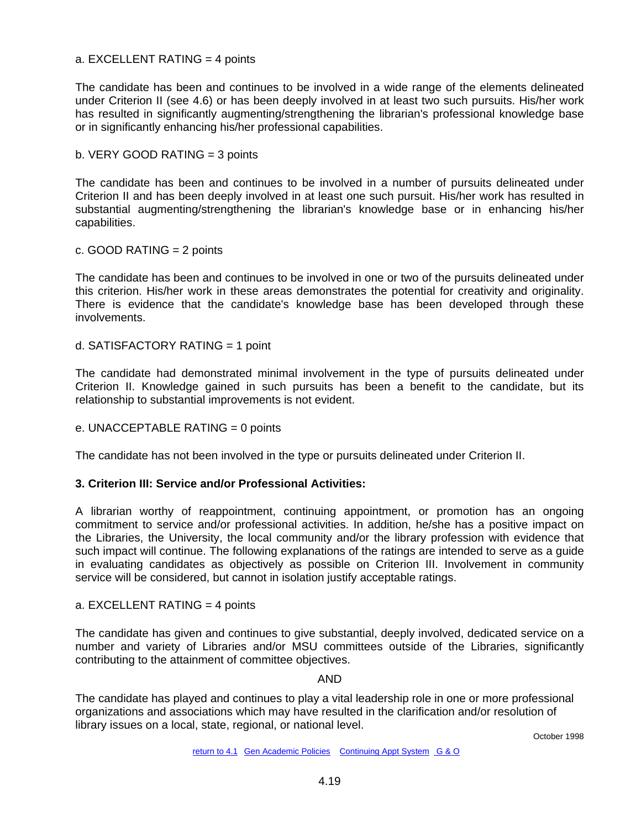#### a. EXCELLENT RATING = 4 points

The candidate has been and continues to be involved in a wide range of the elements delineated under Criterion II (see 4.6) or has been deeply involved in at least two such pursuits. His/her work has resulted in significantly augmenting/strengthening the librarian's professional knowledge base or in significantly enhancing his/her professional capabilities.

b. VERY GOOD RATING = 3 points

The candidate has been and continues to be involved in a number of pursuits delineated under Criterion II and has been deeply involved in at least one such pursuit. His/her work has resulted in substantial augmenting/strengthening the librarian's knowledge base or in enhancing his/her capabilities.

c. GOOD RATING = 2 points

The candidate has been and continues to be involved in one or two of the pursuits delineated under this criterion. His/her work in these areas demonstrates the potential for creativity and originality. There is evidence that the candidate's knowledge base has been developed through these involvements.

d. SATISFACTORY RATING = 1 point

The candidate had demonstrated minimal involvement in the type of pursuits delineated under Criterion II. Knowledge gained in such pursuits has been a benefit to the candidate, but its relationship to substantial improvements is not evident.

#### e. UNACCEPTABLE RATING = 0 points

The candidate has not been involved in the type or pursuits delineated under Criterion II.

#### **3. Criterion III: Service and/or Professional Activities:**

A librarian worthy of reappointment, continuing appointment, or promotion has an ongoing commitment to service and/or professional activities. In addition, he/she has a positive impact on the Libraries, the University, the local community and/or the library profession with evidence that such impact will continue. The following explanations of the ratings are intended to serve as a guide in evaluating candidates as objectively as possible on Criterion III. Involvement in community service will be considered, but cannot in isolation justify acceptable ratings.

#### a. EXCELLENT RATING = 4 points

The candidate has given and continues to give substantial, deeply involved, dedicated service on a number and variety of Libraries and/or MSU committees outside of the Libraries, significantly contributing to the attainment of committee objectives.

AND

The candidate has played and continues to play a vital leadership role in one or more professional organizations and associations which may have resulted in the clarification and/or resolution of library issues on a local, state, regional, or national level.

October 1998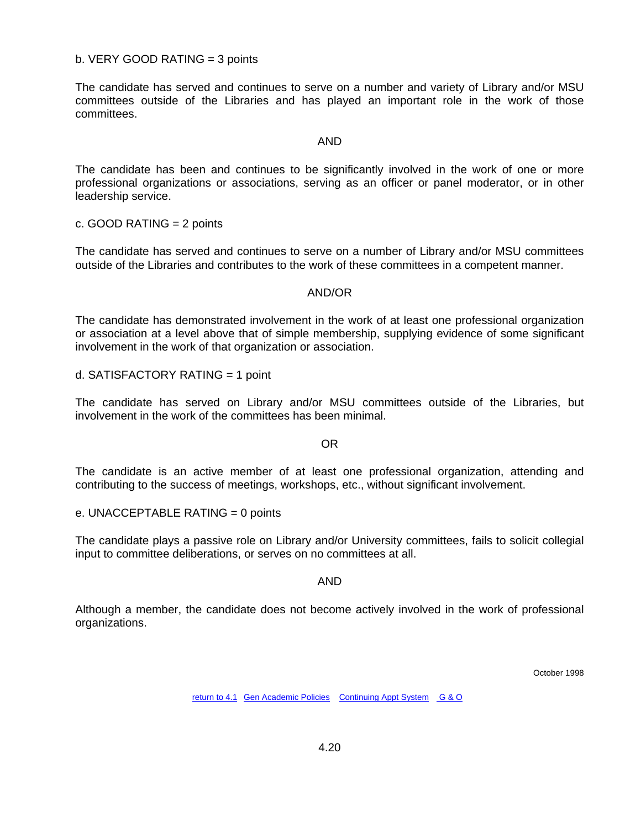#### b. VERY GOOD RATING = 3 points

The candidate has served and continues to serve on a number and variety of Library and/or MSU committees outside of the Libraries and has played an important role in the work of those committees.

#### AND

The candidate has been and continues to be significantly involved in the work of one or more professional organizations or associations, serving as an officer or panel moderator, or in other leadership service.

c. GOOD RATING = 2 points

The candidate has served and continues to serve on a number of Library and/or MSU committees outside of the Libraries and contributes to the work of these committees in a competent manner.

#### AND/OR

The candidate has demonstrated involvement in the work of at least one professional organization or association at a level above that of simple membership, supplying evidence of some significant involvement in the work of that organization or association.

d. SATISFACTORY RATING = 1 point

The candidate has served on Library and/or MSU committees outside of the Libraries, but involvement in the work of the committees has been minimal.

OR

The candidate is an active member of at least one professional organization, attending and contributing to the success of meetings, workshops, etc., without significant involvement.

e. UNACCEPTABLE RATING = 0 points

The candidate plays a passive role on Library and/or University committees, fails to solicit collegial input to committee deliberations, or serves on no committees at all.

#### AND

Although a member, the candidate does not become actively involved in the work of professional organizations.

October 1998

[return to 4.1](#page-41-0)[Gen Academic Policies](#page-3-0) [Continuing Appt System](#page-11-0) [G & O](#page-26-0)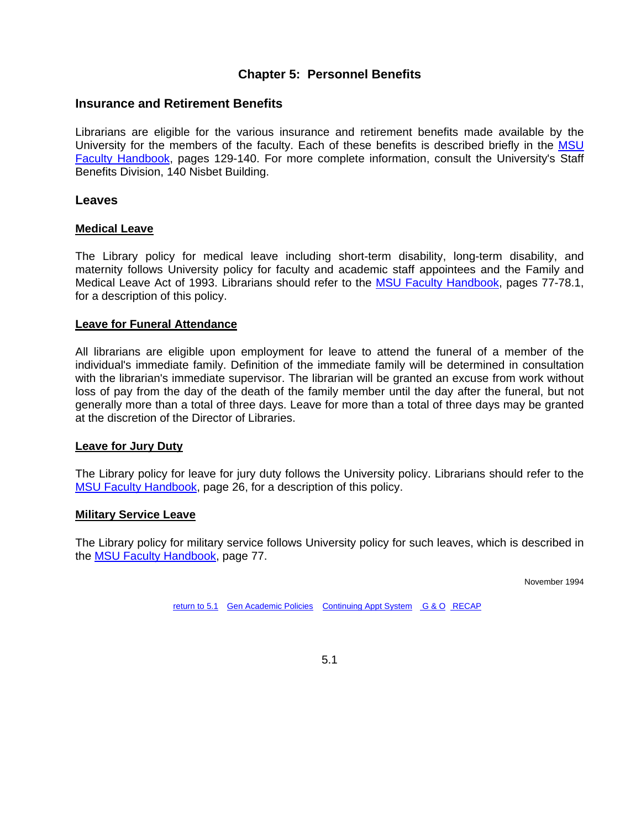# **Chapter 5: Personnel Benefits**

## <span id="page-61-0"></span>**Insurance and Retirement Benefits**

Librarians are eligible for the various insurance and retirement benefits made available by the University for the members of the faculty. Each of these benefits is described briefly in the [MSU](http://www.msu.edu/unit/facrecds/FacHand/academic.html)  [Faculty Handbook](http://www.msu.edu/unit/facrecds/FacHand/academic.html), pages 129-140. For more complete information, consult the University's Staff Benefits Division, 140 Nisbet Building.

## **Leaves**

#### **Medical Leave**

The Library policy for medical leave including short-term disability, long-term disability, and maternity follows University policy for faculty and academic staff appointees and the Family and Medical Leave Act of 1993. Librarians should refer to the [MSU Faculty Handbook,](http://www.msu.edu/unit/facrecds/FacHand/academic.html) pages 77-78.1, for a description of this policy.

#### **Leave for Funeral Attendance**

All librarians are eligible upon employment for leave to attend the funeral of a member of the individual's immediate family. Definition of the immediate family will be determined in consultation with the librarian's immediate supervisor. The librarian will be granted an excuse from work without loss of pay from the day of the death of the family member until the day after the funeral, but not generally more than a total of three days. Leave for more than a total of three days may be granted at the discretion of the Director of Libraries.

#### **Leave for Jury Duty**

The Library policy for leave for jury duty follows the University policy. Librarians should refer to the [MSU Faculty Handbook](http://www.msu.edu/unit/facrecds/FacHand/academic.html), page 26, for a description of this policy.

#### **Military Service Leave**

The Library policy for military service follows University policy for such leaves, which is described in the [MSU Faculty Handbook](http://www.msu.edu/unit/facrecds/FacHand/academic.html), page 77.

November 1994

[return to 5.1](#page-61-0)[Gen Academic Policies](#page-3-0) [Continuing Appt System](#page-11-0) [G & O](#page-26-0) [RECAP](#page-41-0)

5.1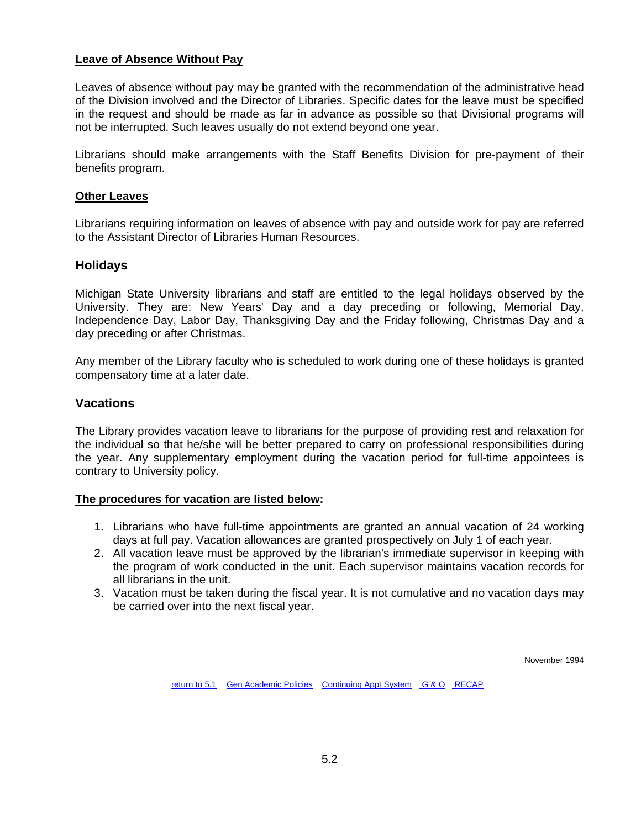## **Leave of Absence Without Pay**

Leaves of absence without pay may be granted with the recommendation of the administrative head of the Division involved and the Director of Libraries. Specific dates for the leave must be specified in the request and should be made as far in advance as possible so that Divisional programs will not be interrupted. Such leaves usually do not extend beyond one year.

Librarians should make arrangements with the Staff Benefits Division for pre-payment of their benefits program.

#### **Other Leaves**

Librarians requiring information on leaves of absence with pay and outside work for pay are referred to the Assistant Director of Libraries Human Resources.

#### **Holidays**

Michigan State University librarians and staff are entitled to the legal holidays observed by the University. They are: New Years' Day and a day preceding or following, Memorial Day, Independence Day, Labor Day, Thanksgiving Day and the Friday following, Christmas Day and a day preceding or after Christmas.

Any member of the Library faculty who is scheduled to work during one of these holidays is granted compensatory time at a later date.

### **Vacations**

The Library provides vacation leave to librarians for the purpose of providing rest and relaxation for the individual so that he/she will be better prepared to carry on professional responsibilities during the year. Any supplementary employment during the vacation period for full-time appointees is contrary to University policy.

#### **The procedures for vacation are listed below:**

- 1. Librarians who have full-time appointments are granted an annual vacation of 24 working days at full pay. Vacation allowances are granted prospectively on July 1 of each year.
- 2. All vacation leave must be approved by the librarian's immediate supervisor in keeping with the program of work conducted in the unit. Each supervisor maintains vacation records for all librarians in the unit.
- 3. Vacation must be taken during the fiscal year. It is not cumulative and no vacation days may be carried over into the next fiscal year.

November 1994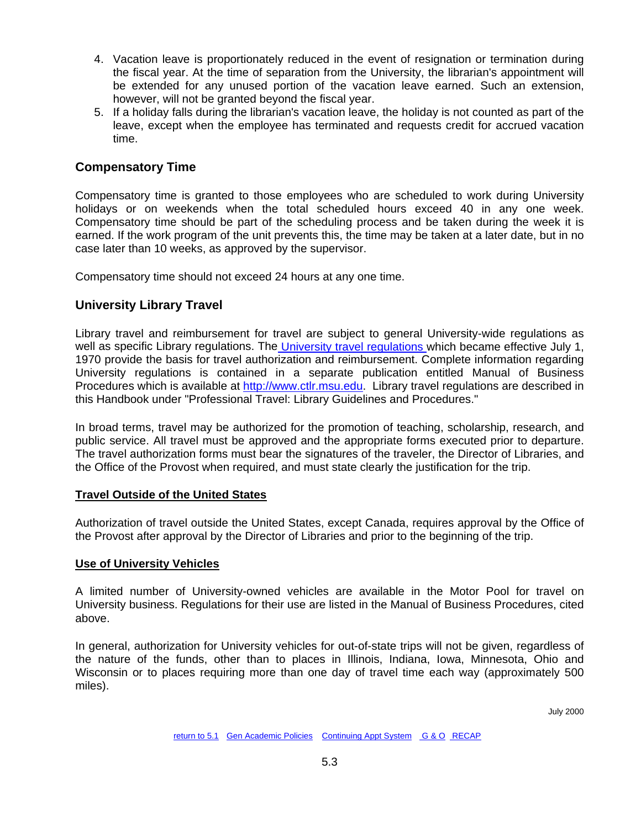- 4. Vacation leave is proportionately reduced in the event of resignation or termination during the fiscal year. At the time of separation from the University, the librarian's appointment will be extended for any unused portion of the vacation leave earned. Such an extension, however, will not be granted beyond the fiscal year.
- 5. If a holiday falls during the librarian's vacation leave, the holiday is not counted as part of the leave, except when the employee has terminated and requests credit for accrued vacation time.

# **Compensatory Time**

Compensatory time is granted to those employees who are scheduled to work during University holidays or on weekends when the total scheduled hours exceed 40 in any one week. Compensatory time should be part of the scheduling process and be taken during the week it is earned. If the work program of the unit prevents this, the time may be taken at a later date, but in no case later than 10 weeks, as approved by the supervisor.

Compensatory time should not exceed 24 hours at any one time.

# **University Library Travel**

Library travel and reimbursement for travel are subject to general University-wide regulations as well as specific Library regulations. Th[e University travel regulations w](http://www.ctlr.msu.edu/COTravel/Default.aspx)hich became effective July 1, 1970 provide the basis for travel authorization and reimbursement. Complete information regarding University regulations is contained in a separate publication entitled Manual of Business Procedures which is available at [http://www.ctlr.msu.edu.](http://www.ctlr.msu.edu/) Library travel regulations are described in this Handbook under "Professional Travel: Library Guidelines and Procedures."

In broad terms, travel may be authorized for the promotion of teaching, scholarship, research, and public service. All travel must be approved and the appropriate forms executed prior to departure. The travel authorization forms must bear the signatures of the traveler, the Director of Libraries, and the Office of the Provost when required, and must state clearly the justification for the trip.

## **Travel Outside of the United States**

Authorization of travel outside the United States, except Canada, requires approval by the Office of the Provost after approval by the Director of Libraries and prior to the beginning of the trip.

## **Use of University Vehicles**

A limited number of University-owned vehicles are available in the Motor Pool for travel on University business. Regulations for their use are listed in the Manual of Business Procedures, cited above.

In general, authorization for University vehicles for out-of-state trips will not be given, regardless of the nature of the funds, other than to places in Illinois, Indiana, Iowa, Minnesota, Ohio and Wisconsin or to places requiring more than one day of travel time each way (approximately 500 miles).

July 2000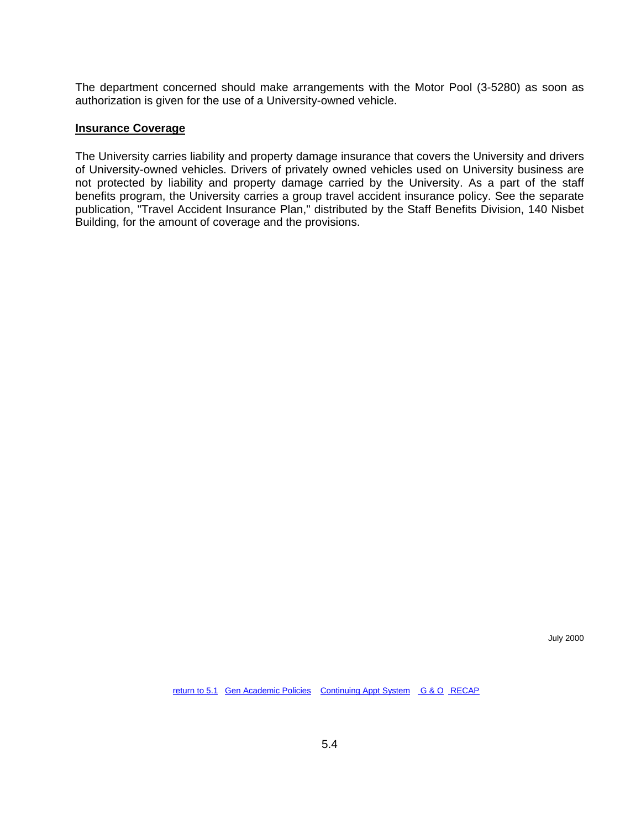The department concerned should make arrangements with the Motor Pool (3-5280) as soon as authorization is given for the use of a University-owned vehicle.

#### **Insurance Coverage**

The University carries liability and property damage insurance that covers the University and drivers of University-owned vehicles. Drivers of privately owned vehicles used on University business are not protected by liability and property damage carried by the University. As a part of the staff benefits program, the University carries a group travel accident insurance policy. See the separate publication, "Travel Accident Insurance Plan," distributed by the Staff Benefits Division, 140 Nisbet Building, for the amount of coverage and the provisions.

July 2000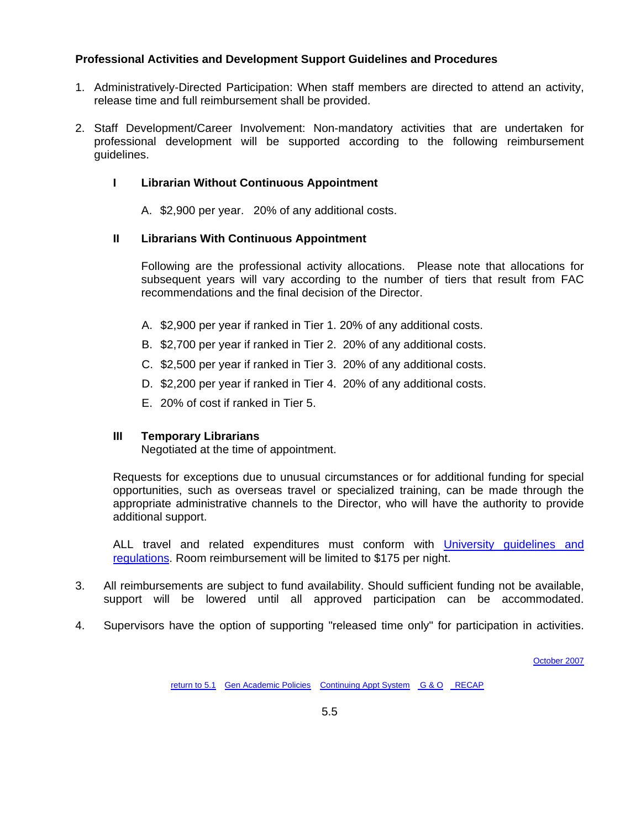## **Professional Activities and Development Support Guidelines and Procedures**

- 1. Administratively-Directed Participation: When staff members are directed to attend an activity, release time and full reimbursement shall be provided.
- 2. Staff Development/Career Involvement: Non-mandatory activities that are undertaken for professional development will be supported according to the following reimbursement guidelines.

#### **I Librarian Without Continuous Appointment**

A. \$2,900 per year. 20% of any additional costs.

### **II Librarians With Continuous Appointment**

Following are the professional activity allocations. Please note that allocations for subsequent years will vary according to the number of tiers that result from FAC recommendations and the final decision of the Director.

- A. \$2,900 per year if ranked in Tier 1. 20% of any additional costs.
- B. \$2,700 per year if ranked in Tier 2. 20% of any additional costs.
- C. \$2,500 per year if ranked in Tier 3. 20% of any additional costs.
- D. \$2,200 per year if ranked in Tier 4. 20% of any additional costs.
- E. 20% of cost if ranked in Tier 5.

#### **III Temporary Librarians**

Negotiated at the time of appointment.

Requests for exceptions due to unusual circumstances or for additional funding for special opportunities, such as overseas travel or specialized training, can be made through the appropriate administrative channels to the Director, who will have the authority to provide additional support.

ALL travel and related expenditures must conform with University quidelines and [regulations.](http://www.ctlr.msu.edu/COTravel/Default.aspx) Room reimbursement will be limited to \$175 per night.

- 3. All reimbursements are subject to fund availability. Should sufficient funding not be available, support will be lowered until all approved participation can be accommodated.
- 4. Supervisors have the option of supporting "released time only" for participation in activities.

[October 2007](http://www.lib.msu.edu/libadmin/handbook/Handbook_Archive/Chapter%205.htm)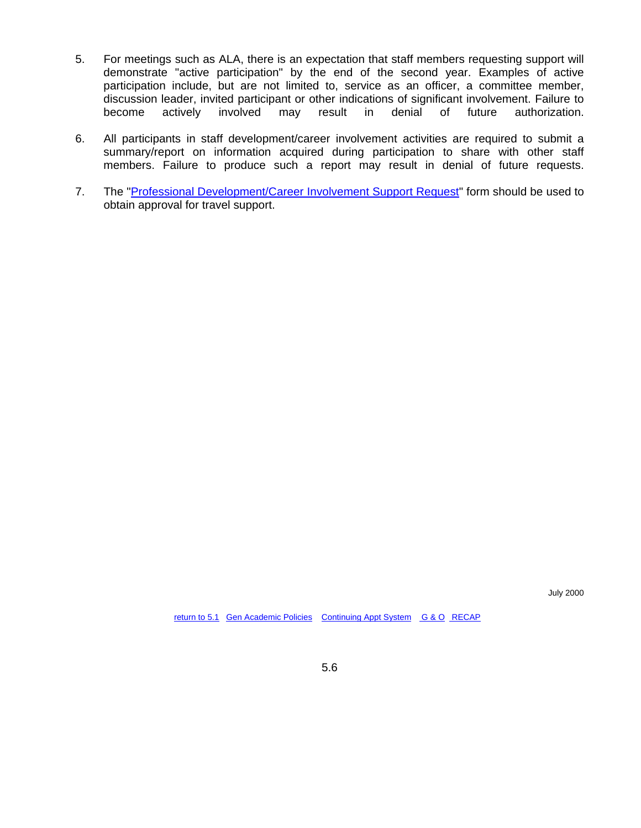- 5. For meetings such as ALA, there is an expectation that staff members requesting support will demonstrate "active participation" by the end of the second year. Examples of active participation include, but are not limited to, service as an officer, a committee member, discussion leader, invited participant or other indications of significant involvement. Failure to become actively involved may result in denial of future authorization.
- 6. All participants in staff development/career involvement activities are required to submit a summary/report on information acquired during participation to share with other staff members. Failure to produce such a report may result in denial of future requests.
- 7. The ["Professional Development/Career Involvement Support Request"](http://intranet.lib.msu.edu/systems/staff_forms/staffdevform) form should be used to obtain approval for travel support.

July 2000

[return to 5.1](#page-61-0) [Gen Academic Policies](#page-3-0) [Continuing Appt System](#page-11-0) [G & O](#page-26-0) [RECAP](#page-41-0)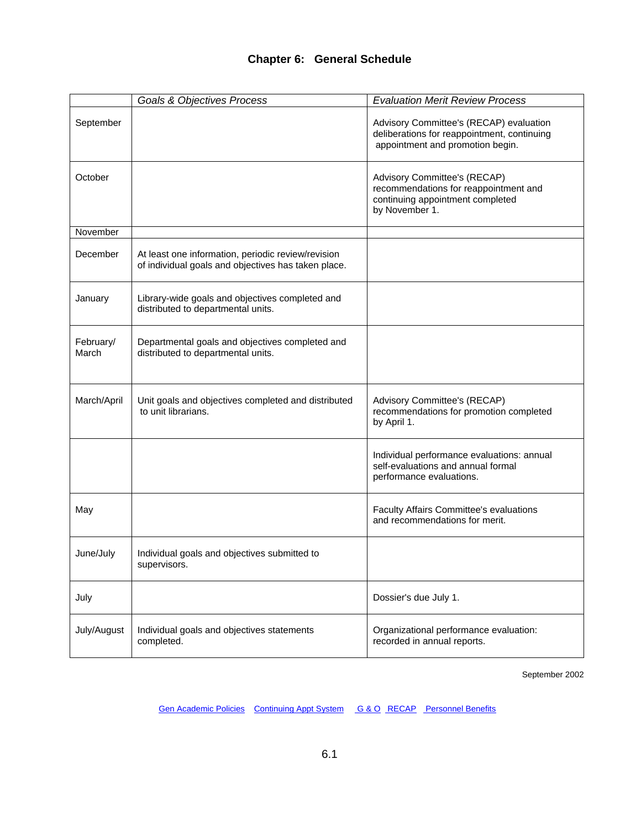# **Chapter 6: General Schedule**

<span id="page-67-0"></span>

|                    | <b>Goals &amp; Objectives Process</b>                                                                     | <b>Evaluation Merit Review Process</b>                                                                                      |
|--------------------|-----------------------------------------------------------------------------------------------------------|-----------------------------------------------------------------------------------------------------------------------------|
| September          |                                                                                                           | Advisory Committee's (RECAP) evaluation<br>deliberations for reappointment, continuing<br>appointment and promotion begin.  |
| October            |                                                                                                           | Advisory Committee's (RECAP)<br>recommendations for reappointment and<br>continuing appointment completed<br>by November 1. |
| November           |                                                                                                           |                                                                                                                             |
| December           | At least one information, periodic review/revision<br>of individual goals and objectives has taken place. |                                                                                                                             |
| January            | Library-wide goals and objectives completed and<br>distributed to departmental units.                     |                                                                                                                             |
| February/<br>March | Departmental goals and objectives completed and<br>distributed to departmental units.                     |                                                                                                                             |
| March/April        | Unit goals and objectives completed and distributed<br>to unit librarians.                                | Advisory Committee's (RECAP)<br>recommendations for promotion completed<br>by April 1.                                      |
|                    |                                                                                                           | Individual performance evaluations: annual<br>self-evaluations and annual formal<br>performance evaluations.                |
| May                |                                                                                                           | <b>Faculty Affairs Committee's evaluations</b><br>and recommendations for merit.                                            |
| June/July          | Individual goals and objectives submitted to<br>supervisors.                                              |                                                                                                                             |
| July               |                                                                                                           | Dossier's due July 1.                                                                                                       |
| July/August        | Individual goals and objectives statements<br>completed.                                                  | Organizational performance evaluation:<br>recorded in annual reports.                                                       |

September 2002

Gen Academic Policies [C](#page-3-0)ontinuingAppt System G & O RECAP Personnel Benefits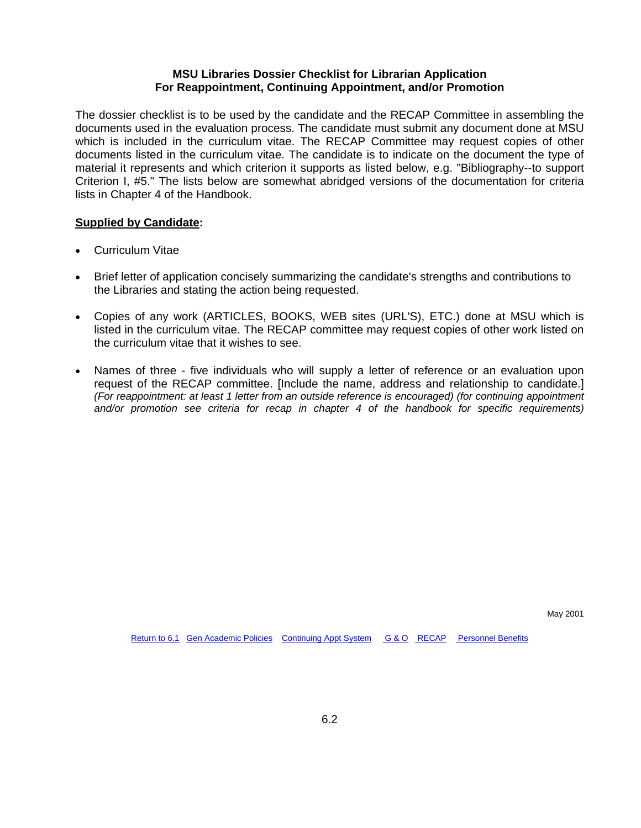#### **MSU Libraries Dossier Checklist for Librarian Application For Reappointment, Continuing Appointment, and/or Promotion**

The dossier checklist is to be used by the candidate and the RECAP Committee in assembling the documents used in the evaluation process. The candidate must submit any document done at MSU which is included in the curriculum vitae. The RECAP Committee may request copies of other documents listed in the curriculum vitae. The candidate is to indicate on the document the type of material it represents and which criterion it supports as listed below, e.g. "Bibliography--to support Criterion I, #5." The lists below are somewhat abridged versions of the documentation for criteria lists in Chapter 4 of the Handbook.

#### **Supplied by Candidate:**

- Curriculum Vitae
- Brief letter of application concisely summarizing the candidate's strengths and contributions to the Libraries and stating the action being requested.
- Copies of any work (ARTICLES, BOOKS, WEB sites (URL'S), ETC.) done at MSU which is listed in the curriculum vitae. The RECAP committee may request copies of other work listed on the curriculum vitae that it wishes to see.
- Names of three five individuals who will supply a letter of reference or an evaluation upon request of the RECAP committee. [Include the name, address and relationship to candidate.] *(For reappointment: at least 1 letter from an outside reference is encouraged) (for continuing appointment and/or promotion see criteria for recap in chapter 4 of the handbook for specific requirements)*

May 2001

[Return to 6.1](#page-67-0) [Gen Academic Policies](#page-3-0) [Continuing Appt System](#page-11-0) [G & O](#page-26-0) [RECAP](#page-41-0) Personnel Benefits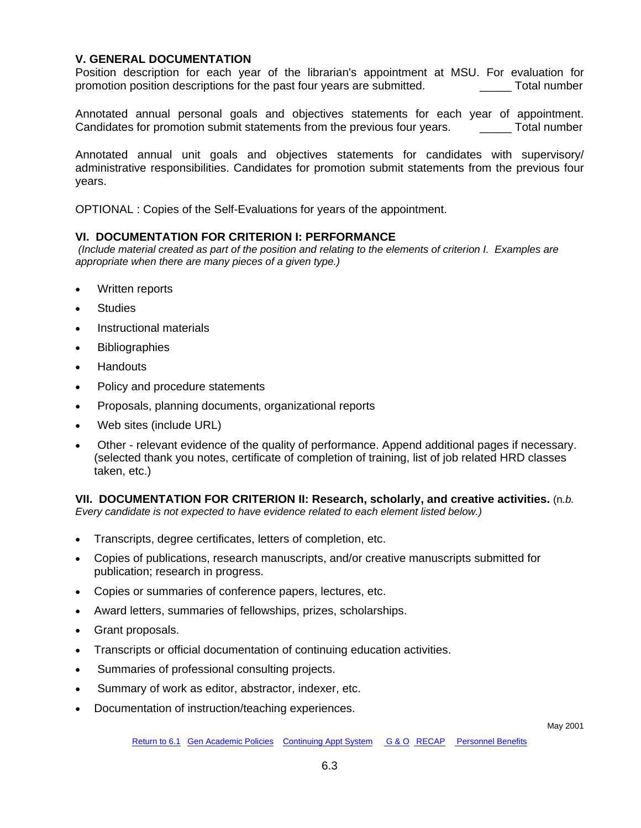## **V. GENERAL DOCUMENTATION**

Position description for each year of the librarian's appointment at MSU. For evaluation for promotion position descriptions for the past four years are submitted. \_\_\_\_\_ Total number

Annotated annual personal goals and objectives statements for each year of appointment.<br>Candidates for promotion submit statements from the previous four vears. Total number Candidates for promotion submit statements from the previous four years.

Annotated annual unit goals and objectives statements for candidates with supervisory/ administrative responsibilities. Candidates for promotion submit statements from the previous four years.

OPTIONAL : Copies of the Self-Evaluations for years of the appointment.

#### **VI. DOCUMENTATION FOR CRITERION I: PERFORMANCE**

 *(Include material created as part of the position and relating to the elements of criterion I. Examples are appropriate when there are many pieces of a given type.)*

- Written reports
- **Studies**
- Instructional materials
- **Bibliographies**
- Handouts
- Policy and procedure statements
- Proposals, planning documents, organizational reports
- Web sites (include URL)
- Other relevant evidence of the quality of performance. Append additional pages if necessary. (selected thank you notes, certificate of completion of training, list of job related HRD classes taken, etc.)

**VII. DOCUMENTATION FOR CRITERION II: Research, scholarly, and creative activities.** (n*.b. Every candidate is not expected to have evidence related to each element listed below.)*

- Transcripts, degree certificates, letters of completion, etc.
- Copies of publications, research manuscripts, and/or creative manuscripts submitted for publication; research in progress.
- Copies or summaries of conference papers, lectures, etc.
- Award letters, summaries of fellowships, prizes, scholarships.
- Grant proposals.
- Transcripts or official documentation of continuing education activities.
- Summaries of professional consulting projects.
- Summary of work as editor, abstractor, indexer, etc.
- Documentation of instruction/teaching experiences.

May 2001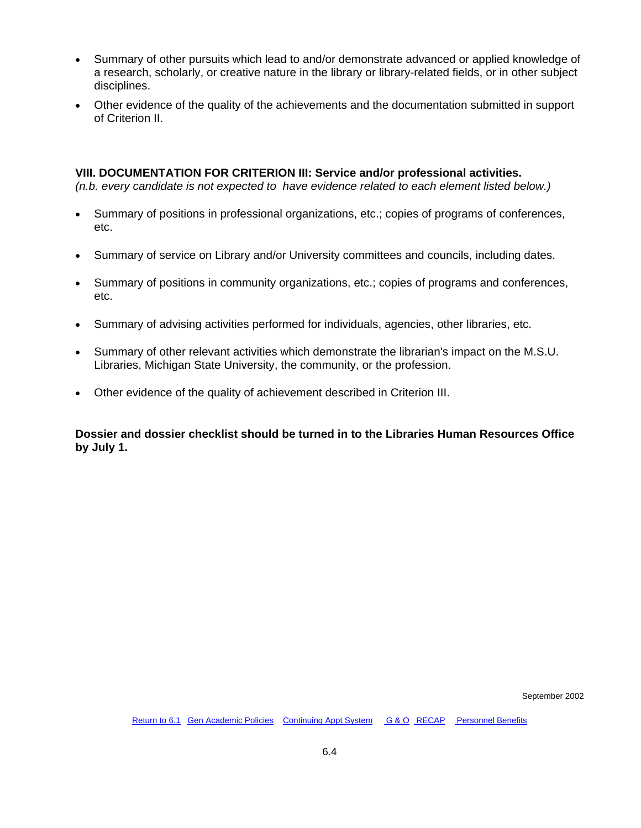- Summary of other pursuits which lead to and/or demonstrate advanced or applied knowledge of a research, scholarly, or creative nature in the library or library-related fields, or in other subject disciplines.
- Other evidence of the quality of the achievements and the documentation submitted in support of Criterion II.

#### **VIII. DOCUMENTATION FOR CRITERION III: Service and/or professional activities.**

*(n.b. every candidate is not expected to have evidence related to each element listed below.)*

- Summary of positions in professional organizations, etc.; copies of programs of conferences, etc.
- Summary of service on Library and/or University committees and councils, including dates.
- Summary of positions in community organizations, etc.; copies of programs and conferences, etc.
- Summary of advising activities performed for individuals, agencies, other libraries, etc.
- Summary of other relevant activities which demonstrate the librarian's impact on the M.S.U. Libraries, Michigan State University, the community, or the profession.
- Other evidence of the quality of achievement described in Criterion III.

**Dossier and dossier checklist should be turned in to the Libraries Human Resources Office by July 1.** 

September 2002

[Return to 6.1](#page-67-0) [Gen Academic Policies](#page-3-0) [Continuing Appt System](#page-11-0) [G & O](#page-26-0) [RECAP](#page-41-0) Personnel Benefits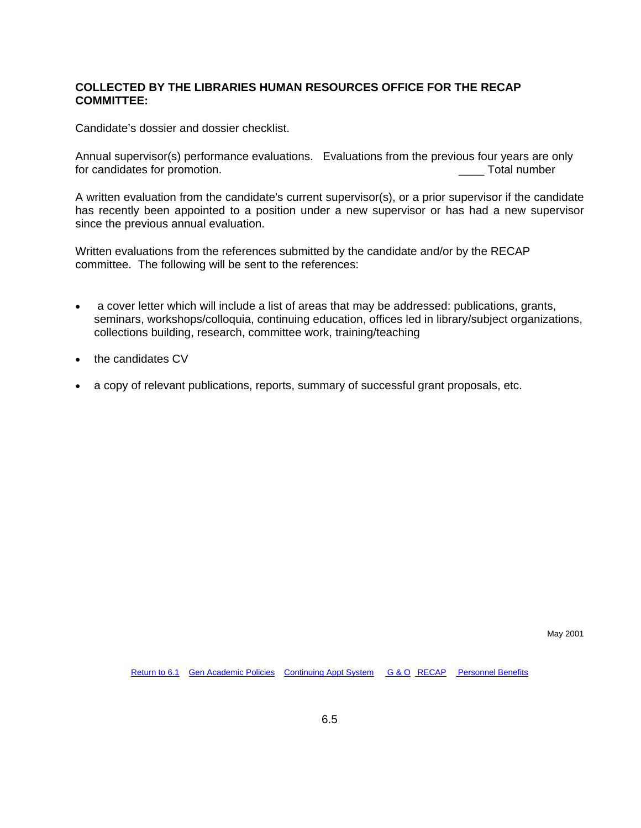### **COLLECTED BY THE LIBRARIES HUMAN RESOURCES OFFICE FOR THE RECAP COMMITTEE:**

Candidate's dossier and dossier checklist.

Annual supervisor(s) performance evaluations. Evaluations from the previous four years are only for candidates for promotion. The same state of the state of the state of the state of the state of the state of the state of the state of the state of the state of the state of the state of the state of the state of the s

A written evaluation from the candidate's current supervisor(s), or a prior supervisor if the candidate has recently been appointed to a position under a new supervisor or has had a new supervisor since the previous annual evaluation.

Written evaluations from the references submitted by the candidate and/or by the RECAP committee. The following will be sent to the references:

- a cover letter which will include a list of areas that may be addressed: publications, grants, seminars, workshops/colloquia, continuing education, offices led in library/subject organizations, collections building, research, committee work, training/teaching
- the candidates CV
- a copy of relevant publications, reports, summary of successful grant proposals, etc.

May 2001

[Return to 6.1](#page-67-0) [Gen Academic Policies](#page-3-0) [Continuing Appt System](#page-11-0) [G & O](#page-26-0) [RECAP](#page-41-0) Personnel Benefits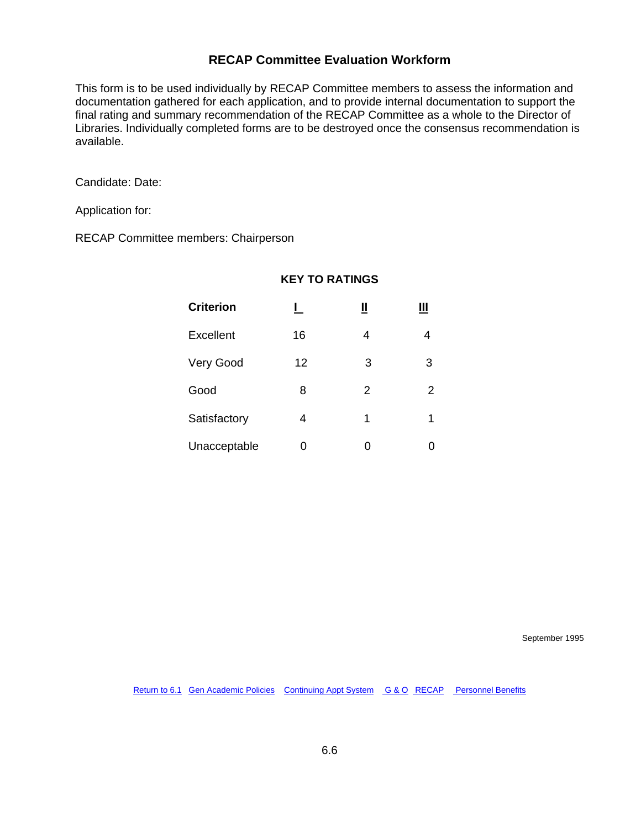# **RECAP Committee Evaluation Workform**

This form is to be used individually by RECAP Committee members to assess the information and documentation gathered for each application, and to provide internal documentation to support the final rating and summary recommendation of the RECAP Committee as a whole to the Director of Libraries. Individually completed forms are to be destroyed once the consensus recommendation is available.

Candidate: Date:

Application for:

RECAP Committee members: Chairperson

| <b>Criterion</b> |    | Щ |   |  |
|------------------|----|---|---|--|
| Excellent        | 16 | 4 |   |  |
| Very Good        | 12 | 3 | 3 |  |
| Good             | 8  | 2 | 2 |  |
| Satisfactory     | 4  | 1 | 1 |  |
| Unacceptable     | ი  | ი |   |  |

#### **KEY TO RATINGS**

September 1995

[Return to 6.1](#page-67-0) [Gen Academic Policies](#page-3-0) [Continuing Appt System](#page-11-0)[G & O](#page-26-0) [RECAP](#page-41-0) [Personnel Benefits](#page-61-0)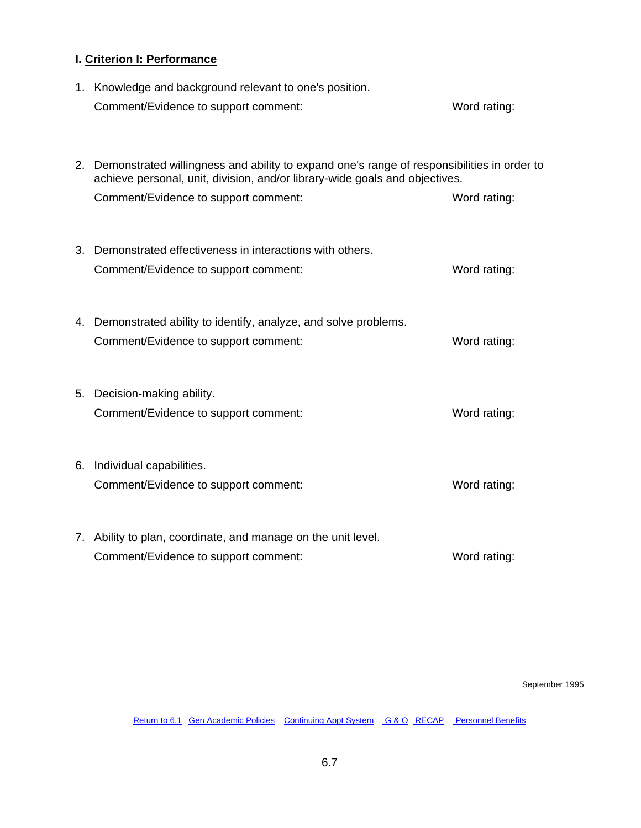## **I. Criterion I: Performance**

| 1. Knowledge and background relevant to one's position.<br>Comment/Evidence to support comment:                                                                                                                      | Word rating: |
|----------------------------------------------------------------------------------------------------------------------------------------------------------------------------------------------------------------------|--------------|
| 2. Demonstrated willingness and ability to expand one's range of responsibilities in order to<br>achieve personal, unit, division, and/or library-wide goals and objectives.<br>Comment/Evidence to support comment: | Word rating: |
|                                                                                                                                                                                                                      |              |
| 3. Demonstrated effectiveness in interactions with others.                                                                                                                                                           |              |
| Comment/Evidence to support comment:                                                                                                                                                                                 | Word rating: |
| 4. Demonstrated ability to identify, analyze, and solve problems.                                                                                                                                                    |              |
| Comment/Evidence to support comment:                                                                                                                                                                                 | Word rating: |
|                                                                                                                                                                                                                      |              |
| 5. Decision-making ability.                                                                                                                                                                                          |              |
| Comment/Evidence to support comment:                                                                                                                                                                                 | Word rating: |
| 6. Individual capabilities.                                                                                                                                                                                          |              |
| Comment/Evidence to support comment:                                                                                                                                                                                 | Word rating: |
|                                                                                                                                                                                                                      |              |
| 7. Ability to plan, coordinate, and manage on the unit level.                                                                                                                                                        |              |
| Comment/Evidence to support comment:                                                                                                                                                                                 | Word rating: |

September 1995

[Return to 6.1](#page-67-0) [Gen Academic Policies](#page-3-0) [Continuing Appt System](#page-11-0)[G & O](#page-26-0) [RECAP](#page-41-0) [Personnel Benefits](#page-61-0)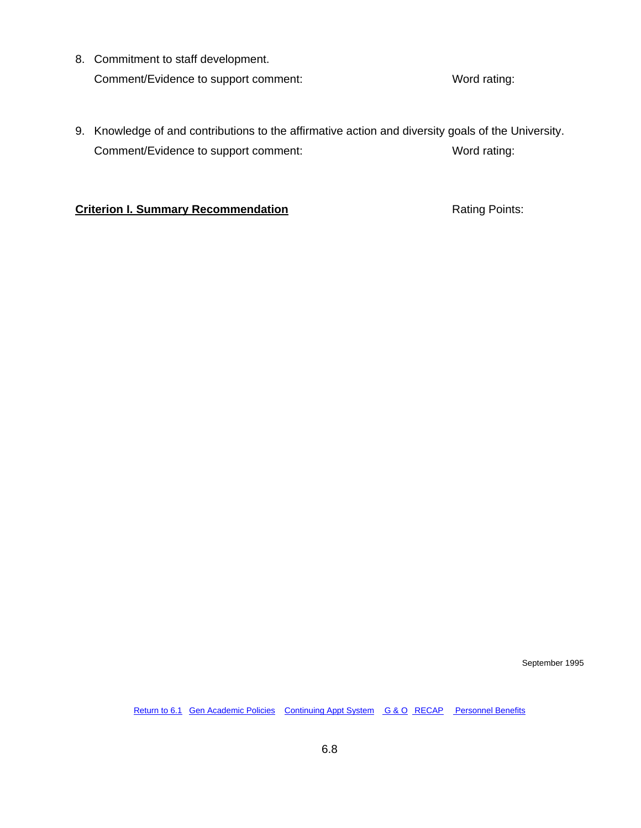8. Commitment to staff development. Comment/Evidence to support comment: Word rating:

9. Knowledge of and contributions to the affirmative action and diversity goals of the University. Comment/Evidence to support comment: Word rating:

### **Criterion I. Summary Recommendation Rating Points:**

September 1995

[Return to 6.1](#page-67-0) [Gen Academic Policies](#page-3-0) [Continuing Appt System](#page-11-0) [G & O](#page-26-0) [RECAP](#page-41-0) [Personnel Benefits](#page-61-0)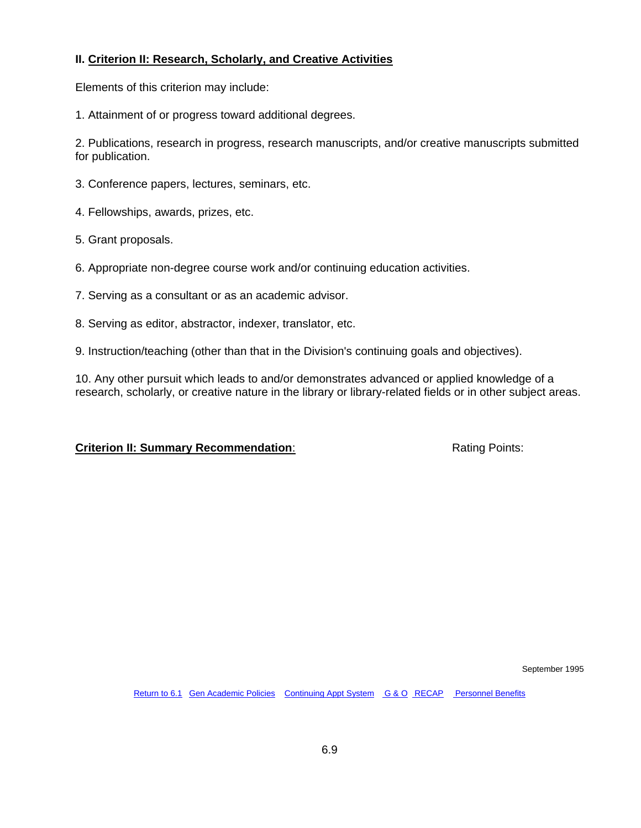#### **II. Criterion II: Research, Scholarly, and Creative Activities**

Elements of this criterion may include:

1. Attainment of or progress toward additional degrees.

2. Publications, research in progress, research manuscripts, and/or creative manuscripts submitted for publication.

- 3. Conference papers, lectures, seminars, etc.
- 4. Fellowships, awards, prizes, etc.
- 5. Grant proposals.
- 6. Appropriate non-degree course work and/or continuing education activities.
- 7. Serving as a consultant or as an academic advisor.
- 8. Serving as editor, abstractor, indexer, translator, etc.
- 9. Instruction/teaching (other than that in the Division's continuing goals and objectives).

10. Any other pursuit which leads to and/or demonstrates advanced or applied knowledge of a research, scholarly, or creative nature in the library or library-related fields or in other subject areas.

#### **Criterion II: Summary Recommendation:** Rating Points:

September 1995

[Return to 6.1](#page-67-0) [Gen Academic Policies](#page-3-0) [Continuing Appt System](#page-11-0) [G & O](#page-26-0) [RECAP](#page-41-0) [Personnel Benefits](#page-61-0)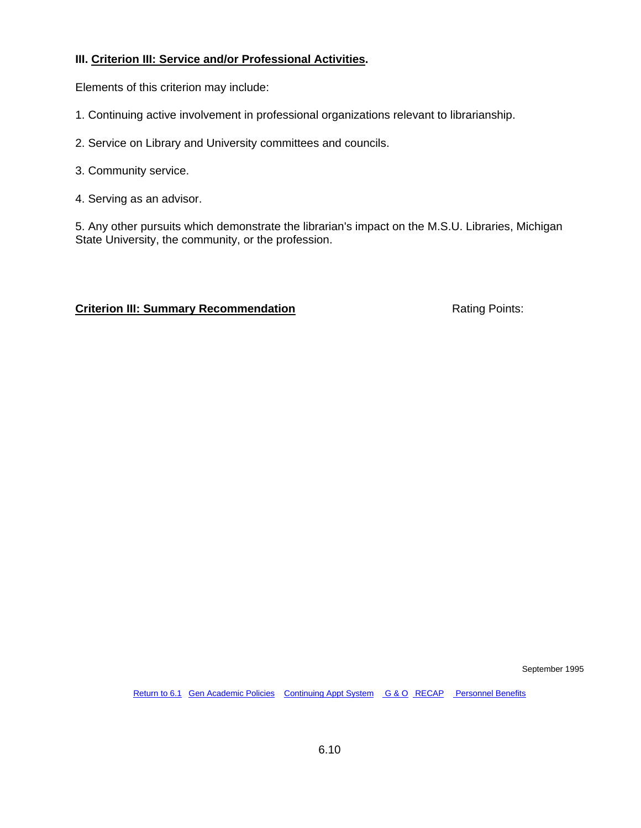### **III. Criterion III: Service and/or Professional Activities.**

Elements of this criterion may include:

- 1. Continuing active involvement in professional organizations relevant to librarianship.
- 2. Service on Library and University committees and councils.
- 3. Community service.
- 4. Serving as an advisor.

5. Any other pursuits which demonstrate the librarian's impact on the M.S.U. Libraries, Michigan State University, the community, or the profession.

### **Criterion III: Summary Recommendation Rating Points:** Rating Points:

September 1995

[Return to 6.1](#page-67-0) [Gen Academic Policies](#page-3-0) [Continuing Appt System](#page-11-0)[G & O](#page-26-0) [RECAP](#page-41-0) [Personnel Benefits](#page-61-0)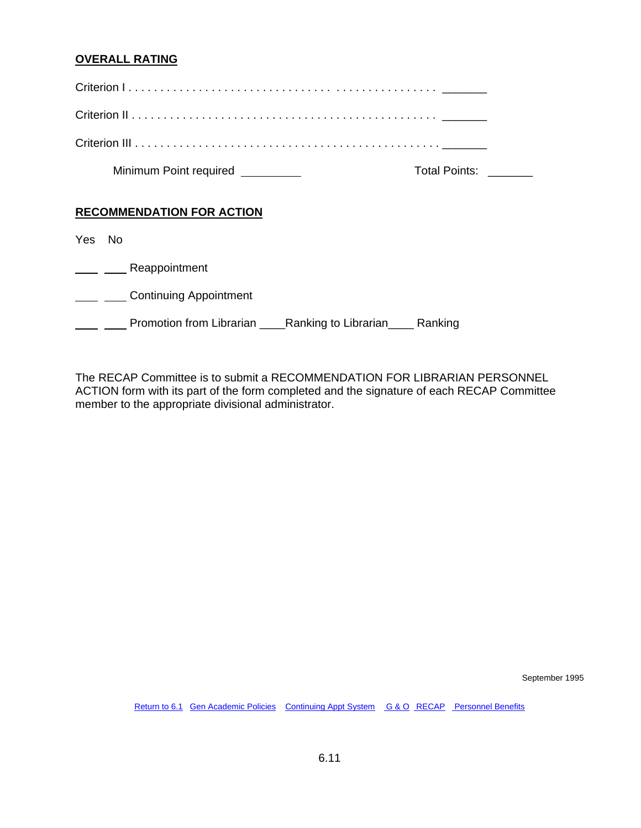### **OVERALL RATING**

|      |      | Minimum Point required _________ |                              | <b>Total Points:</b> |
|------|------|----------------------------------|------------------------------|----------------------|
|      |      | <b>RECOMMENDATION FOR ACTION</b> |                              |                      |
| Yes. | - No |                                  |                              |                      |
|      |      | Reappointment                    |                              |                      |
|      |      | <b>Continuing Appointment</b>    |                              |                      |
|      |      | Promotion from Librarian         | Ranking to Librarian Ranking |                      |

The RECAP Committee is to submit a RECOMMENDATION FOR LIBRARIAN PERSONNEL ACTION form with its part of the form completed and the signature of each RECAP Committee member to the appropriate divisional administrator.

September 1995

[Return to 6.1](#page-67-0) [Gen Academic Policies](#page-3-0) [Continuing Appt System](#page-11-0) [G & O](#page-26-0) [RECAP](#page-41-0) [Personnel Benefits](#page-61-0)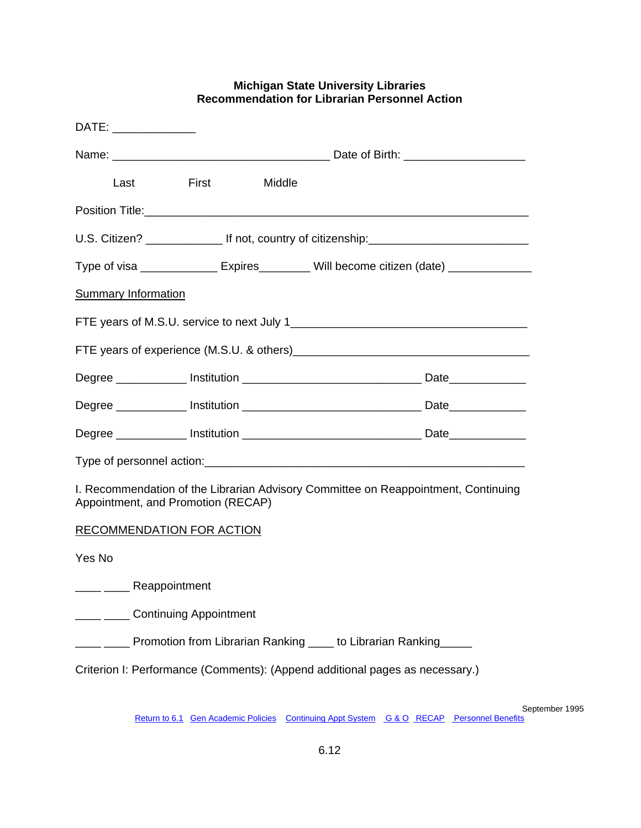| DATE: _______________                                                  |               |        |                                                                                         |
|------------------------------------------------------------------------|---------------|--------|-----------------------------------------------------------------------------------------|
|                                                                        |               |        |                                                                                         |
| Last                                                                   | <b>Eirst</b>  | Middle |                                                                                         |
|                                                                        |               |        |                                                                                         |
|                                                                        |               |        |                                                                                         |
|                                                                        |               |        | Type of visa _______________ Expires_________ Will become citizen (date) ______________ |
| <b>Summary Information</b>                                             |               |        |                                                                                         |
|                                                                        |               |        |                                                                                         |
|                                                                        |               |        |                                                                                         |
|                                                                        |               |        |                                                                                         |
|                                                                        |               |        |                                                                                         |
|                                                                        |               |        |                                                                                         |
|                                                                        |               |        |                                                                                         |
| Appointment, and Promotion (RECAP)                                     |               |        | I. Recommendation of the Librarian Advisory Committee on Reappointment, Continuing      |
| <b>RECOMMENDATION FOR ACTION</b>                                       |               |        |                                                                                         |
| Yes No                                                                 |               |        |                                                                                         |
|                                                                        | Reappointment |        |                                                                                         |
| ____ _____ Continuing Appointment                                      |               |        |                                                                                         |
| _ ____ Promotion from Librarian Ranking ____ to Librarian Ranking ____ |               |        |                                                                                         |
|                                                                        |               |        | Criterion I: Performance (Comments): (Append additional pages as necessary.)            |

#### **Michigan State University Libraries Recommendation for Librarian Personnel Action**

September 1995

[Return to 6.1](#page-67-0) [Gen Academic Policies](#page-3-0) [Continuing Appt System](#page-11-0) [G & O](#page-26-0) [RECAP](#page-41-0) [Personnel Benefits](#page-61-0)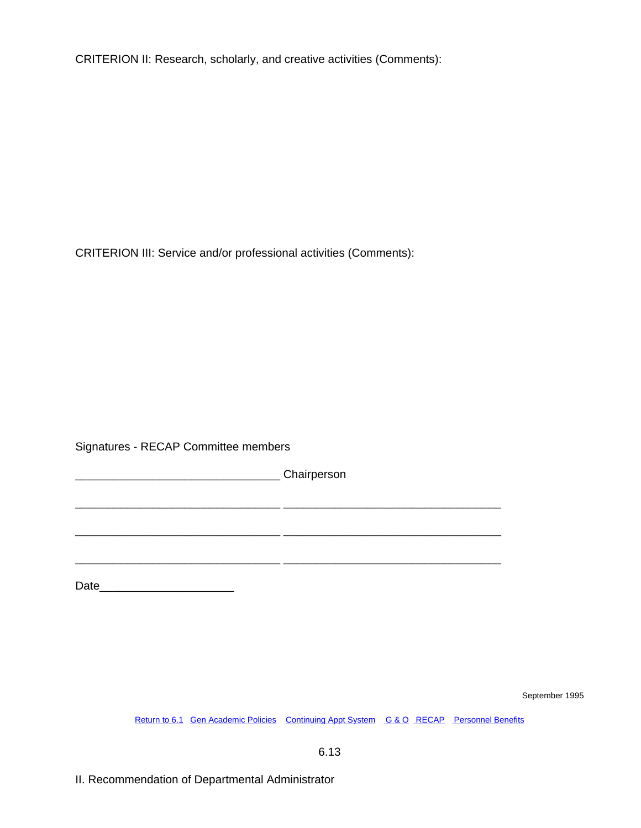CRITERION II: Research, scholarly, and creative activities (Comments):

CRITERION III: Service and/or professional activities (Comments):

Signatures - RECAP Committee members

\_\_\_\_\_\_\_\_\_\_\_\_\_\_\_\_\_\_\_\_\_\_\_\_\_\_\_\_\_\_\_\_ Chairperson

\_\_\_\_\_\_\_\_\_\_\_\_\_\_\_\_\_\_\_\_\_\_\_\_\_\_\_\_\_\_\_\_ \_\_\_\_\_\_\_\_\_\_\_\_\_\_\_\_\_\_\_\_\_\_\_\_\_\_\_\_\_\_\_\_\_\_

 $\frac{1}{2}$  ,  $\frac{1}{2}$  ,  $\frac{1}{2}$  ,  $\frac{1}{2}$  ,  $\frac{1}{2}$  ,  $\frac{1}{2}$  ,  $\frac{1}{2}$  ,  $\frac{1}{2}$  ,  $\frac{1}{2}$  ,  $\frac{1}{2}$  ,  $\frac{1}{2}$  ,  $\frac{1}{2}$  ,  $\frac{1}{2}$  ,  $\frac{1}{2}$  ,  $\frac{1}{2}$  ,  $\frac{1}{2}$  ,  $\frac{1}{2}$  ,  $\frac{1}{2}$  ,  $\frac{1$ 

\_\_\_\_\_\_\_\_\_\_\_\_\_\_\_\_\_\_\_\_\_\_\_\_\_\_\_\_\_\_\_\_ \_\_\_\_\_\_\_\_\_\_\_\_\_\_\_\_\_\_\_\_\_\_\_\_\_\_\_\_\_\_\_\_\_\_

Date\_\_\_\_\_\_\_\_\_\_\_\_\_\_\_\_\_\_\_\_\_

September 1995

[Return to 6.1](#page-67-0) [Gen Academic Policies](#page-3-0) [Continuing Appt System](#page-11-0) [G & O](#page-26-0) [RECAP](#page-41-0) [Personnel Benefits](#page-61-0)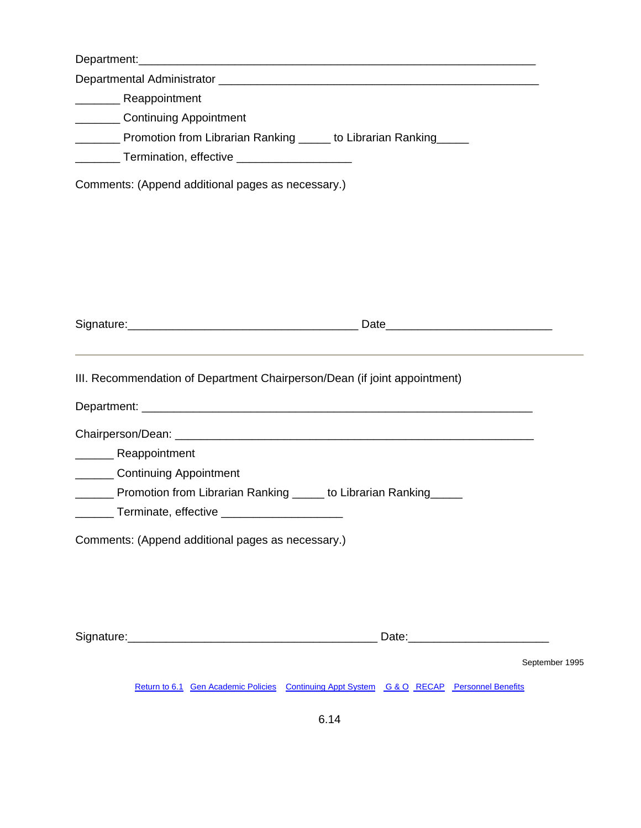| ___________ Continuing Appointment                                                        |                |
|-------------------------------------------------------------------------------------------|----------------|
| _________ Promotion from Librarian Ranking ______ to Librarian Ranking _____              |                |
| _________ Termination, effective ______________________                                   |                |
| Comments: (Append additional pages as necessary.)                                         |                |
|                                                                                           |                |
|                                                                                           |                |
|                                                                                           |                |
|                                                                                           |                |
| III. Recommendation of Department Chairperson/Dean (if joint appointment)                 |                |
|                                                                                           |                |
| ___________ Reappointment                                                                 |                |
| ________ Continuing Appointment                                                           |                |
| _______ Promotion from Librarian Ranking _____ to Librarian Ranking _____                 |                |
| Terminate, effective                                                                      |                |
| Comments: (Append additional pages as necessary.)                                         |                |
|                                                                                           |                |
|                                                                                           |                |
|                                                                                           |                |
|                                                                                           |                |
|                                                                                           | September 1995 |
| Return to 6.1 Gen Academic Policies Continuing Appt System G & O RECAP Personnel Benefits |                |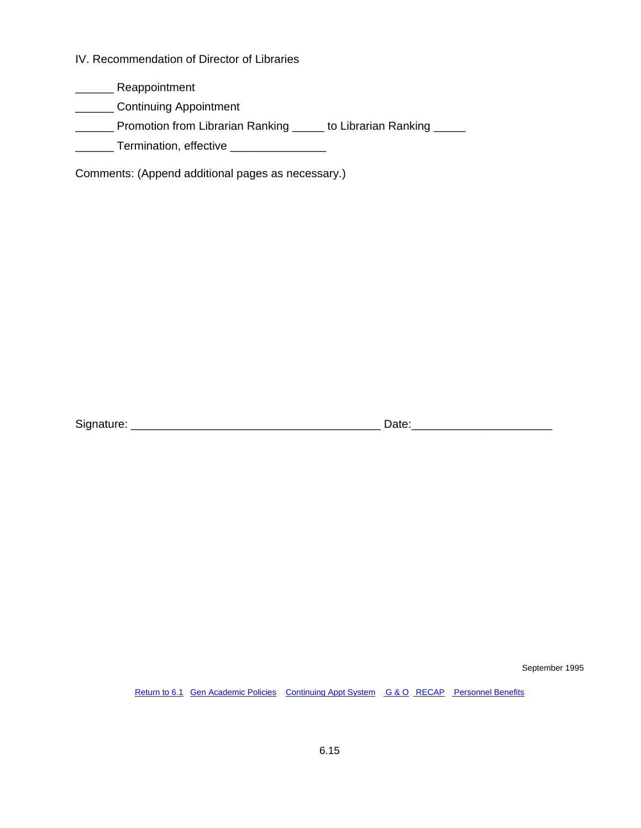IV. Recommendation of Director of Libraries

\_\_\_\_\_\_ Reappointment

**\_\_\_\_\_\_\_\_** Continuing Appointment

\_\_\_\_\_\_ Promotion from Librarian Ranking \_\_\_\_\_ to Librarian Ranking \_\_\_\_\_

\_\_\_\_\_\_\_ Termination, effective \_\_\_\_\_\_\_\_\_\_\_\_\_\_\_\_\_

Comments: (Append additional pages as necessary.)

Signature: \_\_\_\_\_\_\_\_\_\_\_\_\_\_\_\_\_\_\_\_\_\_\_\_\_\_\_\_\_\_\_\_\_\_\_\_\_\_\_ Date:\_\_\_\_\_\_\_\_\_\_\_\_\_\_\_\_\_\_\_\_\_\_

September 1995

[Return to 6.1](#page-67-0) [Gen Academic Policies](#page-3-0) [Continuing Appt System](#page-11-0) [G & O](#page-26-0) [RECAP](#page-41-0) [Personnel Benefits](#page-61-0)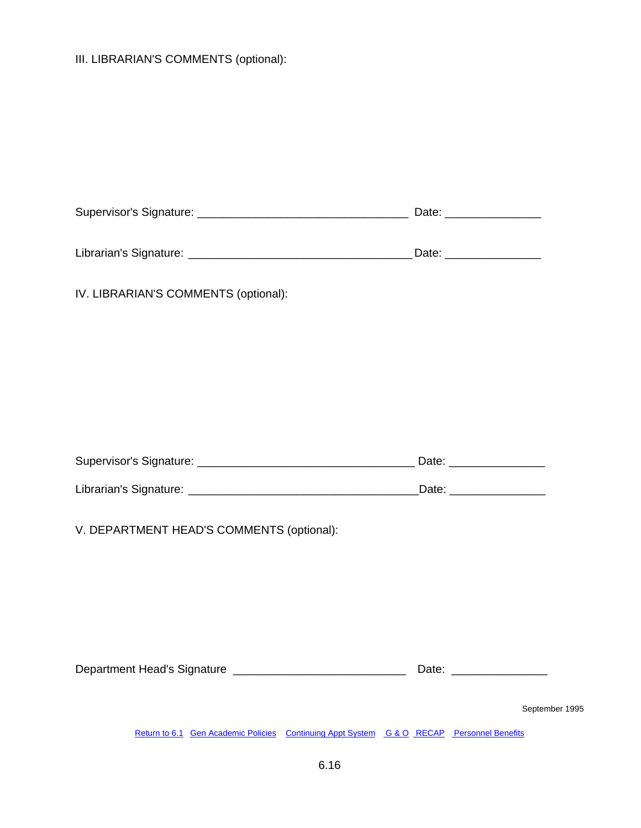# III. LIBRARIAN'S COMMENTS (optional):

| IV. LIBRARIAN'S COMMENTS (optional):                                                      |                           |
|-------------------------------------------------------------------------------------------|---------------------------|
|                                                                                           |                           |
|                                                                                           |                           |
|                                                                                           |                           |
|                                                                                           | Date: ___________________ |
|                                                                                           |                           |
| V. DEPARTMENT HEAD'S COMMENTS (optional):                                                 |                           |
|                                                                                           |                           |
|                                                                                           |                           |
| Department Head's Signature __________________________________                            |                           |
|                                                                                           | September 1995            |
| Return to 6.1 Gen Academic Policies Continuing Appt System G & O RECAP Personnel Benefits |                           |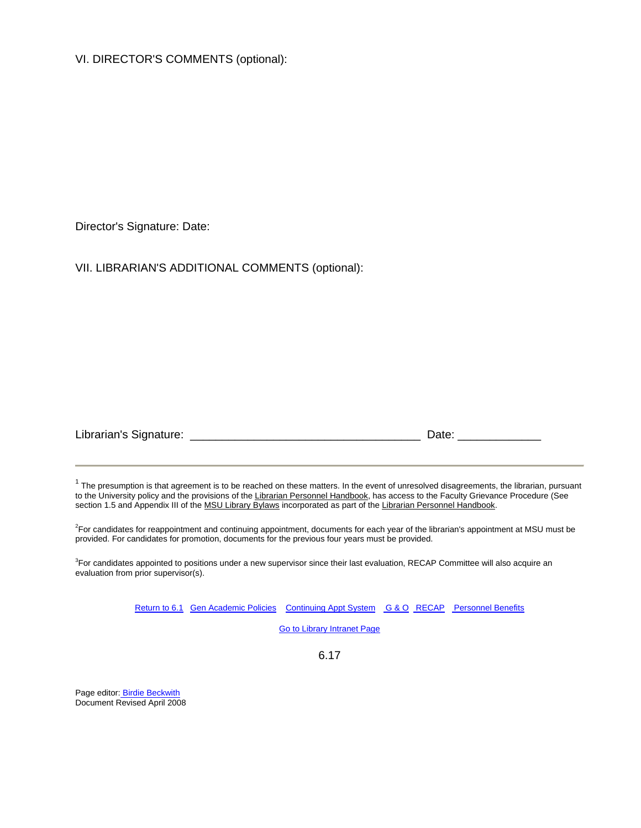VI. DIRECTOR'S COMMENTS (optional):

Director's Signature: Date:

VII. LIBRARIAN'S ADDITIONAL COMMENTS (optional):

| Librarian's Signature: |  |  |
|------------------------|--|--|
|------------------------|--|--|

 $1$  The presumption is that agreement is to be reached on these matters. In the event of unresolved disagreements, the librarian, pursuant to the University policy and the provisions of the Librarian Personnel Handbook, has access to the Faculty Grievance Procedure (See section 1.5 and Appendix III of the MSU Library Bylaws incorporated as part of the Librarian Personnel Handbook.

<sup>2</sup>For candidates for reappointment and continuing appointment, documents for each year of the librarian's appointment at MSU must be provided. For candidates for promotion, documents for the previous four years must be provided.

<sup>3</sup>For candidates appointed to positions under a new supervisor since their last evaluation, RECAP Committee will also acquire an evaluation from prior supervisor(s).

[Return to 6.1](#page-67-0) [Gen Academic Policies](#page-3-0) [Continuing Appt System](#page-11-0) [G & O](#page-26-0) [RECAP](#page-41-0) [Personnel Benefits](#page-61-0)

[Go to Library Intranet Page](http://intranet.lib.msu.edu/)

6.17

Page editor[: Birdie Beckwith](mailto:%20birdie@msu.edu) Document Revised April 2008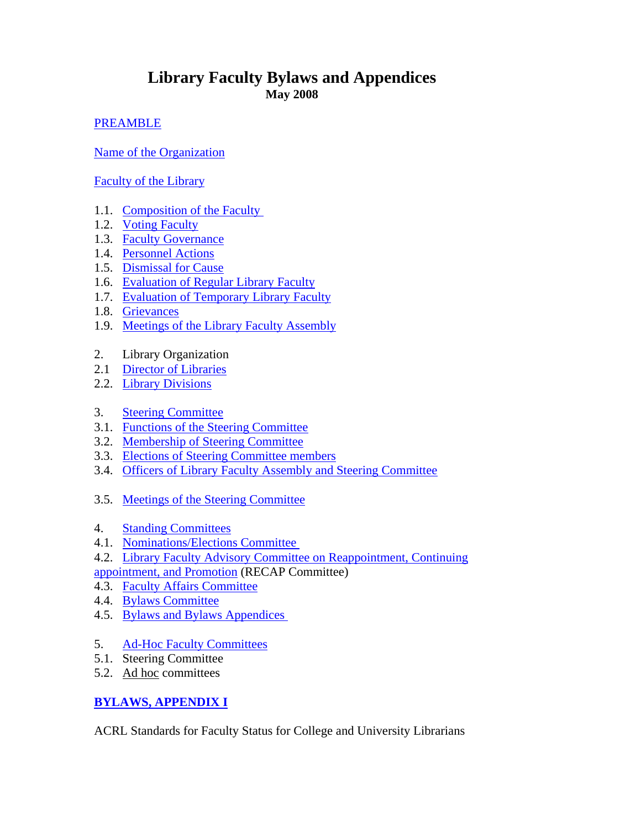# **Library Faculty Bylaws and Appendices May 2008**

# [PREAMBLE](#page-85-0)

[Name of the Organization](#page-85-0)

[Faculty of the Library](#page-86-0)

- 1.1. Composition of the Faculty
- 1.2. [Voting Faculty](#page-86-0)
- 1.3. [Faculty Governance](#page-86-0)
- 1.4. [Personnel Actions](#page-87-0)
- 1.5. [Dismissal for Cause](#page-88-0)
- 1.6. [Evaluation of Regular Library Faculty](#page-88-0)
- 1.7. [Evaluation of Temporary Library Faculty](#page-89-0)
- 1.8. [Grievances](#page-89-0)
- 1.9. [Meetings of the Library Faculty Assembly](#page-89-0)
- 2. Library Organization
- 2.1 [Director of Libraries](#page-90-0)
- 2.2. [Library Divisions](#page-91-0)
- 3. [Steering Committee](#page-91-0)
- 3.1. [Functions of the Steering Committee](#page-0-0)
- 3.2. [Membership of Steering Committee](#page-92-0)
- 3.3. [Elections of Steering Committee members](#page-92-0)
- 3.4. [Officers of Library Faculty Assembly and Steering Committee](#page-93-0)
- 3.5. [Meetings of the Steering Committee](#page-93-0)
- 4. [Standing Committees](#page-93-0)
- 4.1. [Nominations/Elections Committee](#page-94-0)
- 4.2. [Library Faculty Advisory Committee on Reappointment, Continuing](#page-94-0)
- [appointment, and Promotion](#page-94-0) (RECAP Committee)
- 4.3. [Faculty Affairs Committee](#page-96-0)
- 4.4. [Bylaws Committee](#page-97-0)
- 4.5. [Bylaws and Bylaws Appendices](#page-97-0)
- 5. [Ad-Hoc Faculty Committees](#page-99-0)
- 5.1. Steering Committee
- 5.2. Ad hoc committees

# **[BYLAWS, APPENDIX I](#page-99-0)**

ACRL Standards for Faculty Status for College and University Librarians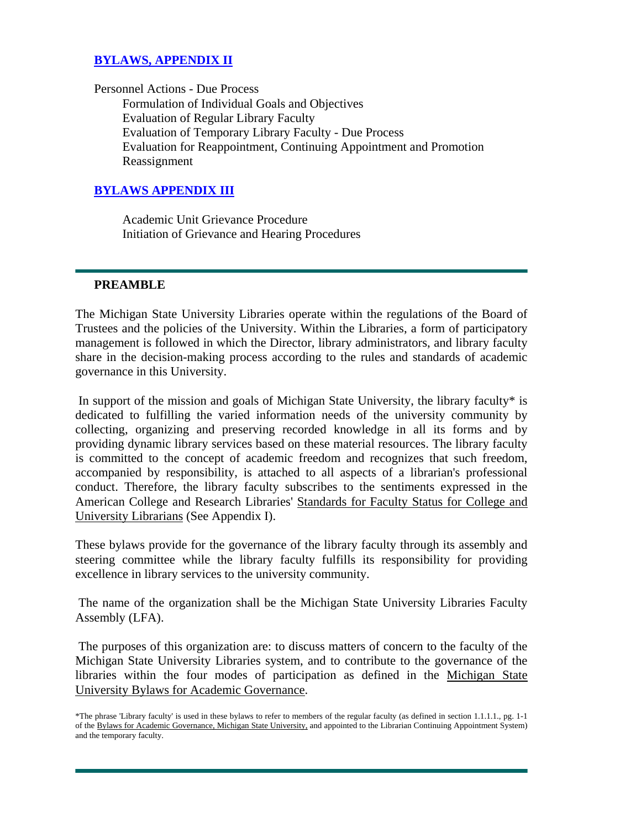# <span id="page-85-0"></span>**[BYLAWS, APPENDIX II](#page-100-0)**

Personnel Actions - Due Process Formulation of Individual Goals and Objectives Evaluation of Regular Library Faculty Evaluation of Temporary Library Faculty - Due Process Evaluation for Reappointment, Continuing Appointment and Promotion Reassignment

### **[BYLAWS APPENDIX III](#page-103-0)**

 Academic Unit Grievance Procedure Initiation of Grievance and Hearing Procedures

#### **PREAMBLE**

The Michigan State University Libraries operate within the regulations of the Board of Trustees and the policies of the University. Within the Libraries, a form of participatory management is followed in which the Director, library administrators, and library faculty share in the decision-making process according to the rules and standards of academic governance in this University.

 In support of the mission and goals of Michigan State University, the library faculty\* is dedicated to fulfilling the varied information needs of the university community by collecting, organizing and preserving recorded knowledge in all its forms and by providing dynamic library services based on these material resources. The library faculty is committed to the concept of academic freedom and recognizes that such freedom, accompanied by responsibility, is attached to all aspects of a librarian's professional conduct. Therefore, the library faculty subscribes to the sentiments expressed in the American College and Research Libraries' Standards for Faculty Status for College and University Librarians (See Appendix I).

These bylaws provide for the governance of the library faculty through its assembly and steering committee while the library faculty fulfills its responsibility for providing excellence in library services to the university community.

 The name of the organization shall be the Michigan State University Libraries Faculty Assembly (LFA).

 The purposes of this organization are: to discuss matters of concern to the faculty of the Michigan State University Libraries system, and to contribute to the governance of the libraries within the four modes of participation as defined in the Michigan State University Bylaws for Academic Governance.

<sup>\*</sup>The phrase 'Library faculty' is used in these bylaws to refer to members of the regular faculty (as defined in section 1.1.1.1., pg. 1-1 of the Bylaws for Academic Governance, Michigan State University, and appointed to the Librarian Continuing Appointment System) and the temporary faculty.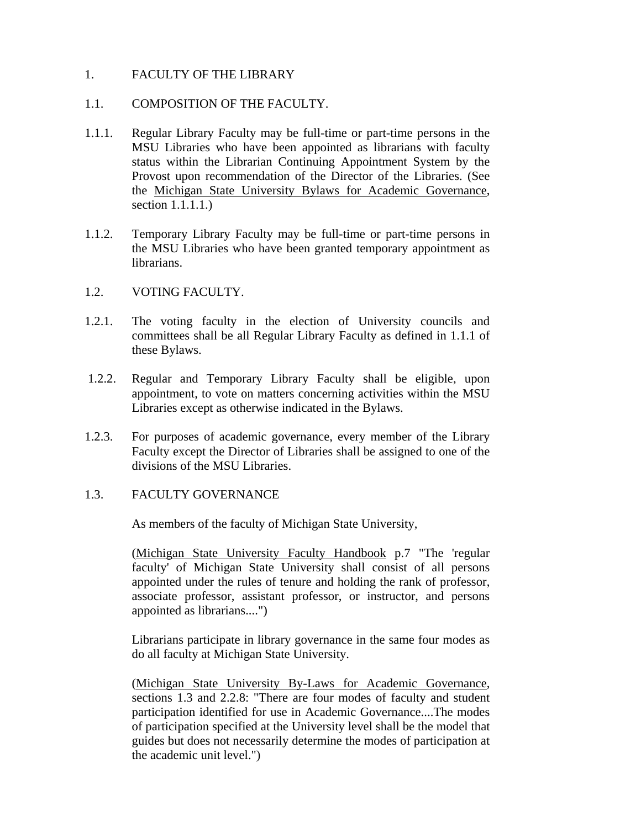### <span id="page-86-0"></span>1. FACULTY OF THE LIBRARY

### 1.1. COMPOSITION OF THE FACULTY.

- 1.1.1. Regular Library Faculty may be full-time or part-time persons in the MSU Libraries who have been appointed as librarians with faculty status within the Librarian Continuing Appointment System by the Provost upon recommendation of the Director of the Libraries. (See the Michigan State University Bylaws for Academic Governance, section 1.1.1.1.)
- 1.1.2. Temporary Library Faculty may be full-time or part-time persons in the MSU Libraries who have been granted temporary appointment as librarians.

### 1.2. VOTING FACULTY.

- 1.2.1. The voting faculty in the election of University councils and committees shall be all Regular Library Faculty as defined in 1.1.1 of these Bylaws.
- 1.2.2. Regular and Temporary Library Faculty shall be eligible, upon appointment, to vote on matters concerning activities within the MSU Libraries except as otherwise indicated in the Bylaws.
- 1.2.3. For purposes of academic governance, every member of the Library Faculty except the Director of Libraries shall be assigned to one of the divisions of the MSU Libraries.

## 1.3. FACULTY GOVERNANCE

As members of the faculty of Michigan State University,

(Michigan State University Faculty Handbook p.7 "The 'regular faculty' of Michigan State University shall consist of all persons appointed under the rules of tenure and holding the rank of professor, associate professor, assistant professor, or instructor, and persons appointed as librarians....")

Librarians participate in library governance in the same four modes as do all faculty at Michigan State University.

(Michigan State University By-Laws for Academic Governance, sections 1.3 and 2.2.8: "There are four modes of faculty and student participation identified for use in Academic Governance....The modes of participation specified at the University level shall be the model that guides but does not necessarily determine the modes of participation at the academic unit level.")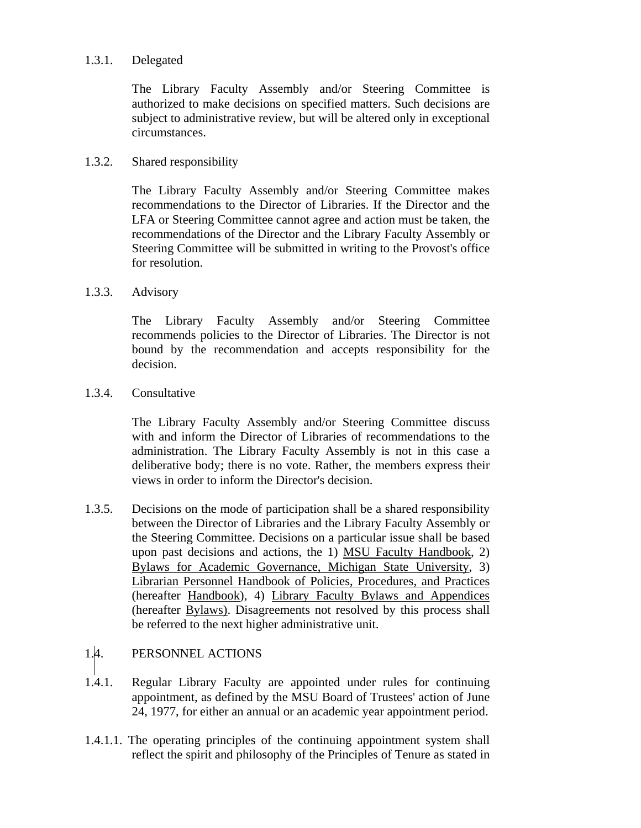### <span id="page-87-0"></span>1.3.1. Delegated

The Library Faculty Assembly and/or Steering Committee is authorized to make decisions on specified matters. Such decisions are subject to administrative review, but will be altered only in exceptional circumstances.

### 1.3.2. Shared responsibility

The Library Faculty Assembly and/or Steering Committee makes recommendations to the Director of Libraries. If the Director and the LFA or Steering Committee cannot agree and action must be taken, the recommendations of the Director and the Library Faculty Assembly or Steering Committee will be submitted in writing to the Provost's office for resolution.

### 1.3.3. Advisory

The Library Faculty Assembly and/or Steering Committee recommends policies to the Director of Libraries. The Director is not bound by the recommendation and accepts responsibility for the decision.

## 1.3.4. Consultative

The Library Faculty Assembly and/or Steering Committee discuss with and inform the Director of Libraries of recommendations to the administration. The Library Faculty Assembly is not in this case a deliberative body; there is no vote. Rather, the members express their views in order to inform the Director's decision.

1.3.5. Decisions on the mode of participation shall be a shared responsibility between the Director of Libraries and the Library Faculty Assembly or the Steering Committee. Decisions on a particular issue shall be based upon past decisions and actions, the 1) MSU Faculty Handbook, 2) Bylaws for Academic Governance, Michigan State University, 3) Librarian Personnel Handbook of Policies, Procedures, and Practices (hereafter Handbook), 4) Library Faculty Bylaws and Appendices (hereafter Bylaws). Disagreements not resolved by this process shall be referred to the next higher administrative unit.

# 1.4. PERSONNEL ACTIONS

- 1.4.1. Regular Library Faculty are appointed under rules for continuing appointment, as defined by the MSU Board of Trustees' action of June 24, 1977, for either an annual or an academic year appointment period.
- 1.4.1.1. The operating principles of the continuing appointment system shall reflect the spirit and philosophy of the Principles of Tenure as stated in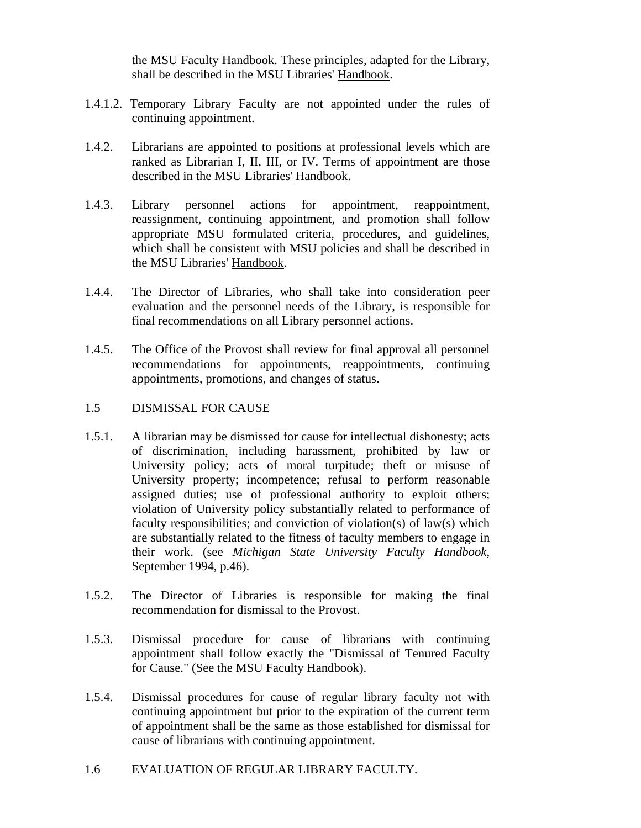the MSU Faculty Handbook. These principles, adapted for the Library, shall be described in the MSU Libraries' Handbook.

- <span id="page-88-0"></span>1.4.1.2. Temporary Library Faculty are not appointed under the rules of continuing appointment.
- 1.4.2. Librarians are appointed to positions at professional levels which are ranked as Librarian I, II, III, or IV. Terms of appointment are those described in the MSU Libraries' Handbook.
- 1.4.3. Library personnel actions for appointment, reappointment, reassignment, continuing appointment, and promotion shall follow appropriate MSU formulated criteria, procedures, and guidelines, which shall be consistent with MSU policies and shall be described in the MSU Libraries' Handbook.
- 1.4.4. The Director of Libraries, who shall take into consideration peer evaluation and the personnel needs of the Library, is responsible for final recommendations on all Library personnel actions.
- 1.4.5. The Office of the Provost shall review for final approval all personnel recommendations for appointments, reappointments, continuing appointments, promotions, and changes of status.
- 1.5 DISMISSAL FOR CAUSE
- 1.5.1. A librarian may be dismissed for cause for intellectual dishonesty; acts of discrimination, including harassment, prohibited by law or University policy; acts of moral turpitude; theft or misuse of University property; incompetence; refusal to perform reasonable assigned duties; use of professional authority to exploit others; violation of University policy substantially related to performance of faculty responsibilities; and conviction of violation(s) of law(s) which are substantially related to the fitness of faculty members to engage in their work. (see *Michigan State University Faculty Handbook,* September 1994, p.46).
- 1.5.2. The Director of Libraries is responsible for making the final recommendation for dismissal to the Provost.
- 1.5.3. Dismissal procedure for cause of librarians with continuing appointment shall follow exactly the "Dismissal of Tenured Faculty for Cause." (See the MSU Faculty Handbook).
- 1.5.4. Dismissal procedures for cause of regular library faculty not with continuing appointment but prior to the expiration of the current term of appointment shall be the same as those established for dismissal for cause of librarians with continuing appointment.
- 1.6 EVALUATION OF REGULAR LIBRARY FACULTY.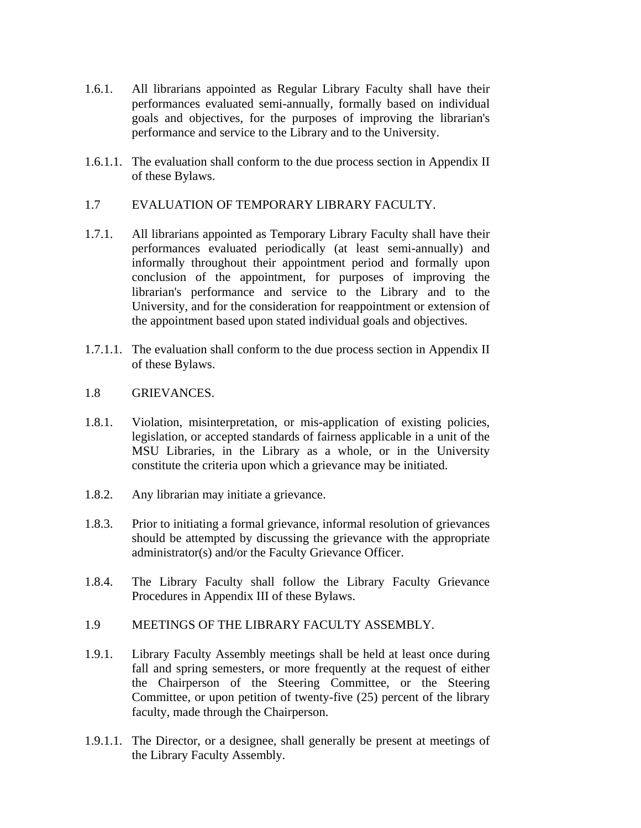- <span id="page-89-0"></span>1.6.1. All librarians appointed as Regular Library Faculty shall have their performances evaluated semi-annually, formally based on individual goals and objectives, for the purposes of improving the librarian's performance and service to the Library and to the University.
- 1.6.1.1. The evaluation shall conform to the due process section in Appendix II of these Bylaws.
- 1.7 EVALUATION OF TEMPORARY LIBRARY FACULTY.
- 1.7.1. All librarians appointed as Temporary Library Faculty shall have their performances evaluated periodically (at least semi-annually) and informally throughout their appointment period and formally upon conclusion of the appointment, for purposes of improving the librarian's performance and service to the Library and to the University, and for the consideration for reappointment or extension of the appointment based upon stated individual goals and objectives.
- 1.7.1.1. The evaluation shall conform to the due process section in Appendix II of these Bylaws.
- 1.8 GRIEVANCES.
- 1.8.1. Violation, misinterpretation, or mis-application of existing policies, legislation, or accepted standards of fairness applicable in a unit of the MSU Libraries, in the Library as a whole, or in the University constitute the criteria upon which a grievance may be initiated.
- 1.8.2. Any librarian may initiate a grievance.
- 1.8.3. Prior to initiating a formal grievance, informal resolution of grievances should be attempted by discussing the grievance with the appropriate administrator(s) and/or the Faculty Grievance Officer.
- 1.8.4. The Library Faculty shall follow the Library Faculty Grievance Procedures in Appendix III of these Bylaws.
- 1.9 MEETINGS OF THE LIBRARY FACULTY ASSEMBLY.
- 1.9.1. Library Faculty Assembly meetings shall be held at least once during fall and spring semesters, or more frequently at the request of either the Chairperson of the Steering Committee, or the Steering Committee, or upon petition of twenty-five (25) percent of the library faculty, made through the Chairperson.
- 1.9.1.1. The Director, or a designee, shall generally be present at meetings of the Library Faculty Assembly.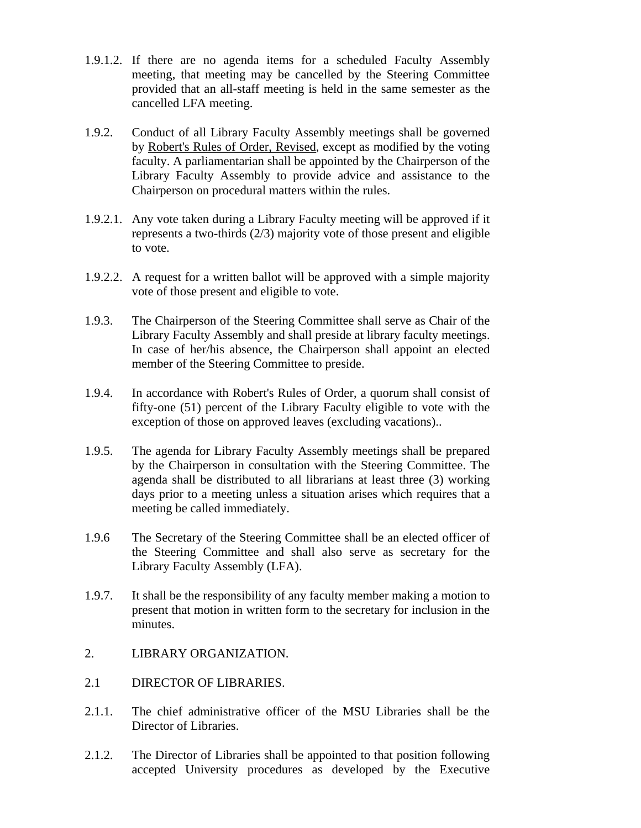- <span id="page-90-0"></span>1.9.1.2. If there are no agenda items for a scheduled Faculty Assembly meeting, that meeting may be cancelled by the Steering Committee provided that an all-staff meeting is held in the same semester as the cancelled LFA meeting.
- 1.9.2. Conduct of all Library Faculty Assembly meetings shall be governed by Robert's Rules of Order, Revised, except as modified by the voting faculty. A parliamentarian shall be appointed by the Chairperson of the Library Faculty Assembly to provide advice and assistance to the Chairperson on procedural matters within the rules.
- 1.9.2.1. Any vote taken during a Library Faculty meeting will be approved if it represents a two-thirds (2/3) majority vote of those present and eligible to vote.
- 1.9.2.2. A request for a written ballot will be approved with a simple majority vote of those present and eligible to vote.
- 1.9.3. The Chairperson of the Steering Committee shall serve as Chair of the Library Faculty Assembly and shall preside at library faculty meetings. In case of her/his absence, the Chairperson shall appoint an elected member of the Steering Committee to preside.
- 1.9.4. In accordance with Robert's Rules of Order, a quorum shall consist of fifty-one (51) percent of the Library Faculty eligible to vote with the exception of those on approved leaves (excluding vacations)..
- 1.9.5. The agenda for Library Faculty Assembly meetings shall be prepared by the Chairperson in consultation with the Steering Committee. The agenda shall be distributed to all librarians at least three (3) working days prior to a meeting unless a situation arises which requires that a meeting be called immediately.
- 1.9.6 The Secretary of the Steering Committee shall be an elected officer of the Steering Committee and shall also serve as secretary for the Library Faculty Assembly (LFA).
- 1.9.7. It shall be the responsibility of any faculty member making a motion to present that motion in written form to the secretary for inclusion in the minutes.
- 2. LIBRARY ORGANIZATION.
- 2.1 DIRECTOR OF LIBRARIES.
- 2.1.1. The chief administrative officer of the MSU Libraries shall be the Director of Libraries.
- 2.1.2. The Director of Libraries shall be appointed to that position following accepted University procedures as developed by the Executive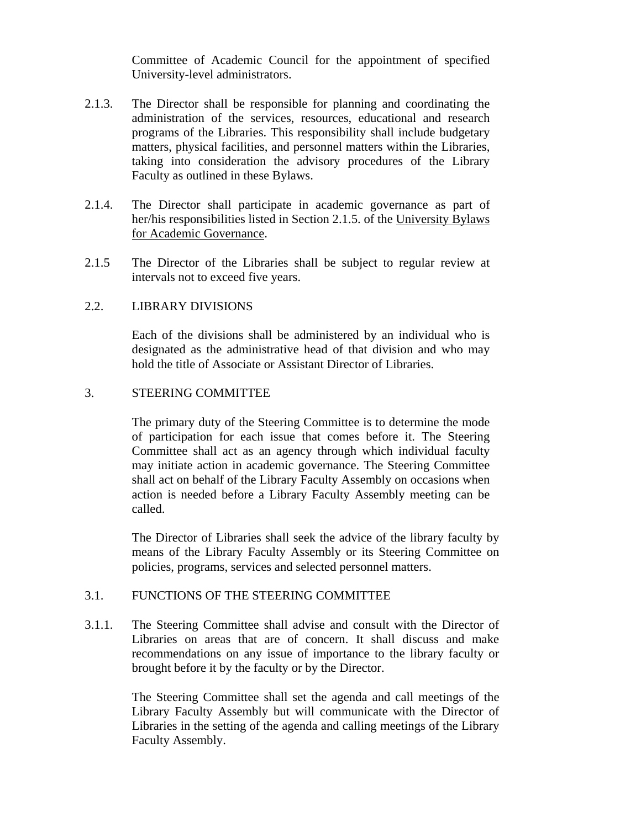Committee of Academic Council for the appointment of specified University-level administrators.

- <span id="page-91-0"></span>2.1.3. The Director shall be responsible for planning and coordinating the administration of the services, resources, educational and research programs of the Libraries. This responsibility shall include budgetary matters, physical facilities, and personnel matters within the Libraries, taking into consideration the advisory procedures of the Library Faculty as outlined in these Bylaws.
- 2.1.4. The Director shall participate in academic governance as part of her/his responsibilities listed in Section 2.1.5. of the University Bylaws for Academic Governance.
- 2.1.5 The Director of the Libraries shall be subject to regular review at intervals not to exceed five years.

### 2.2. LIBRARY DIVISIONS

Each of the divisions shall be administered by an individual who is designated as the administrative head of that division and who may hold the title of Associate or Assistant Director of Libraries.

### 3. STEERING COMMITTEE

The primary duty of the Steering Committee is to determine the mode of participation for each issue that comes before it. The Steering Committee shall act as an agency through which individual faculty may initiate action in academic governance. The Steering Committee shall act on behalf of the Library Faculty Assembly on occasions when action is needed before a Library Faculty Assembly meeting can be called.

The Director of Libraries shall seek the advice of the library faculty by means of the Library Faculty Assembly or its Steering Committee on policies, programs, services and selected personnel matters.

## 3.1. FUNCTIONS OF THE STEERING COMMITTEE

3.1.1. The Steering Committee shall advise and consult with the Director of Libraries on areas that are of concern. It shall discuss and make recommendations on any issue of importance to the library faculty or brought before it by the faculty or by the Director.

> The Steering Committee shall set the agenda and call meetings of the Library Faculty Assembly but will communicate with the Director of Libraries in the setting of the agenda and calling meetings of the Library Faculty Assembly.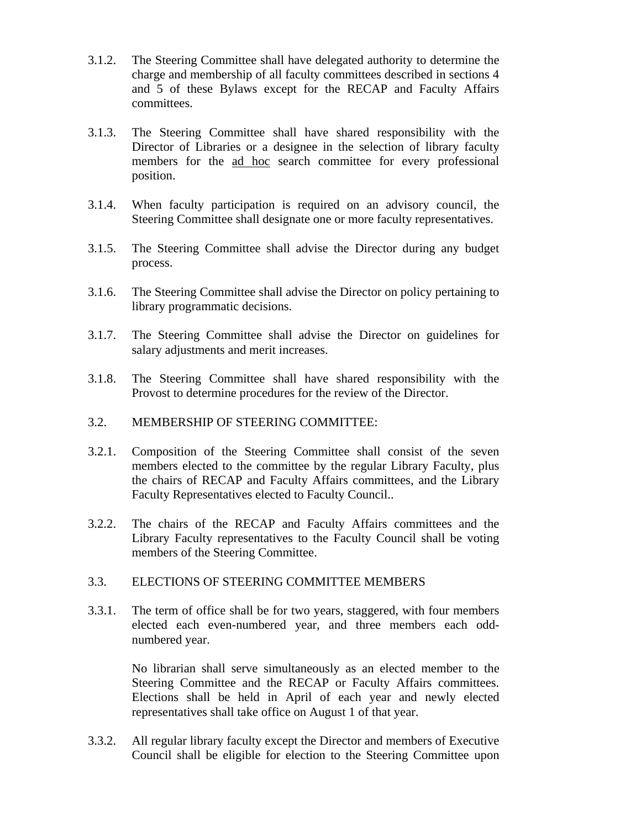- <span id="page-92-0"></span> 3.1.2. The Steering Committee shall have delegated authority to determine the charge and membership of all faculty committees described in sections 4 and 5 of these Bylaws except for the RECAP and Faculty Affairs committees.
- 3.1.3. The Steering Committee shall have shared responsibility with the Director of Libraries or a designee in the selection of library faculty members for the ad hoc search committee for every professional position.
- 3.1.4. When faculty participation is required on an advisory council, the Steering Committee shall designate one or more faculty representatives.
- 3.1.5. The Steering Committee shall advise the Director during any budget process.
- 3.1.6. The Steering Committee shall advise the Director on policy pertaining to library programmatic decisions.
- 3.1.7. The Steering Committee shall advise the Director on guidelines for salary adjustments and merit increases.
- 3.1.8. The Steering Committee shall have shared responsibility with the Provost to determine procedures for the review of the Director.
- 3.2. MEMBERSHIP OF STEERING COMMITTEE:
- 3.2.1. Composition of the Steering Committee shall consist of the seven members elected to the committee by the regular Library Faculty, plus the chairs of RECAP and Faculty Affairs committees, and the Library Faculty Representatives elected to Faculty Council..
- 3.2.2. The chairs of the RECAP and Faculty Affairs committees and the Library Faculty representatives to the Faculty Council shall be voting members of the Steering Committee.

### 3.3. ELECTIONS OF STEERING COMMITTEE MEMBERS

 3.3.1. The term of office shall be for two years, staggered, with four members elected each even-numbered year, and three members each oddnumbered year.

> No librarian shall serve simultaneously as an elected member to the Steering Committee and the RECAP or Faculty Affairs committees. Elections shall be held in April of each year and newly elected representatives shall take office on August 1 of that year.

 3.3.2. All regular library faculty except the Director and members of Executive Council shall be eligible for election to the Steering Committee upon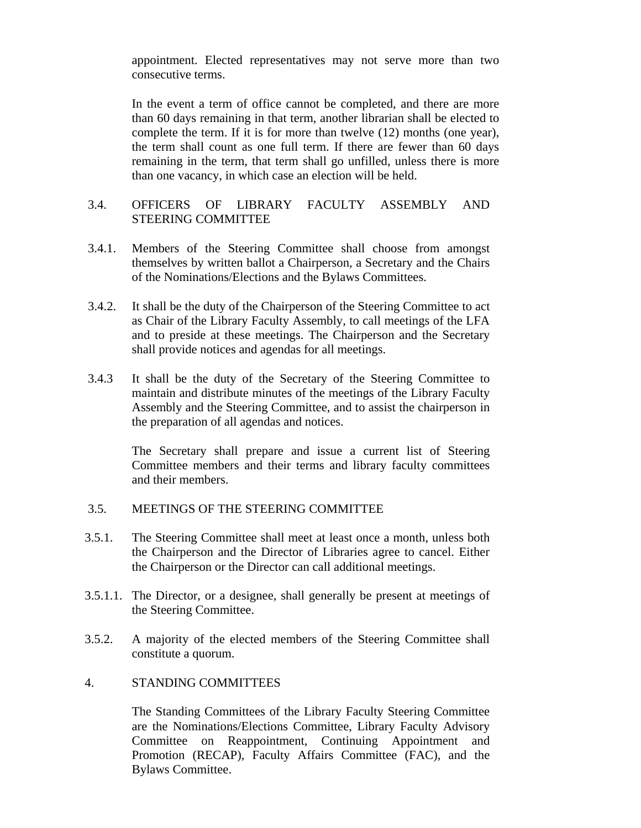<span id="page-93-0"></span>appointment. Elected representatives may not serve more than two consecutive terms.

 In the event a term of office cannot be completed, and there are more than 60 days remaining in that term, another librarian shall be elected to complete the term. If it is for more than twelve (12) months (one year), the term shall count as one full term. If there are fewer than 60 days remaining in the term, that term shall go unfilled, unless there is more than one vacancy, in which case an election will be held.

### 3.4. OFFICERS OF LIBRARY FACULTY ASSEMBLY AND STEERING COMMITTEE

- 3.4.1. Members of the Steering Committee shall choose from amongst themselves by written ballot a Chairperson, a Secretary and the Chairs of the Nominations/Elections and the Bylaws Committees.
- 3.4.2. It shall be the duty of the Chairperson of the Steering Committee to act as Chair of the Library Faculty Assembly, to call meetings of the LFA and to preside at these meetings. The Chairperson and the Secretary shall provide notices and agendas for all meetings.
- 3.4.3 It shall be the duty of the Secretary of the Steering Committee to maintain and distribute minutes of the meetings of the Library Faculty Assembly and the Steering Committee, and to assist the chairperson in the preparation of all agendas and notices.

 The Secretary shall prepare and issue a current list of Steering Committee members and their terms and library faculty committees and their members.

### 3.5. MEETINGS OF THE STEERING COMMITTEE

- 3.5.1. The Steering Committee shall meet at least once a month, unless both the Chairperson and the Director of Libraries agree to cancel. Either the Chairperson or the Director can call additional meetings.
- 3.5.1.1. The Director, or a designee, shall generally be present at meetings of the Steering Committee.
- 3.5.2. A majority of the elected members of the Steering Committee shall constitute a quorum.

#### 4. STANDING COMMITTEES

The Standing Committees of the Library Faculty Steering Committee are the Nominations/Elections Committee, Library Faculty Advisory Committee on Reappointment, Continuing Appointment and Promotion (RECAP), Faculty Affairs Committee (FAC), and the Bylaws Committee.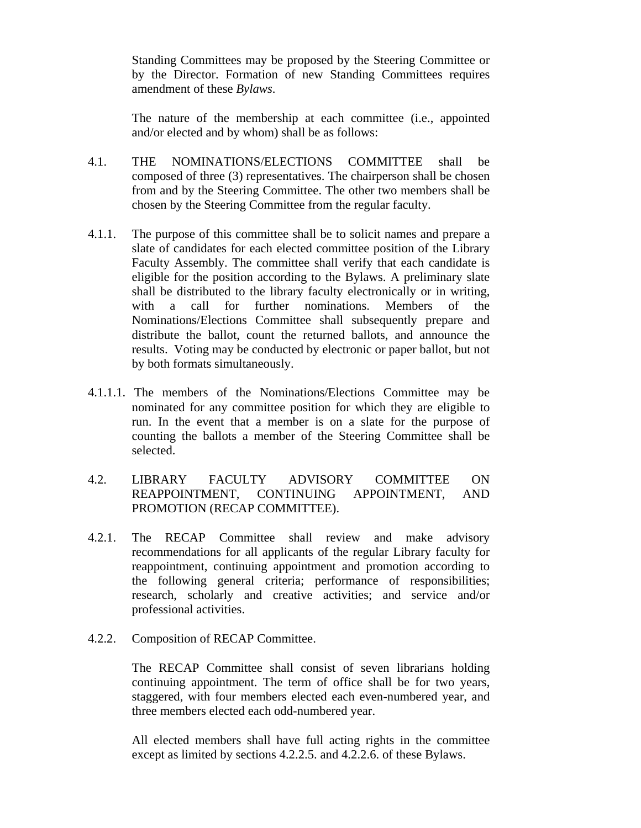<span id="page-94-0"></span>Standing Committees may be proposed by the Steering Committee or by the Director. Formation of new Standing Committees requires amendment of these *Bylaws*.

The nature of the membership at each committee (i.e., appointed and/or elected and by whom) shall be as follows:

- 4.1. THE NOMINATIONS/ELECTIONS COMMITTEE shall be composed of three (3) representatives. The chairperson shall be chosen from and by the Steering Committee. The other two members shall be chosen by the Steering Committee from the regular faculty.
- 4.1.1. The purpose of this committee shall be to solicit names and prepare a slate of candidates for each elected committee position of the Library Faculty Assembly. The committee shall verify that each candidate is eligible for the position according to the Bylaws. A preliminary slate shall be distributed to the library faculty electronically or in writing, with a call for further nominations. Members of the Nominations/Elections Committee shall subsequently prepare and distribute the ballot, count the returned ballots, and announce the results. Voting may be conducted by electronic or paper ballot, but not by both formats simultaneously.
- 4.1.1.1. The members of the Nominations/Elections Committee may be nominated for any committee position for which they are eligible to run. In the event that a member is on a slate for the purpose of counting the ballots a member of the Steering Committee shall be selected.
- 4.2. LIBRARY FACULTY ADVISORY COMMITTEE ON REAPPOINTMENT, CONTINUING APPOINTMENT, AND PROMOTION (RECAP COMMITTEE).
- 4.2.1. The RECAP Committee shall review and make advisory recommendations for all applicants of the regular Library faculty for reappointment, continuing appointment and promotion according to the following general criteria; performance of responsibilities; research, scholarly and creative activities; and service and/or professional activities.
- 4.2.2. Composition of RECAP Committee.

The RECAP Committee shall consist of seven librarians holding continuing appointment. The term of office shall be for two years, staggered, with four members elected each even-numbered year, and three members elected each odd-numbered year.

All elected members shall have full acting rights in the committee except as limited by sections 4.2.2.5. and 4.2.2.6. of these Bylaws.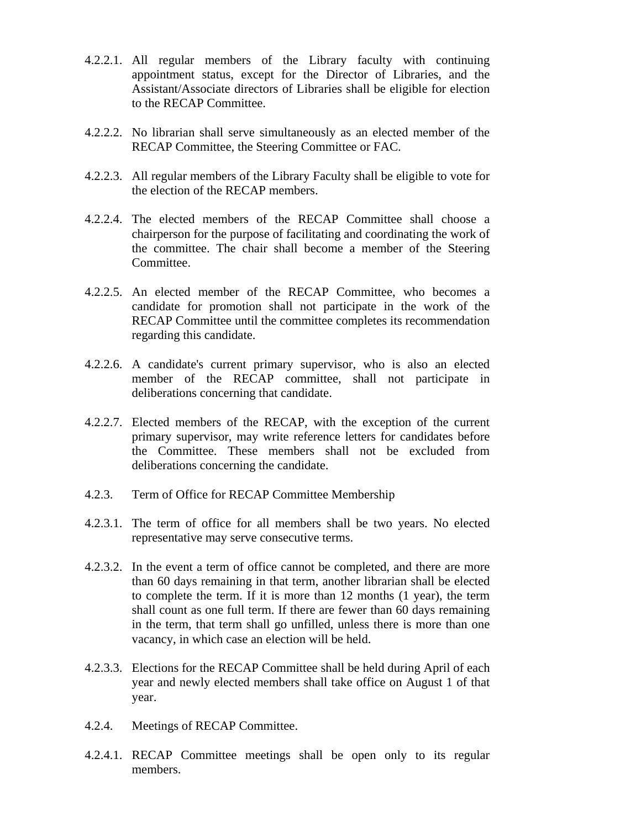- 4.2.2.1. All regular members of the Library faculty with continuing appointment status, except for the Director of Libraries, and the Assistant/Associate directors of Libraries shall be eligible for election to the RECAP Committee.
- 4.2.2.2. No librarian shall serve simultaneously as an elected member of the RECAP Committee, the Steering Committee or FAC.
- 4.2.2.3. All regular members of the Library Faculty shall be eligible to vote for the election of the RECAP members.
- 4.2.2.4. The elected members of the RECAP Committee shall choose a chairperson for the purpose of facilitating and coordinating the work of the committee. The chair shall become a member of the Steering Committee.
- 4.2.2.5. An elected member of the RECAP Committee, who becomes a candidate for promotion shall not participate in the work of the RECAP Committee until the committee completes its recommendation regarding this candidate.
- 4.2.2.6. A candidate's current primary supervisor, who is also an elected member of the RECAP committee, shall not participate in deliberations concerning that candidate.
- 4.2.2.7. Elected members of the RECAP, with the exception of the current primary supervisor, may write reference letters for candidates before the Committee. These members shall not be excluded from deliberations concerning the candidate.
- 4.2.3. Term of Office for RECAP Committee Membership
- 4.2.3.1. The term of office for all members shall be two years. No elected representative may serve consecutive terms.
- 4.2.3.2. In the event a term of office cannot be completed, and there are more than 60 days remaining in that term, another librarian shall be elected to complete the term. If it is more than 12 months (1 year), the term shall count as one full term. If there are fewer than 60 days remaining in the term, that term shall go unfilled, unless there is more than one vacancy, in which case an election will be held.
- 4.2.3.3. Elections for the RECAP Committee shall be held during April of each year and newly elected members shall take office on August 1 of that year.
- 4.2.4. Meetings of RECAP Committee.
- 4.2.4.1. RECAP Committee meetings shall be open only to its regular members.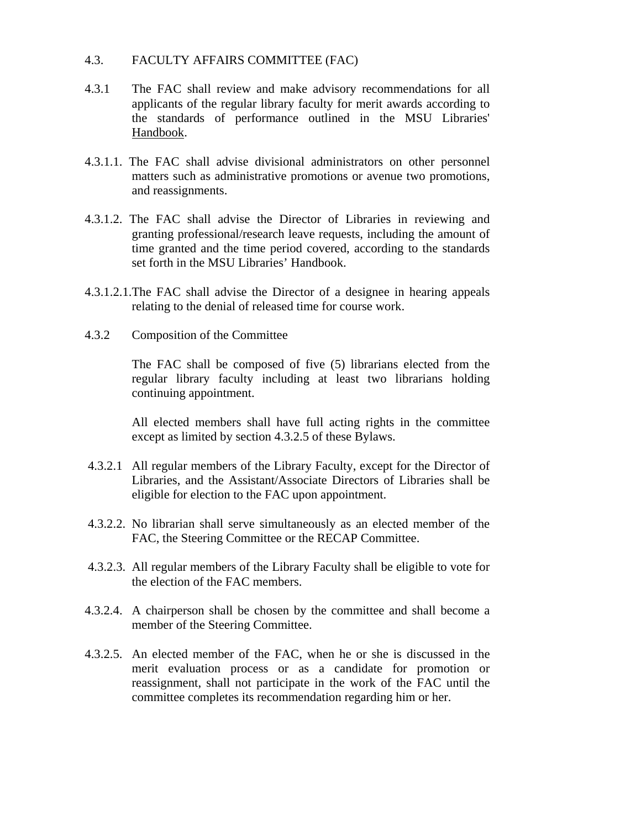### <span id="page-96-0"></span>4.3. FACULTY AFFAIRS COMMITTEE (FAC)

- 4.3.1 The FAC shall review and make advisory recommendations for all applicants of the regular library faculty for merit awards according to the standards of performance outlined in the MSU Libraries' Handbook.
- 4.3.1.1. The FAC shall advise divisional administrators on other personnel matters such as administrative promotions or avenue two promotions, and reassignments.
- 4.3.1.2. The FAC shall advise the Director of Libraries in reviewing and granting professional/research leave requests, including the amount of time granted and the time period covered, according to the standards set forth in the MSU Libraries' Handbook.
- 4.3.1.2.1.The FAC shall advise the Director of a designee in hearing appeals relating to the denial of released time for course work.
- 4.3.2 Composition of the Committee

The FAC shall be composed of five (5) librarians elected from the regular library faculty including at least two librarians holding continuing appointment.

All elected members shall have full acting rights in the committee except as limited by section 4.3.2.5 of these Bylaws.

- 4.3.2.1 All regular members of the Library Faculty, except for the Director of Libraries, and the Assistant/Associate Directors of Libraries shall be eligible for election to the FAC upon appointment.
- 4.3.2.2. No librarian shall serve simultaneously as an elected member of the FAC, the Steering Committee or the RECAP Committee.
- 4.3.2.3. All regular members of the Library Faculty shall be eligible to vote for the election of the FAC members.
- 4.3.2.4. A chairperson shall be chosen by the committee and shall become a member of the Steering Committee.
- 4.3.2.5. An elected member of the FAC, when he or she is discussed in the merit evaluation process or as a candidate for promotion or reassignment, shall not participate in the work of the FAC until the committee completes its recommendation regarding him or her.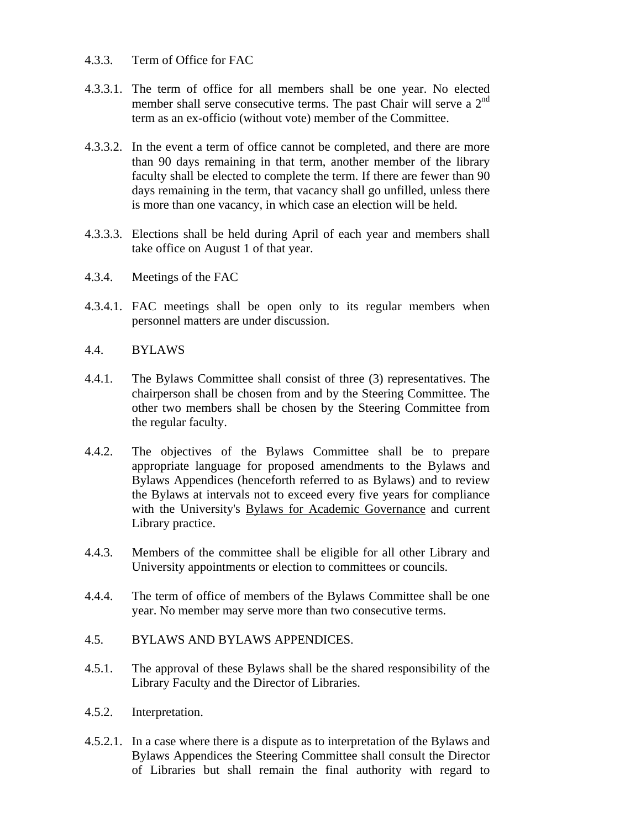- <span id="page-97-0"></span>4.3.3. Term of Office for FAC
- 4.3.3.1. The term of office for all members shall be one year. No elected member shall serve consecutive terms. The past Chair will serve a  $2<sup>nd</sup>$ term as an ex-officio (without vote) member of the Committee.
- 4.3.3.2. In the event a term of office cannot be completed, and there are more than 90 days remaining in that term, another member of the library faculty shall be elected to complete the term. If there are fewer than 90 days remaining in the term, that vacancy shall go unfilled, unless there is more than one vacancy, in which case an election will be held.
- 4.3.3.3. Elections shall be held during April of each year and members shall take office on August 1 of that year.
- 4.3.4. Meetings of the FAC
- 4.3.4.1. FAC meetings shall be open only to its regular members when personnel matters are under discussion.
- 4.4. BYLAWS
- 4.4.1. The Bylaws Committee shall consist of three (3) representatives. The chairperson shall be chosen from and by the Steering Committee. The other two members shall be chosen by the Steering Committee from the regular faculty.
- 4.4.2. The objectives of the Bylaws Committee shall be to prepare appropriate language for proposed amendments to the Bylaws and Bylaws Appendices (henceforth referred to as Bylaws) and to review the Bylaws at intervals not to exceed every five years for compliance with the University's Bylaws for Academic Governance and current Library practice.
- 4.4.3. Members of the committee shall be eligible for all other Library and University appointments or election to committees or councils.
- 4.4.4. The term of office of members of the Bylaws Committee shall be one year. No member may serve more than two consecutive terms.
- 4.5. BYLAWS AND BYLAWS APPENDICES.
- 4.5.1. The approval of these Bylaws shall be the shared responsibility of the Library Faculty and the Director of Libraries.
- 4.5.2. Interpretation.
- 4.5.2.1. In a case where there is a dispute as to interpretation of the Bylaws and Bylaws Appendices the Steering Committee shall consult the Director of Libraries but shall remain the final authority with regard to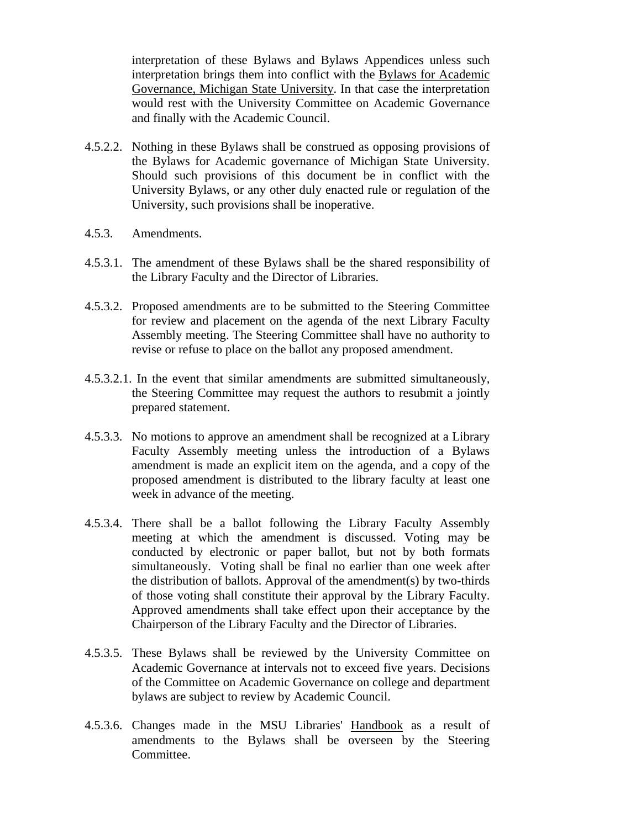interpretation of these Bylaws and Bylaws Appendices unless such interpretation brings them into conflict with the Bylaws for Academic Governance, Michigan State University. In that case the interpretation would rest with the University Committee on Academic Governance and finally with the Academic Council.

- 4.5.2.2. Nothing in these Bylaws shall be construed as opposing provisions of the Bylaws for Academic governance of Michigan State University. Should such provisions of this document be in conflict with the University Bylaws, or any other duly enacted rule or regulation of the University, such provisions shall be inoperative.
- 4.5.3. Amendments.
- 4.5.3.1. The amendment of these Bylaws shall be the shared responsibility of the Library Faculty and the Director of Libraries.
- 4.5.3.2. Proposed amendments are to be submitted to the Steering Committee for review and placement on the agenda of the next Library Faculty Assembly meeting. The Steering Committee shall have no authority to revise or refuse to place on the ballot any proposed amendment.
- 4.5.3.2.1. In the event that similar amendments are submitted simultaneously, the Steering Committee may request the authors to resubmit a jointly prepared statement.
- 4.5.3.3. No motions to approve an amendment shall be recognized at a Library Faculty Assembly meeting unless the introduction of a Bylaws amendment is made an explicit item on the agenda, and a copy of the proposed amendment is distributed to the library faculty at least one week in advance of the meeting.
- 4.5.3.4. There shall be a ballot following the Library Faculty Assembly meeting at which the amendment is discussed. Voting may be conducted by electronic or paper ballot, but not by both formats simultaneously. Voting shall be final no earlier than one week after the distribution of ballots. Approval of the amendment(s) by two-thirds of those voting shall constitute their approval by the Library Faculty. Approved amendments shall take effect upon their acceptance by the Chairperson of the Library Faculty and the Director of Libraries.
- 4.5.3.5. These Bylaws shall be reviewed by the University Committee on Academic Governance at intervals not to exceed five years. Decisions of the Committee on Academic Governance on college and department bylaws are subject to review by Academic Council.
- 4.5.3.6. Changes made in the MSU Libraries' Handbook as a result of amendments to the Bylaws shall be overseen by the Steering Committee.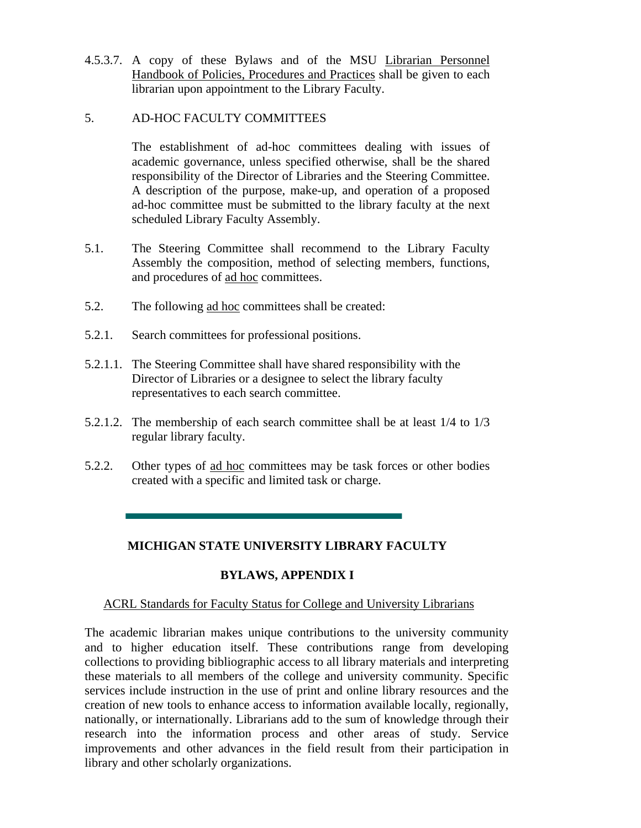<span id="page-99-0"></span>4.5.3.7. A copy of these Bylaws and of the MSU Librarian Personnel Handbook of Policies, Procedures and Practices shall be given to each librarian upon appointment to the Library Faculty.

### 5. AD-HOC FACULTY COMMITTEES

The establishment of ad-hoc committees dealing with issues of academic governance, unless specified otherwise, shall be the shared responsibility of the Director of Libraries and the Steering Committee. A description of the purpose, make-up, and operation of a proposed ad-hoc committee must be submitted to the library faculty at the next scheduled Library Faculty Assembly.

- 5.1. The Steering Committee shall recommend to the Library Faculty Assembly the composition, method of selecting members, functions, and procedures of ad hoc committees.
- 5.2. The following ad hoc committees shall be created:
- 5.2.1. Search committees for professional positions.
- 5.2.1.1. The Steering Committee shall have shared responsibility with the Director of Libraries or a designee to select the library faculty representatives to each search committee.
- 5.2.1.2. The membership of each search committee shall be at least 1/4 to 1/3 regular library faculty.
- 5.2.2. Other types of ad hoc committees may be task forces or other bodies created with a specific and limited task or charge.

## **MICHIGAN STATE UNIVERSITY LIBRARY FACULTY**

# **BYLAWS, APPENDIX I**

## ACRL Standards for Faculty Status for College and University Librarians

The academic librarian makes unique contributions to the university community and to higher education itself. These contributions range from developing collections to providing bibliographic access to all library materials and interpreting these materials to all members of the college and university community. Specific services include instruction in the use of print and online library resources and the creation of new tools to enhance access to information available locally, regionally, nationally, or internationally. Librarians add to the sum of knowledge through their research into the information process and other areas of study. Service improvements and other advances in the field result from their participation in library and other scholarly organizations.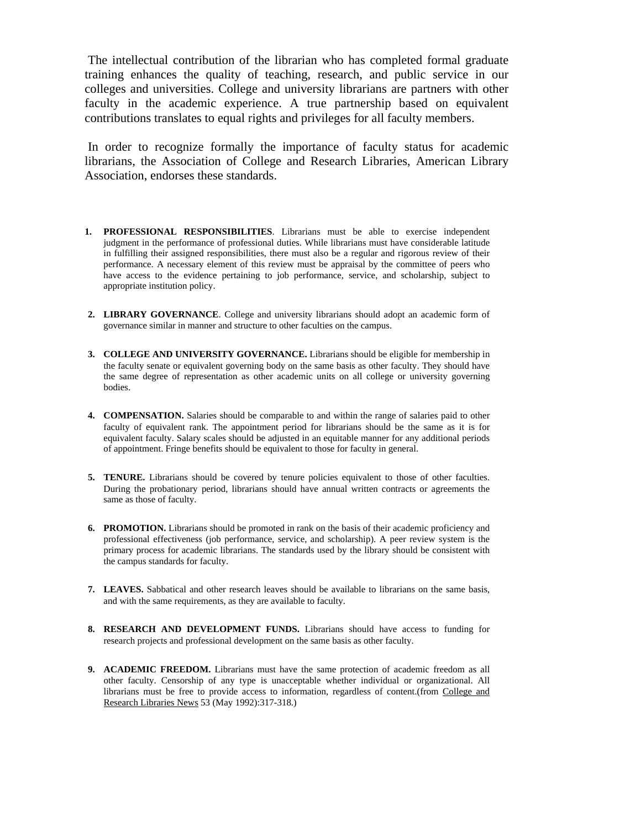<span id="page-100-0"></span> The intellectual contribution of the librarian who has completed formal graduate training enhances the quality of teaching, research, and public service in our colleges and universities. College and university librarians are partners with other faculty in the academic experience. A true partnership based on equivalent contributions translates to equal rights and privileges for all faculty members.

 In order to recognize formally the importance of faculty status for academic librarians, the Association of College and Research Libraries, American Library Association, endorses these standards.

- **1. PROFESSIONAL RESPONSIBILITIES**. Librarians must be able to exercise independent judgment in the performance of professional duties. While librarians must have considerable latitude in fulfilling their assigned responsibilities, there must also be a regular and rigorous review of their performance. A necessary element of this review must be appraisal by the committee of peers who have access to the evidence pertaining to job performance, service, and scholarship, subject to appropriate institution policy.
- **2. LIBRARY GOVERNANCE**. College and university librarians should adopt an academic form of governance similar in manner and structure to other faculties on the campus.
- **3. COLLEGE AND UNIVERSITY GOVERNANCE.** Librarians should be eligible for membership in the faculty senate or equivalent governing body on the same basis as other faculty. They should have the same degree of representation as other academic units on all college or university governing bodies.
- **4. COMPENSATION.** Salaries should be comparable to and within the range of salaries paid to other faculty of equivalent rank. The appointment period for librarians should be the same as it is for equivalent faculty. Salary scales should be adjusted in an equitable manner for any additional periods of appointment. Fringe benefits should be equivalent to those for faculty in general.
- **5. TENURE.** Librarians should be covered by tenure policies equivalent to those of other faculties. During the probationary period, librarians should have annual written contracts or agreements the same as those of faculty.
- **6. PROMOTION.** Librarians should be promoted in rank on the basis of their academic proficiency and professional effectiveness (job performance, service, and scholarship). A peer review system is the primary process for academic librarians. The standards used by the library should be consistent with the campus standards for faculty.
- **7. LEAVES.** Sabbatical and other research leaves should be available to librarians on the same basis, and with the same requirements, as they are available to faculty.
- **8. RESEARCH AND DEVELOPMENT FUNDS.** Librarians should have access to funding for research projects and professional development on the same basis as other faculty.
- **9. ACADEMIC FREEDOM.** Librarians must have the same protection of academic freedom as all other faculty. Censorship of any type is unacceptable whether individual or organizational. All librarians must be free to provide access to information, regardless of content.(from College and Research Libraries News 53 (May 1992):317-318.)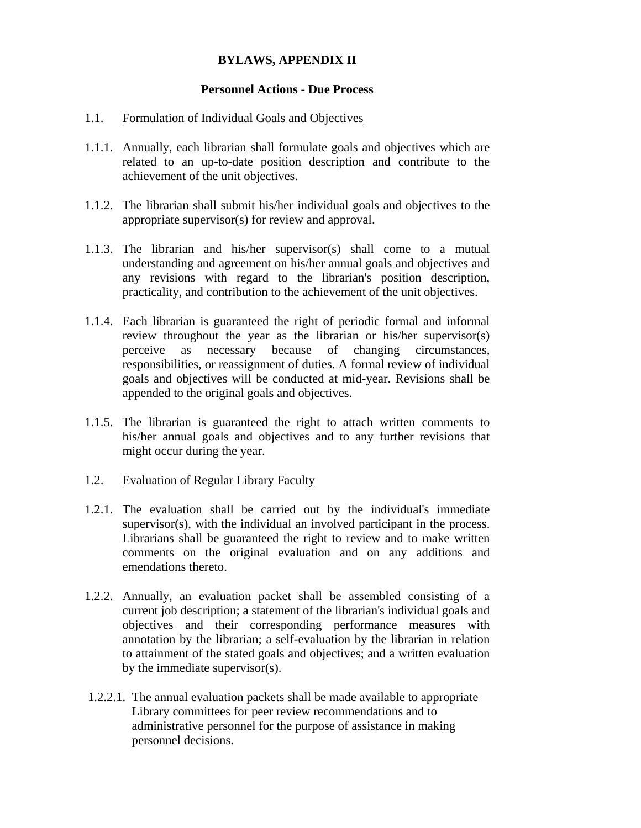### **BYLAWS, APPENDIX II**

#### **Personnel Actions - Due Process**

#### 1.1. Formulation of Individual Goals and Objectives

- 1.1.1. Annually, each librarian shall formulate goals and objectives which are related to an up-to-date position description and contribute to the achievement of the unit objectives.
- 1.1.2. The librarian shall submit his/her individual goals and objectives to the appropriate supervisor(s) for review and approval.
- 1.1.3. The librarian and his/her supervisor(s) shall come to a mutual understanding and agreement on his/her annual goals and objectives and any revisions with regard to the librarian's position description, practicality, and contribution to the achievement of the unit objectives.
- 1.1.4. Each librarian is guaranteed the right of periodic formal and informal review throughout the year as the librarian or his/her supervisor(s) perceive as necessary because of changing circumstances, responsibilities, or reassignment of duties. A formal review of individual goals and objectives will be conducted at mid-year. Revisions shall be appended to the original goals and objectives.
- 1.1.5. The librarian is guaranteed the right to attach written comments to his/her annual goals and objectives and to any further revisions that might occur during the year.
- 1.2. Evaluation of Regular Library Faculty
- 1.2.1. The evaluation shall be carried out by the individual's immediate supervisor(s), with the individual an involved participant in the process. Librarians shall be guaranteed the right to review and to make written comments on the original evaluation and on any additions and emendations thereto.
- 1.2.2. Annually, an evaluation packet shall be assembled consisting of a current job description; a statement of the librarian's individual goals and objectives and their corresponding performance measures with annotation by the librarian; a self-evaluation by the librarian in relation to attainment of the stated goals and objectives; and a written evaluation by the immediate supervisor(s).
- 1.2.2.1. The annual evaluation packets shall be made available to appropriate Library committees for peer review recommendations and to administrative personnel for the purpose of assistance in making personnel decisions.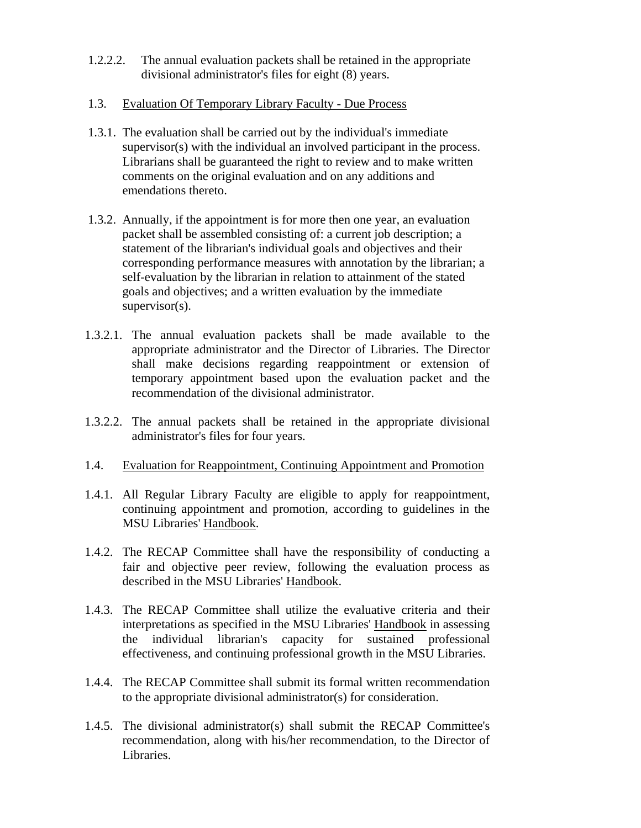- 1.2.2.2. The annual evaluation packets shall be retained in the appropriate divisional administrator's files for eight (8) years.
- 1.3. Evaluation Of Temporary Library Faculty Due Process
- 1.3.1. The evaluation shall be carried out by the individual's immediate supervisor(s) with the individual an involved participant in the process. Librarians shall be guaranteed the right to review and to make written comments on the original evaluation and on any additions and emendations thereto.
- 1.3.2. Annually, if the appointment is for more then one year, an evaluation packet shall be assembled consisting of: a current job description; a statement of the librarian's individual goals and objectives and their corresponding performance measures with annotation by the librarian; a self-evaluation by the librarian in relation to attainment of the stated goals and objectives; and a written evaluation by the immediate supervisor(s).
- 1.3.2.1. The annual evaluation packets shall be made available to the appropriate administrator and the Director of Libraries. The Director shall make decisions regarding reappointment or extension of temporary appointment based upon the evaluation packet and the recommendation of the divisional administrator.
- 1.3.2.2. The annual packets shall be retained in the appropriate divisional administrator's files for four years.
- 1.4. Evaluation for Reappointment, Continuing Appointment and Promotion
- 1.4.1. All Regular Library Faculty are eligible to apply for reappointment, continuing appointment and promotion, according to guidelines in the MSU Libraries' Handbook.
- 1.4.2. The RECAP Committee shall have the responsibility of conducting a fair and objective peer review, following the evaluation process as described in the MSU Libraries' Handbook.
- 1.4.3. The RECAP Committee shall utilize the evaluative criteria and their interpretations as specified in the MSU Libraries' Handbook in assessing the individual librarian's capacity for sustained professional effectiveness, and continuing professional growth in the MSU Libraries.
- 1.4.4. The RECAP Committee shall submit its formal written recommendation to the appropriate divisional administrator(s) for consideration.
- 1.4.5. The divisional administrator(s) shall submit the RECAP Committee's recommendation, along with his/her recommendation, to the Director of Libraries.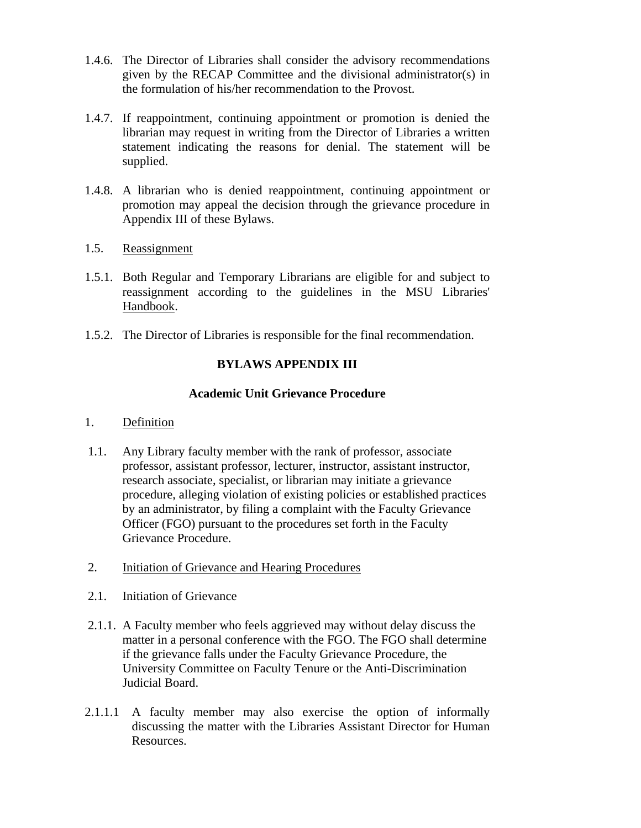- <span id="page-103-0"></span>1.4.6. The Director of Libraries shall consider the advisory recommendations given by the RECAP Committee and the divisional administrator(s) in the formulation of his/her recommendation to the Provost.
- 1.4.7. If reappointment, continuing appointment or promotion is denied the librarian may request in writing from the Director of Libraries a written statement indicating the reasons for denial. The statement will be supplied.
- 1.4.8. A librarian who is denied reappointment, continuing appointment or promotion may appeal the decision through the grievance procedure in Appendix III of these Bylaws.
- 1.5. Reassignment
- 1.5.1. Both Regular and Temporary Librarians are eligible for and subject to reassignment according to the guidelines in the MSU Libraries' Handbook.
- 1.5.2. The Director of Libraries is responsible for the final recommendation.

## **BYLAWS APPENDIX III**

## **Academic Unit Grievance Procedure**

### 1. Definition

- 1.1. Any Library faculty member with the rank of professor, associate professor, assistant professor, lecturer, instructor, assistant instructor, research associate, specialist, or librarian may initiate a grievance procedure, alleging violation of existing policies or established practices by an administrator, by filing a complaint with the Faculty Grievance Officer (FGO) pursuant to the procedures set forth in the Faculty Grievance Procedure.
- 2. Initiation of Grievance and Hearing Procedures
- 2.1. Initiation of Grievance
- 2.1.1. A Faculty member who feels aggrieved may without delay discuss the matter in a personal conference with the FGO. The FGO shall determine if the grievance falls under the Faculty Grievance Procedure, the University Committee on Faculty Tenure or the Anti-Discrimination Judicial Board.
- 2.1.1.1 A faculty member may also exercise the option of informally discussing the matter with the Libraries Assistant Director for Human Resources.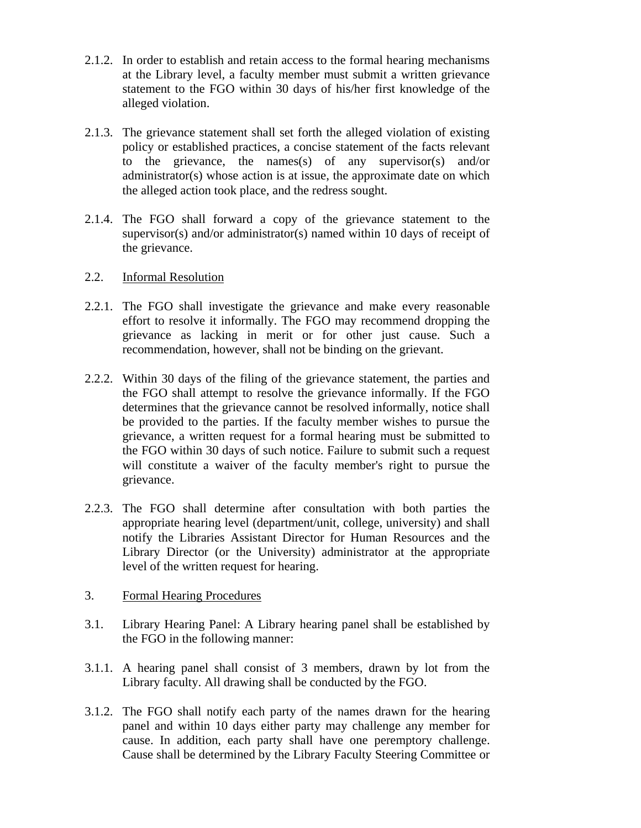- 2.1.2. In order to establish and retain access to the formal hearing mechanisms at the Library level, a faculty member must submit a written grievance statement to the FGO within 30 days of his/her first knowledge of the alleged violation.
- 2.1.3. The grievance statement shall set forth the alleged violation of existing policy or established practices, a concise statement of the facts relevant to the grievance, the names(s) of any supervisor(s) and/or administrator(s) whose action is at issue, the approximate date on which the alleged action took place, and the redress sought.
- 2.1.4. The FGO shall forward a copy of the grievance statement to the supervisor(s) and/or administrator(s) named within 10 days of receipt of the grievance.
- 2.2. Informal Resolution
- 2.2.1. The FGO shall investigate the grievance and make every reasonable effort to resolve it informally. The FGO may recommend dropping the grievance as lacking in merit or for other just cause. Such a recommendation, however, shall not be binding on the grievant.
- 2.2.2. Within 30 days of the filing of the grievance statement, the parties and the FGO shall attempt to resolve the grievance informally. If the FGO determines that the grievance cannot be resolved informally, notice shall be provided to the parties. If the faculty member wishes to pursue the grievance, a written request for a formal hearing must be submitted to the FGO within 30 days of such notice. Failure to submit such a request will constitute a waiver of the faculty member's right to pursue the grievance.
- 2.2.3. The FGO shall determine after consultation with both parties the appropriate hearing level (department/unit, college, university) and shall notify the Libraries Assistant Director for Human Resources and the Library Director (or the University) administrator at the appropriate level of the written request for hearing.
- 3. Formal Hearing Procedures
- 3.1. Library Hearing Panel: A Library hearing panel shall be established by the FGO in the following manner:
- 3.1.1. A hearing panel shall consist of 3 members, drawn by lot from the Library faculty. All drawing shall be conducted by the FGO.
- 3.1.2. The FGO shall notify each party of the names drawn for the hearing panel and within 10 days either party may challenge any member for cause. In addition, each party shall have one peremptory challenge. Cause shall be determined by the Library Faculty Steering Committee or